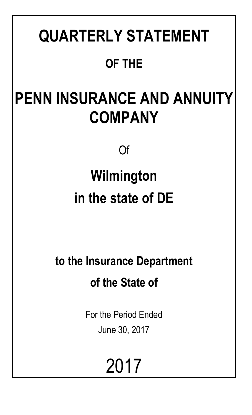# **QUARTERLY STATEMENT OF THE**

# **PENN INSURANCE AND ANNUITY COMPANY**

Of

# **Wilmington in the state of DE**

**to the Insurance Department of the State of**

> For the Period Ended June 30, 2017

> > 2017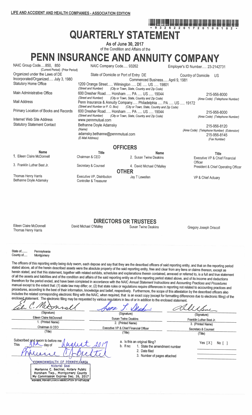# **QUARTERLY STATEMENT**

As of June 30, 2017 of the Condition and Affairs of the

# PENN INSURANCE AND ANNUITY COMPANY

| NAIC Group Code850, 850<br>(Current Period) (Prior Period)                                            | NAIC Company Code 93262                                                                                                                      |                                                                                 | Employer's ID Number 23-2142731                                                            |
|-------------------------------------------------------------------------------------------------------|----------------------------------------------------------------------------------------------------------------------------------------------|---------------------------------------------------------------------------------|--------------------------------------------------------------------------------------------|
| Organized under the Laws of DE<br>Incorporated/Organized July 3, 1980<br><b>Statutory Home Office</b> | State of Domicile or Port of Entry DE<br>1209 Orange Street Wilmington  DE  US  19801<br>(Street and Number)                                 | Commenced Business April 9, 1981<br>(City or Town, State, Country and Zip Code) | Country of Domicile<br>US.                                                                 |
| Main Administrative Office                                                                            | 600 Dresher Road Horsham  PA  US  19044<br>(Street and Number)                                                                               | (City or Town, State, Country and Zip Code)                                     | 215-956-8000<br>(Area Code) (Telephone Number)                                             |
| Mail Address                                                                                          | Penn Insurance & Annuity Company Philadelphia  PA  US  19172<br>(Street and Number or P. O. Box) (City or Town, State, Country and Zip Code) |                                                                                 |                                                                                            |
| Primary Location of Books and Records                                                                 | 600 Dresher Road Horsham  PA  US  19044<br>(Street and Number)                                                                               |                                                                                 | 215-956-8000                                                                               |
| Internet Web Site Address                                                                             | www.pennmutual.com                                                                                                                           | (City or Town, State, Country and Zip Code)                                     | (Area Code) (Telephone Number)                                                             |
| <b>Statutory Statement Contact</b>                                                                    | Bethanne Doyle Adamsky<br>(Name)<br>adamsky.bethanne@pennmutual.com<br>(E-Mail Address)                                                      |                                                                                 | 215-956-8120<br>(Area Code) (Telephone Number) (Extension)<br>215-956-8145<br>(Fax Number) |
|                                                                                                       |                                                                                                                                              | <b>OFFICERS</b>                                                                 |                                                                                            |
| <b>Name</b>                                                                                           | <b>Title</b>                                                                                                                                 | <b>Name</b>                                                                     | <b>Title</b>                                                                               |
| 1. Eileen Claire McDonnell                                                                            | Chairman & CEO                                                                                                                               | 2. Susan Twine Deakins                                                          | Executive VP & Chief Financial<br>Officer                                                  |
| 3. Franklin Luther Best Jr.                                                                           | Secretary & Counsel                                                                                                                          | 4. David Michael O'Malley<br><b>OTHER</b>                                       | President & Chief Operating Officer                                                        |
| Thomas Henry Harris                                                                                   | Executive VP, Distribution                                                                                                                   | Jay T Lewellen                                                                  | VP & Chief Actuary                                                                         |
|                                                                                                       |                                                                                                                                              |                                                                                 |                                                                                            |

Thomas Henry Harris Bethanne Doyle Adamsky

**DIRECTORS OR TRUSTEES** 

Eileen Claire McDonnell Thomas Henry Harris

David Michael O'Malley

Controller & Treasurer

Susan Twine Deakins

Gregory Joseph Driscoll

State of... County of.....

Pennsylvania Montgomery

The officers of this reporting entity being duly swom, each depose and say that they are the described officers of said reporting entity, and that on the reporting period stated above, all of the herein described assets were the absolute property of the said reporting entity, free and clear from any liens or claims thereon, except as herein stated, and that this statement, together with related exhibits, schedules and explanations therein contained, annexed or referred to, is a full and true statement of all the assets and liabilities and of the condition and affairs of the said reporting entity as of the reporting period stated above, and of its income and deductions therefrom for the period ended, and have been completed in accordance with the NAIC Annual Statement Instructions and Accounting Practices and Procedures manual except to the extent that: (1) state law may differ; or, (2) that state rules or regulations require differences in reporting not related to accounting practices and procedures, according to the best of their information, knowledge and belief, respectively. Furthermore, the scope of this attestation by the described officers also includes the related corresponding electronic filing with the NAIC, when required, that is an exact copy (except for formatting differences due to electronic filing) of the enclosed statement. The electronic filing may be requested by various regulators in lieu of or in addition to the enclosed statement.

Mesm USSu ı (Signature) (Signature) (Signature) Eileen Claire McDonnell **Susan Twine Deakins** Franklin Luther Best Jr. 1. (Printed Name) 2. (Printed Name) 3. (Printed Name) Chairman & CEO Executive VP & Chief Financial Officer Secretary & Counsel (Title)  $(Title)$ (Title) Subscribed and swom to before me a. Is this an original filing? Yes  $[X]$  No  $[ ]$ This . day of b. If no: 1. State the amendment number 2. Date filed 3. Number of pages attached <u>Commonwealth of pennsylvania</u> Notarial Seal Marianne C. Bechtel, Notary Public Horsham Twp., Montgomery County<br>My Commission Expires Dec. 26, 2017 MEMBER, PENNSYLVANIA ASSOCIATION OF NOTARIES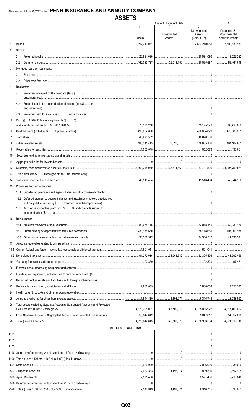|                                                                                                                                                     |                                                                     | <b>Current Statement Date</b> |                                                | 4                                                       |
|-----------------------------------------------------------------------------------------------------------------------------------------------------|---------------------------------------------------------------------|-------------------------------|------------------------------------------------|---------------------------------------------------------|
|                                                                                                                                                     | 1<br>Assets                                                         | Nonadmitted<br>Assets         | 3<br>Net Admitted<br>Assets<br>$(Cols. 1 - 2)$ | December 31<br>Prior Year Net<br><b>Admitted Assets</b> |
| $\mathbf{1}$ .                                                                                                                                      | 2,892,210,051                                                       |                               | $\ldots$ 2,892,210,051                         | $\ldots$ 2,600,530,973                                  |
| 2.<br>Stocks:                                                                                                                                       |                                                                     |                               |                                                |                                                         |
| 2.1                                                                                                                                                 | 20,991,096                                                          |                               |                                                | 19,022,292                                              |
| 2.2                                                                                                                                                 | 162,083,737                                                         |                               |                                                | 56,461,645                                              |
| 3.<br>Mortgage loans on real estate:                                                                                                                |                                                                     |                               |                                                |                                                         |
| 3.1                                                                                                                                                 |                                                                     |                               |                                                |                                                         |
| 3.2                                                                                                                                                 |                                                                     |                               |                                                |                                                         |
| 4.<br>Real estate:                                                                                                                                  |                                                                     |                               |                                                |                                                         |
| 4.1<br>Properties occupied by the company (less \$0                                                                                                 |                                                                     |                               |                                                |                                                         |
| Properties held for the production of income (less \$0<br>4.2                                                                                       |                                                                     |                               |                                                |                                                         |
| 4.3                                                                                                                                                 |                                                                     |                               |                                                |                                                         |
| Cash (\$8,978,415), cash equivalents (\$0)<br>5.                                                                                                    |                                                                     |                               |                                                |                                                         |
|                                                                                                                                                     |                                                                     |                               |                                                |                                                         |
| 6.                                                                                                                                                  |                                                                     |                               |                                                |                                                         |
| 7.                                                                                                                                                  |                                                                     |                               |                                                |                                                         |
| 8.                                                                                                                                                  |                                                                     |                               |                                                |                                                         |
| 9.                                                                                                                                                  |                                                                     |                               |                                                | 130,601                                                 |
| 10.                                                                                                                                                 |                                                                     |                               |                                                |                                                         |
| 11.                                                                                                                                                 |                                                                     |                               |                                                |                                                         |
| 12.                                                                                                                                                 |                                                                     |                               |                                                |                                                         |
| 13.                                                                                                                                                 |                                                                     |                               |                                                |                                                         |
| 14.                                                                                                                                                 |                                                                     |                               |                                                | 1.166                                                   |
| Premiums and considerations:<br>15.                                                                                                                 |                                                                     |                               |                                                |                                                         |
| 15.1 Uncollected premiums and agents' balances in the course of collection                                                                          |                                                                     |                               |                                                |                                                         |
| 15.2 Deferred premiums, agents' balances and installments booked but deferred<br>15.3 Accrued retrospective premiums (\$0) and contracts subject to |                                                                     |                               | 0<br>                                          |                                                         |
| Reinsurance:<br>16.                                                                                                                                 |                                                                     |                               |                                                |                                                         |
|                                                                                                                                                     | │………………82,078,146 │……………………………… │………………82,078,146 │………………60,933,150 |                               |                                                |                                                         |
|                                                                                                                                                     |                                                                     |                               |                                                | 707,301,978                                             |
| 16.3                                                                                                                                                |                                                                     |                               |                                                | $\vert$ 41,535,341                                      |
| 17.                                                                                                                                                 |                                                                     |                               |                                                |                                                         |
| 18.1                                                                                                                                                |                                                                     |                               |                                                |                                                         |
|                                                                                                                                                     |                                                                     |                               |                                                | 48,792,469                                              |
| 19.                                                                                                                                                 |                                                                     |                               |                                                | 97,471                                                  |
| 20.                                                                                                                                                 |                                                                     |                               |                                                |                                                         |
| 21.                                                                                                                                                 |                                                                     |                               |                                                |                                                         |
| 22.                                                                                                                                                 |                                                                     |                               |                                                |                                                         |
| 23.                                                                                                                                                 |                                                                     |                               |                                                |                                                         |
| 24.                                                                                                                                                 |                                                                     |                               |                                                |                                                         |
| 25.                                                                                                                                                 |                                                                     |                               |                                                |                                                         |
| Total assets excluding Separate Accounts, Segregated Accounts and Protected<br>26.                                                                  |                                                                     |                               |                                                |                                                         |
|                                                                                                                                                     |                                                                     |                               |                                                |                                                         |
| 28.                                                                                                                                                 |                                                                     |                               |                                                |                                                         |
|                                                                                                                                                     |                                                                     |                               |                                                |                                                         |
|                                                                                                                                                     | <b>DETAILS OF WRITE-INS</b>                                         |                               |                                                |                                                         |
|                                                                                                                                                     |                                                                     |                               |                                                |                                                         |
|                                                                                                                                                     |                                                                     |                               |                                                |                                                         |
|                                                                                                                                                     |                                                                     |                               |                                                |                                                         |
|                                                                                                                                                     |                                                                     |                               |                                                |                                                         |
|                                                                                                                                                     |                                                                     |                               |                                                |                                                         |
|                                                                                                                                                     |                                                                     |                               |                                                |                                                         |
|                                                                                                                                                     |                                                                     |                               |                                                | 2,892,105                                               |
|                                                                                                                                                     |                                                                     |                               |                                                |                                                         |
|                                                                                                                                                     |                                                                     |                               |                                                |                                                         |
|                                                                                                                                                     |                                                                     |                               |                                                |                                                         |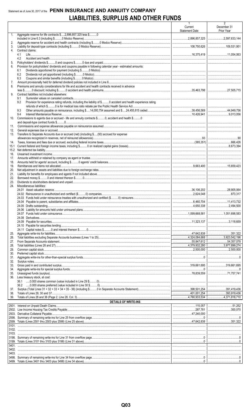# Statement as of June 30, 2017 of the PENN INSURANCE AND ANNUITY COMPANY **LIABILITIES, SURPLUS AND OTHER FUNDS**

|                |                                                                                                                                                     | $\mathbf{1}$<br>Current<br><b>Statement Date</b> | 2<br>December 31<br>Prior Year |
|----------------|-----------------------------------------------------------------------------------------------------------------------------------------------------|--------------------------------------------------|--------------------------------|
| 1 <sub>1</sub> | Aggregate reserve for life contracts \$2,896,857,325 less \$0                                                                                       |                                                  |                                |
| 2.<br>3.       |                                                                                                                                                     |                                                  |                                |
| 4.             | Contract claims:<br>4.1                                                                                                                             |                                                  |                                |
| 5.             | 4.2                                                                                                                                                 |                                                  |                                |
| 6.             | Provision for policyholders' dividends and coupons payable in following calendar year - estimated amounts:                                          |                                                  |                                |
|                | 6.1                                                                                                                                                 |                                                  |                                |
|                | 6.2                                                                                                                                                 |                                                  |                                |
|                | 6.3                                                                                                                                                 |                                                  |                                |
| 7.<br>8.       | Premiums and annuity considerations for life and accident and health contracts received in advance                                                  |                                                  |                                |
|                |                                                                                                                                                     |                                                  |                                |
| 9.             | Contract liabilities not included elsewhere:                                                                                                        |                                                  |                                |
|                | 9.1                                                                                                                                                 |                                                  |                                |
|                | Provision for experience rating refunds, including the liability of \$ O accident and health experience rating<br>9.2                               |                                                  |                                |
|                | 9.3                                                                                                                                                 |                                                  |                                |
|                | 9.4                                                                                                                                                 |                                                  |                                |
| 10.            | Commissions to agents due or accrued - life and annuity contracts \$0, accident and health \$0                                                      |                                                  |                                |
|                |                                                                                                                                                     |                                                  |                                |
| 11.            |                                                                                                                                                     |                                                  |                                |
| 12.<br>13.     | Transfers to Separate Accounts due or accrued (net) (including \$(93) accrued for expense                                                           |                                                  |                                |
|                |                                                                                                                                                     |                                                  |                                |
| 14.            |                                                                                                                                                     |                                                  |                                |
| 15.1           |                                                                                                                                                     |                                                  |                                |
| 15.2           |                                                                                                                                                     |                                                  |                                |
| 16.<br>17.     |                                                                                                                                                     |                                                  |                                |
| 18.            |                                                                                                                                                     |                                                  |                                |
| 19.            |                                                                                                                                                     |                                                  |                                |
| 20.            |                                                                                                                                                     |                                                  |                                |
| 21.            |                                                                                                                                                     |                                                  |                                |
| 22.<br>23.     |                                                                                                                                                     |                                                  |                                |
| 24.            | Miscellaneous liabilities:                                                                                                                          |                                                  |                                |
|                |                                                                                                                                                     |                                                  |                                |
|                |                                                                                                                                                     |                                                  |                                |
|                |                                                                                                                                                     |                                                  |                                |
|                | 24.05 Drafts outstanding                                                                                                                            |                                                  |                                |
|                |                                                                                                                                                     |                                                  |                                |
|                |                                                                                                                                                     |                                                  |                                |
|                |                                                                                                                                                     |                                                  |                                |
|                |                                                                                                                                                     |                                                  | 3,118.659                      |
|                |                                                                                                                                                     |                                                  |                                |
| 25.            |                                                                                                                                                     |                                                  |                                |
| 26.            |                                                                                                                                                     |                                                  |                                |
| 27.            |                                                                                                                                                     |                                                  | 54,357,078<br>3,977,899,274    |
| 28.<br>29.     |                                                                                                                                                     |                                                  | 2,500,000                      |
| 30.            |                                                                                                                                                     |                                                  |                                |
| 31.            |                                                                                                                                                     |                                                  |                                |
| 32.            |                                                                                                                                                     |                                                  |                                |
| 33.<br>34.     |                                                                                                                                                     |                                                  |                                |
| 35.            |                                                                                                                                                     |                                                  |                                |
| 36.            | Less treasury stock, at cost:                                                                                                                       |                                                  |                                |
|                |                                                                                                                                                     |                                                  |                                |
|                |                                                                                                                                                     |                                                  |                                |
| 37.<br>38.     |                                                                                                                                                     |                                                  | 393,919,436                    |
| 39.            |                                                                                                                                                     |                                                  |                                |
|                | <b>DETAILS OF WRITE-INS</b><br><u> 1980 - Johann Barn, mars eta bainar eta bat erroman erroman erroman erroman erroman erroman erroman erroman </u> |                                                  |                                |
|                |                                                                                                                                                     |                                                  |                                |
|                |                                                                                                                                                     |                                                  | 300.070                        |
|                |                                                                                                                                                     |                                                  |                                |
|                |                                                                                                                                                     |                                                  |                                |
|                |                                                                                                                                                     |                                                  |                                |
|                |                                                                                                                                                     |                                                  |                                |
| 3103.          |                                                                                                                                                     |                                                  |                                |
|                |                                                                                                                                                     |                                                  |                                |
| 3401.          |                                                                                                                                                     |                                                  |                                |
|                |                                                                                                                                                     |                                                  |                                |
| 3403.          |                                                                                                                                                     |                                                  |                                |
|                |                                                                                                                                                     |                                                  |                                |
|                |                                                                                                                                                     |                                                  |                                |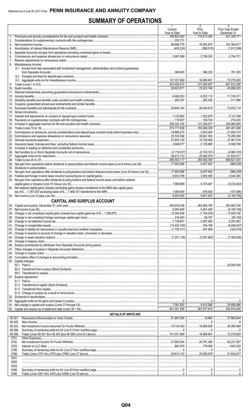# **SUMMARY OF OPERATIONS**

|          |                                                                                                                                  | 1<br>Current<br>Year to Date | $\mathbf{z}$<br>Prior<br>Year to Date | 3<br>Prior Year Ended<br>December 31                                                                                                                                                                                                                                                                                                                                       |
|----------|----------------------------------------------------------------------------------------------------------------------------------|------------------------------|---------------------------------------|----------------------------------------------------------------------------------------------------------------------------------------------------------------------------------------------------------------------------------------------------------------------------------------------------------------------------------------------------------------------------|
| 1.       |                                                                                                                                  | 309,825,052                  | 174,513,260                           | 427,335,171                                                                                                                                                                                                                                                                                                                                                                |
| 2.<br>3. |                                                                                                                                  | 230,731                      |                                       | 163,364,817                                                                                                                                                                                                                                                                                                                                                                |
| 4.       |                                                                                                                                  |                              |                                       |                                                                                                                                                                                                                                                                                                                                                                            |
| 5.<br>6. |                                                                                                                                  |                              |                                       | $1$ 5.784.721                                                                                                                                                                                                                                                                                                                                                              |
| 7.       |                                                                                                                                  |                              |                                       |                                                                                                                                                                                                                                                                                                                                                                            |
|          | 8. Miscellaneous Income:<br>8.1 Income from fees associated with investment management, administration and contract quarantees   |                              |                                       |                                                                                                                                                                                                                                                                                                                                                                            |
|          |                                                                                                                                  |                              | 386,235                               |                                                                                                                                                                                                                                                                                                                                                                            |
|          |                                                                                                                                  |                              |                                       |                                                                                                                                                                                                                                                                                                                                                                            |
|          |                                                                                                                                  | $\ldots$ 503,455,815         | 16,909,801<br>273,385,957             | $\ldots$ 72.279.620<br>$\overline{\ldots}$ .667,632,286                                                                                                                                                                                                                                                                                                                    |
|          |                                                                                                                                  |                              | 25,503,746                            | $\ldots$ 45,890,225                                                                                                                                                                                                                                                                                                                                                        |
|          |                                                                                                                                  |                              |                                       |                                                                                                                                                                                                                                                                                                                                                                            |
|          |                                                                                                                                  |                              | 250,535                               | 11,745,011<br>511,986                                                                                                                                                                                                                                                                                                                                                      |
|          |                                                                                                                                  |                              |                                       |                                                                                                                                                                                                                                                                                                                                                                            |
|          |                                                                                                                                  |                              | 29,493,618                            |                                                                                                                                                                                                                                                                                                                                                                            |
|          |                                                                                                                                  |                              | <br>1,022,676                         | $\vert$ 2,121,936                                                                                                                                                                                                                                                                                                                                                          |
|          |                                                                                                                                  |                              | 108,734                               | 216.435                                                                                                                                                                                                                                                                                                                                                                    |
|          |                                                                                                                                  |                              | 121.258.917<br>183,690,338            | 348.963.949<br>481.481.656                                                                                                                                                                                                                                                                                                                                                 |
|          |                                                                                                                                  |                              | $\ldots$ 5,923,400                    | 21,824,314                                                                                                                                                                                                                                                                                                                                                                 |
|          |                                                                                                                                  | 25,530,396                   | 39,641,553                            |                                                                                                                                                                                                                                                                                                                                                                            |
|          |                                                                                                                                  |                              | 10,725,406<br>$\ldots$ 2.129.880      | $\ldots$ 37.061.016<br>$\vert$ 6,089,769                                                                                                                                                                                                                                                                                                                                   |
|          |                                                                                                                                  |                              |                                       |                                                                                                                                                                                                                                                                                                                                                                            |
|          |                                                                                                                                  |                              |                                       |                                                                                                                                                                                                                                                                                                                                                                            |
|          |                                                                                                                                  | 28,813,133                   | 25,560,979<br>264,928,395             | .51,834,817<br>.<br>$\vert$ 668,621,525                                                                                                                                                                                                                                                                                                                                    |
|          |                                                                                                                                  |                              | 3,457,562                             | (989, 239)                                                                                                                                                                                                                                                                                                                                                                 |
|          |                                                                                                                                  |                              |                                       |                                                                                                                                                                                                                                                                                                                                                                            |
|          | 31. Net gain from operations after dividends to policyholders and before federal income taxes (Line 29 minus Line 30) 17,903,698 |                              | 8,457,562<br>3,083,095                | 3.044.383                                                                                                                                                                                                                                                                                                                                                                  |
|          | 33. Net gain from operations after dividends to policyholders and federal income taxes and before realized                       |                              |                                       |                                                                                                                                                                                                                                                                                                                                                                            |
|          |                                                                                                                                  |                              | $\ldots$ 5,374,467                    | (4,033,622)<br>.                                                                                                                                                                                                                                                                                                                                                           |
|          | 34. Net realized capital gains (losses) (excluding gains (losses) transferred to the IMR) less capital gains                     |                              | 476.938                               | (157,086)<br>.                                                                                                                                                                                                                                                                                                                                                             |
|          |                                                                                                                                  | 9.554.509                    | 5.851.405                             |                                                                                                                                                                                                                                                                                                                                                                            |
|          | <b>CAPITAL AND SURPLUS ACCOUNT</b>                                                                                               |                              |                                       |                                                                                                                                                                                                                                                                                                                                                                            |
|          |                                                                                                                                  |                              |                                       |                                                                                                                                                                                                                                                                                                                                                                            |
|          | 37. Net income (Line 35).                                                                                                        | .9,554,509                   | .5,851,405                            | (4, 190, 708)                                                                                                                                                                                                                                                                                                                                                              |
|          |                                                                                                                                  |                              |                                       |                                                                                                                                                                                                                                                                                                                                                                            |
|          |                                                                                                                                  |                              |                                       | $\vert$ 8,291,952                                                                                                                                                                                                                                                                                                                                                          |
|          |                                                                                                                                  |                              |                                       | $\vert$ (325,419)                                                                                                                                                                                                                                                                                                                                                          |
|          |                                                                                                                                  |                              |                                       |                                                                                                                                                                                                                                                                                                                                                                            |
|          |                                                                                                                                  |                              |                                       |                                                                                                                                                                                                                                                                                                                                                                            |
|          |                                                                                                                                  |                              |                                       |                                                                                                                                                                                                                                                                                                                                                                            |
|          |                                                                                                                                  |                              |                                       |                                                                                                                                                                                                                                                                                                                                                                            |
|          |                                                                                                                                  |                              |                                       | <br>                                                                                                                                                                                                                                                                                                                                                                       |
|          | 50. Capital changes:                                                                                                             |                              |                                       |                                                                                                                                                                                                                                                                                                                                                                            |
|          |                                                                                                                                  |                              |                                       | $\vert$ 30,000,000                                                                                                                                                                                                                                                                                                                                                         |
|          |                                                                                                                                  |                              |                                       | <br>                                                                                                                                                                                                                                                                                                                                                                       |
|          | 51. Surplus adjustment:                                                                                                          |                              |                                       |                                                                                                                                                                                                                                                                                                                                                                            |
|          |                                                                                                                                  |                              |                                       |                                                                                                                                                                                                                                                                                                                                                                            |
|          |                                                                                                                                  |                              |                                       |                                                                                                                                                                                                                                                                                                                                                                            |
|          |                                                                                                                                  |                              |                                       |                                                                                                                                                                                                                                                                                                                                                                            |
|          |                                                                                                                                  |                              |                                       |                                                                                                                                                                                                                                                                                                                                                                            |
|          |                                                                                                                                  |                              |                                       |                                                                                                                                                                                                                                                                                                                                                                            |
|          |                                                                                                                                  |                              | $\dots$ 367,677,816 393,919,436       |                                                                                                                                                                                                                                                                                                                                                                            |
|          | <b>DETAILS OF WRITE-INS</b><br>08.301.                                                                                           |                              |                                       | $\overline{37,883,944}$                                                                                                                                                                                                                                                                                                                                                    |
|          | 08.302.                                                                                                                          |                              |                                       |                                                                                                                                                                                                                                                                                                                                                                            |
|          | 08.303.                                                                                                                          |                              |                                       | 34,395,669                                                                                                                                                                                                                                                                                                                                                                 |
|          | 08.398.<br>08.399.                                                                                                               |                              |                                       | $\begin{array}{l} \rule{0.2cm}{0.15mm} \rule{0.2cm}{0.15mm} \rule{0.2cm}{0.15mm} \rule{0.2cm}{0.15mm} \rule{0.2cm}{0.15mm} \rule{0.2cm}{0.15mm} \rule{0.2cm}{0.15mm} \rule{0.2cm}{0.15mm} \rule{0.2cm}{0.15mm} \rule{0.2cm}{0.15mm} \rule{0.2cm}{0.15mm} \rule{0.2cm}{0.15mm} \rule{0.2cm}{0.15mm} \rule{0.2cm}{0.15mm} \rule{0.2cm}{0.15mm} \rule{$<br>$\vert$ 72,279,620 |
|          | 2701.                                                                                                                            |                              |                                       |                                                                                                                                                                                                                                                                                                                                                                            |
|          | 2702.                                                                                                                            |                              |                                       | $\vert$ 50,231,597                                                                                                                                                                                                                                                                                                                                                         |
|          | 2703.<br>2798.                                                                                                                   |                              |                                       | 1,603.220                                                                                                                                                                                                                                                                                                                                                                  |
|          | 2799.                                                                                                                            |                              |                                       |                                                                                                                                                                                                                                                                                                                                                                            |
|          | 5301.                                                                                                                            |                              |                                       |                                                                                                                                                                                                                                                                                                                                                                            |
|          | 5302.<br>5303.                                                                                                                   |                              |                                       | <br>                                                                                                                                                                                                                                                                                                                                                                       |
|          | 5398.                                                                                                                            |                              |                                       |                                                                                                                                                                                                                                                                                                                                                                            |
|          | 5399.                                                                                                                            |                              |                                       |                                                                                                                                                                                                                                                                                                                                                                            |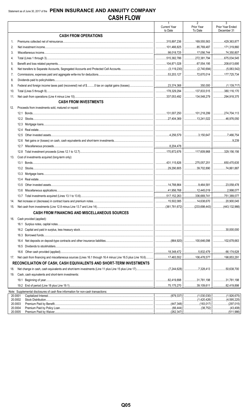|                    |                                                                                                                        | $\mathbf{1}$                   | $\overline{2}$                          | $\overline{3}$                    |
|--------------------|------------------------------------------------------------------------------------------------------------------------|--------------------------------|-----------------------------------------|-----------------------------------|
|                    |                                                                                                                        | <b>Current Year</b><br>to Date | Prior Year<br>To Date                   | Prior Year Ended<br>December 31   |
|                    | <b>CASH FROM OPERATIONS</b>                                                                                            |                                |                                         |                                   |
| $1_{-}$            |                                                                                                                        | 315,897,236                    |                                         |                                   |
| 2.                 |                                                                                                                        |                                | $\ldots$ 85.769.487                     | 171,319,860                       |
| 3.                 |                                                                                                                        |                                |                                         |                                   |
| 4.                 |                                                                                                                        |                                | $\dots$ 272,381,794 675,034,545         |                                   |
| 5.                 |                                                                                                                        |                                | 67,554,195                              | 208,613,695                       |
|                    |                                                                                                                        |                                |                                         |                                   |
| 6.                 |                                                                                                                        |                                | 72,670,014   177,725,734                |                                   |
| 7.                 |                                                                                                                        |                                |                                         |                                   |
| 8.                 |                                                                                                                        |                                |                                         |                                   |
| 9.                 |                                                                                                                        |                                |                                         |                                   |
| 10.                |                                                                                                                        |                                | $\vert$ 137,833,515 $\vert$ 380,116,170 |                                   |
| 11.                |                                                                                                                        |                                |                                         |                                   |
|                    | <b>CASH FROM INVESTMENTS</b>                                                                                           |                                |                                         |                                   |
| 12.                | Proceeds from investments sold, matured or repaid:                                                                     |                                |                                         |                                   |
|                    |                                                                                                                        |                                |                                         |                                   |
|                    |                                                                                                                        |                                |                                         |                                   |
|                    |                                                                                                                        |                                |                                         |                                   |
|                    | 12.4                                                                                                                   |                                |                                         |                                   |
|                    | 12.5                                                                                                                   |                                |                                         |                                   |
|                    | 12.6                                                                                                                   |                                |                                         |                                   |
|                    | 12.7                                                                                                                   |                                |                                         |                                   |
|                    | 12.8                                                                                                                   |                                | 117,609,968 329,156,156                 |                                   |
| 13.                | Cost of investments acquired (long-term only):                                                                         |                                |                                         |                                   |
|                    |                                                                                                                        |                                |                                         |                                   |
|                    |                                                                                                                        |                                | 39,702,890   74,861,887                 |                                   |
|                    |                                                                                                                        |                                |                                         |                                   |
|                    | 13.4                                                                                                                   |                                |                                         |                                   |
|                    | 13.5                                                                                                                   |                                | 9,464,581                               | 23,058,478                        |
|                    |                                                                                                                        |                                |                                         |                                   |
|                    |                                                                                                                        |                                |                                         | $\dots$ 336,669,741   751,389,077 |
|                    |                                                                                                                        |                                | 14,638,670   20,900,045                 |                                   |
| 14.                |                                                                                                                        |                                |                                         |                                   |
| 15.                |                                                                                                                        |                                |                                         |                                   |
|                    | <b>CASH FROM FINANCING AND MISCELLANEOUS SOURCES</b>                                                                   |                                |                                         |                                   |
| 16.                | Cash provided (applied):                                                                                               |                                |                                         |                                   |
|                    |                                                                                                                        |                                |                                         |                                   |
|                    |                                                                                                                        |                                |                                         |                                   |
|                    |                                                                                                                        |                                |                                         |                                   |
|                    | 16.4                                                                                                                   |                                |                                         |                                   |
|                    | 16.5                                                                                                                   |                                |                                         |                                   |
|                    | 16.6                                                                                                                   |                                |                                         |                                   |
| 17.                | Net cash from financing and miscellaneous sources (Lines 16.1 through 16.4 minus Line 16.5 plus Line 16.6)  17,483,552 |                                |                                         |                                   |
|                    | RECONCILIATION OF CASH, CASH EQUIVALENTS AND SHORT-TERM INVESTMENTS                                                    |                                |                                         |                                   |
| 18.                |                                                                                                                        |                                |                                         |                                   |
| 19.                | Cash, cash equivalents and short-term investments:                                                                     |                                |                                         |                                   |
|                    | 19.1                                                                                                                   |                                | 31,781,198   31,781,198                 |                                   |
|                    |                                                                                                                        |                                | 39,109,611                              | .82,419,898<br>.                  |
|                    | Note: Supplemental disclosures of cash flow information for non-cash transactions:                                     |                                |                                         |                                   |
| 20.0001            |                                                                                                                        |                                | (1,030,030)<br>.                        | (1,926,675)<br>.                  |
| 20.0002            |                                                                                                                        |                                | (1,420,426)<br>.                        | (4,595,225)<br>.                  |
| 20.0003<br>20.0004 |                                                                                                                        |                                |                                         |                                   |
| 20.0005            |                                                                                                                        |                                |                                         |                                   |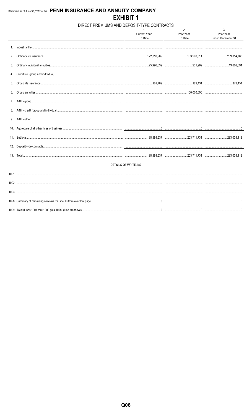# DIRECT PREMIUMS AND DEPOSIT-TYPE CONTRACTS

|    |                     | $\mathfrak{p}$ | 3                 |
|----|---------------------|----------------|-------------------|
|    | <b>Current Year</b> | Prior Year     | Prior Year        |
|    | To Date             | To Date        | Ended December 31 |
|    |                     |                |                   |
| 2. |                     |                |                   |
| 3. |                     |                |                   |
|    |                     |                |                   |
|    |                     |                |                   |
| 6. |                     |                |                   |
| 7. |                     |                |                   |
| 8. |                     |                |                   |
| 9. |                     |                |                   |
|    |                     |                |                   |
|    |                     |                |                   |
|    |                     |                |                   |
|    |                     |                |                   |

|                                                                     | <b>DETAILS OF WRITE-INS</b> |  |
|---------------------------------------------------------------------|-----------------------------|--|
|                                                                     |                             |  |
|                                                                     |                             |  |
|                                                                     |                             |  |
| 1098. Summary of remaining write-ins for Line 10 from overflow page |                             |  |
| 1099. Total (Lines 1001 thru 1003 plus 1098) (Line 10 above)        |                             |  |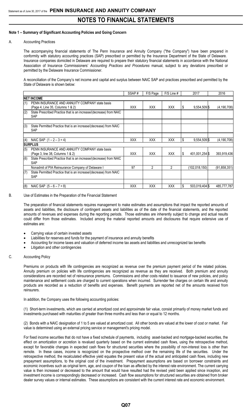### **Note 1 – Summary of Significant Accounting Policies and Going Concern**

#### A. Accounting Practices

The accompanying financial statements of The Penn Insurance and Annuity Company ("the Company") have been prepared in conformity with statutory accounting practices (SAP) prescribed or permitted by the Insurance Department of the State of Delaware. Insurance companies domiciled in Delaware are required to prepare their statutory financial statements in accordance with the National Association of Insurance Commissioners' *Accounting Practices and Procedures* manual, subject to any deviations prescribed or permitted by the Delaware Insurance Commissioner.

A reconciliation of the Company's net income and capital and surplus between NAIC SAP and practices prescribed and permitted by the State of Delaware is shown below:

|     |                                                                                    | SSAP#      | F/S Page   | F/S Line # |    | 2017            | 2016           |
|-----|------------------------------------------------------------------------------------|------------|------------|------------|----|-----------------|----------------|
|     | <b>INET INCOME</b>                                                                 |            |            |            |    |                 |                |
| (1) | PENN INSURANCE AND ANNUITY COMPANY state basis<br>(Page 4, Line 35, Columns 1 & 2) | <b>XXX</b> | <b>XXX</b> | <b>XXX</b> |    | 9,554,509 \$    | (4, 190, 708)  |
| (2) | State Prescribed Practice that is an increase/(decrease) from NAIC<br><b>SAP</b>   |            |            |            |    |                 |                |
| (3) | State Permitted Practice that is an increase/(decrease) from NAIC<br><b>SAP</b>    |            |            |            |    |                 |                |
| (4) | NAIC SAP $(1 - 2 - 3 = 4)$                                                         | <b>XXX</b> | <b>XXX</b> | <b>XXX</b> | \$ | $9,554,509$ \$  | (4, 190, 708)  |
|     | <b>SURPLUS</b>                                                                     |            |            |            |    |                 |                |
| (5) | PENN INSURANCE AND ANNUITY COMPANY state basis<br>(Page 3, line 38, Columns 1 & 2) | <b>XXX</b> | <b>XXX</b> | <b>XXX</b> |    | 401,001,254 \$  | 393,919,436    |
| (6) | State Prescribed Practice that is an increase/(decrease) from NAIC<br><b>SAP</b>   |            |            |            |    |                 |                |
|     | Nonadmit of PIA Reinsurance Company of Delaware I                                  | 97         | 2          | 2          |    | (102, 018, 150) | (91, 858, 351) |
| (7) | State Permitted Practice that is an increase/(decrease) from NAIC<br><b>SAP</b>    |            |            |            |    |                 |                |
| (8) | NAIC SAP $(5 - 6 - 7 = 8)$                                                         | <b>XXX</b> | <b>XXX</b> | <b>XXX</b> | S  | 503,019,404 \$  | 485,777,787    |

#### B. Use of Estimates in the Preparation of the Financial Statement

The preparation of financial statements requires management to make estimates and assumptions that impact the reported amounts of assets and liabilities, the disclosure of contingent assets and liabilities as of the date of the financial statements, and the reported amounts of revenues and expenses during the reporting periods. Those estimates are inherently subject to change and actual results could differ from those estimates. Included among the material reported amounts and disclosures that require extensive use of estimates are:

- Carrying value of certain invested assets
- Liabilities for reserves and funds for the payment of insurance and annuity benefits
- Accounting for income taxes and valuation of deferred income tax assets and liabilities and unrecognized tax benefits
- Litigation and other contingencies

#### C. Accounting Policy

Premiums on products with life contingencies are recognized as revenue over the premium payment period of the related policies. Annuity premium on policies with life contingencies are recognized as revenue as they are received. Both premium and annuity considerations are recorded net of reinsurance premiums. Commissions and other costs related to issuance of new policies, and policy maintenance and settlement costs are charged to current operations when incurred. Surrender fee charges on certain life and annuity products are recorded as a reduction of benefits and expenses. Benefit payments are reported net of the amounts received from reinsurers.

In addition, the Company uses the following accounting policies:

(1) Short-term investments, which are carried at amortized cost and approximate fair value, consist primarily of money market funds and investments purchased with maturities of greater than three months and less than or equal to 12 months.

(2) Bonds with a NAIC designation of 1 to 5 are valued at amortized cost. All other bonds are valued at the lower of cost or market. Fair value is determined using an external pricing service or management's pricing model.

For fixed income securities that do not have a fixed schedule of payments, including asset-backed and mortgage-backed securities, the effect on amortization or accretion is revalued quarterly based on the current estimated cash flows, using the retrospective method, except for favorable changes in expected cash flows for structured securities where the possibility of non-interest loss is other than remote. In these cases, income is recognized on the prospective method over the remaining life of the securities. Under the retrospective method, the recalculated effective yield equates the present value of the actual and anticipated cash flows, including new prepayment assumptions, to the original cost of the investment. Prepayment assumptions are based on borrower constraints and economic incentives such as original term, age, and coupon of the loan as affected by the interest rate environment. The current carrying value is then increased or decreased to the amount that would have resulted had the revised yield been applied since inception, and investment income is correspondingly decreased or increased. Cash flow assumptions for structured securities are obtained from broker dealer survey values or internal estimates. These assumptions are consistent with the current interest rate and economic environment.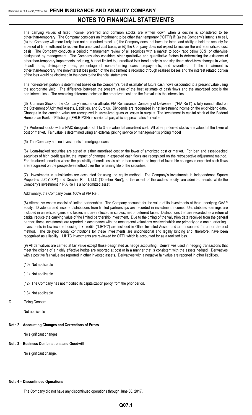The carrying values of fixed income, preferred and common stocks are written down when a decline is considered to be other-than-temporary. The Company considers an impairment to be other than temporary ("OTTI") if: (a) the Company's intent is to sell, (b) the Company will more likely than not be required to sell, (c) the Company does not have the intent and ability to hold the security for a period of time sufficient to recover the amortized cost basis, or (d) the Company does not expect to recover the entire amortized cost basis. The Company conducts a periodic management review of all securities with a market to book ratio below 80%, or otherwise designated by management. The Company also considers other qualitative and quantitative factors in determining the existence of other-than-temporary impairments including, but not limited to, unrealized loss trend analysis and significant short-term changes in value, default rates, delinquency rates, percentage of nonperforming loans, prepayments, and severities. If the impairment is other-than-temporary, the non-interest loss portion of the impairment is recorded through realized losses and the interest related portion of the loss would be disclosed in the notes to the financial statements.

The non-interest portion is determined based on the Company's "best estimate" of future cash flows discounted to a present value using the appropriate yield. The difference between the present value of the best estimate of cash flows and the amortized cost is the non-interest loss. The remaining difference between the amortized cost and the fair value is the interest loss.

(3) Common Stock of the Company's insurance affiliate, PIA Reinsurance Company of Delaware I ("PIA Re I") is fully nonadmitted on the Statement of Admitted Assets, Liabilities, and Surplus. Dividends are recognized in net investment income on the ex-dividend date. Changes in the carrying value are recognized in unrealized gains or losses in surplus. The investment in capital stock of the Federal Home Loan Bank of Pittsburgh (FHLB-PGH) is carried at par, which approximates fair value.

(4) Preferred stocks with a NAIC designation of 1 to 3 are valued at amortized cost. All other preferred stocks are valued at the lower of cost or market. Fair value is determined using an external pricing service or management's pricing model

(5) The Company has no investments in mortgage loans.

(6) Loan-backed securities are stated at either amortized cost or the lower of amortized cost or market. For loan and asset-backed securities of high credit quality, the impact of changes in expected cash flows are recognized on the retrospective adjustment method. For structured securities where the possibility of credit loss is other than remote, the impact of favorable changes in expected cash flows are recognized on the prospective method over the remaining life of the securities.

(7) Investments in subsidiaries are accounted for using the equity method. The Company's investments in Independence Square Properties LLC ("ISP") and Dresher Run I, LLC ("Dresher Run"), to the extent of the audited equity, are admitted assets, while the Company's investment in PIA Re I is a nonadmitted asset.

#### Additionally, the Company owns 100% of PIA Re I.

(8) Alternative Assets consist of limited partnerships. The Company accounts for the value of its investments at their underlying GAAP equity. Dividends and income distributions from limited partnerships are recorded in investment income. Undistributed earnings are included in unrealized gains and losses and are reflected in surplus, net of deferred taxes. Distributions that are recorded as a return of capital reduce the carrying value of the limited partnership investment. Due to the timing of the valuation data received from the general partner, these investments are reported in accordance with the most recent valuations received which are primarily on a one quarter lag. Investments in low income housing tax credits ("LIHTC") are included in Other Invested Assets and are accounted for under the cost method. The delayed equity contributions for these investments are unconditional and legally binding and, therefore, have been recognized as a liability. LIHTC investments are reviewed for OTTI, which is accounted for as a realized loss.

(9) All derivatives are carried at fair value except those designated as hedge accounting. Derivatives used in hedging transactions that meet the criteria of a highly effective hedge are reported at cost or in a manner that is consistent with the assets hedged. Derivatives with a positive fair value are reported in other invested assets. Derivatives with a negative fair value are reported in other liabilities**.**

- (10) Not applicable
- (11) Not applicable
- (12) The Company has not modified its capitalization policy from the prior period.
- (13) Not applicable
- D. Going Concern

Not applicable

#### **Note 2 – Accounting Changes and Corrections of Errors**

No significant changes

## **Note 3 – Business Combinations and Goodwill**

No significant change.

### **Note 4 – Discontinued Operations**

The Company did not have any discontinued operations through June 30, 2017.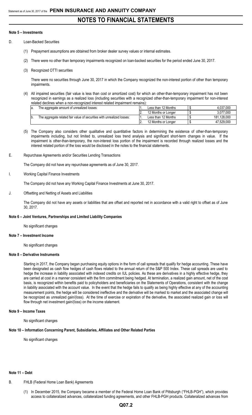#### **Note 5 – Investments**

- D. Loan-Backed Securities
	- (1) Prepayment assumptions are obtained from broker dealer survey values or internal estimates.
	- (2) There were no other than temporary impairments recognized on loan-backed securities for the period ended June 30, 2017.
	- (3) Recognized OTTI securities

There were no securities through June 30, 2017 in which the Company recognized the non-interest portion of other than temporary impairments.

(4) All impaired securities (fair value is less than cost or amortized cost) for which an other-than-temporary impairment has not been recognized in earnings as a realized loss (including securities with a recognized other-than-temporary impairment for non-interest related declines when a non-recognized interest related impairment remains):

| la. | The aggregate amount of unrealized losses:                             | Less than 12 Months | 4.037.000   |
|-----|------------------------------------------------------------------------|---------------------|-------------|
|     |                                                                        | 12 Months or Longer | 3.077.000   |
| b.  | The aggregate related fair value of securities with unrealized losses: | Less than 12 Months | 181.128.000 |
|     |                                                                        | 12 Months or Longer | 47.529.000  |

- (5) The Company also considers other qualitative and quantitative factors in determining the existence of other-than-temporary impairments including, but not limited to, unrealized loss trend analysis and significant short-term changes in value. If the impairment is other-than-temporary, the non-interest loss portion of the impairment is recorded through realized losses and the interest related portion of the loss would be disclosed in the notes to the financial statements.
- E. Repurchase Agreements and/or Securities Lending Transactions

The Company did not have any repurchase agreements as of June 30, 2017.

I. Working Capital Finance Investments

The Company did not have any Working Capital Finance Investments at June 30, 2017.

J. Offsetting and Netting of Assets and Liabilities

The Company did not have any assets or liabilities that are offset and reported net in accordance with a valid right to offset as of June 30, 2017.

#### **Note 6 – Joint Ventures, Partnerships and Limited Liability Companies**

No significant changes

#### **Note 7 – Investment Income**

No significant changes

### **Note 8 – Derivative Instruments**

Starting in 2017, the Company began purchasing equity options in the form of call spreads that qualify for hedge accounting. These have been designated as cash flow hedges of cash flows related to the annual return of the S&P 500 Index. These call spreads are used to hedge the increase in liability associated with indexed credits on IUL policies. As these are derivatives in a highly effective hedge, they are carried at cost in a manner consistent with the firm commitment being hedged. At termination, a realized gain amount, net of the cost basis, is recognized within benefits paid to policyholders and beneficiaries on the Statements of Operations, consistent with the change in liability associated with the account value. In the event that the hedge fails to qualify as being highly effective at any of the accounting measurement points, the hedge will be considered ineffective and the derivative will be marked to market and the associated change will be recognized as unrealized gain/(loss). At the time of exercise or expiration of the derivative, the associated realized gain or loss will flow through net investment gain/(loss) on the income statement.

#### **Note 9 – Income Taxes**

No significant changes

#### **Note 10 – Information Concerning Parent, Subsidiaries, Affiliates and Other Related Parties**

No significant changes

## **Note 11 – Debt**

- B. FHLB (Federal Home Loan Bank) Agreements
	- (1) In December 2015, the Company became a member of the Federal Home Loan Bank of Pittsburgh ("FHLB-PGH"), which provides access to collateralized advances, collateralized funding agreements, and other FHLB-PGH products. Collateralized advances from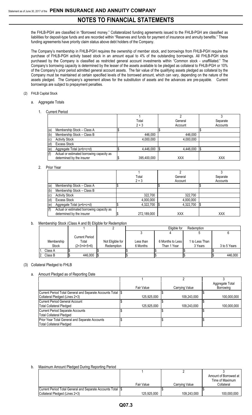the FHLB-PGH are classified in "Borrowed money." Collateralized funding agreements issued to the FHLB-PGH are classified as liabilities for deposit-type funds and are recorded within "Reserves and funds for payment of insurance and annuity benefits." These funding agreements have priority claim status above debt holders of the Company.

The Company's membership in FHLB-PGH requires the ownership of member stock, and borrowings from FHLB-PGH require the purchase of FHLB-PGH activity based stock in an amount equal to 4% of the outstanding borrowings. All FHLB-PGH stock purchased by the Company is classified as restricted general account investments within "Common stock - unaffiliated." The Company's borrowing capacity is determined by the lesser of the assets available to be pledged as collateral to FHLB-PGH or 10% of the Company's prior period admitted general account assets. The fair value of the qualifying assets pledged as collateral by the Company must be maintained at certain specified levels of the borrowed amount, which can vary, depending on the nature of the assets pledged. The Company's agreement allows for the substitution of assets and the advances are pre-payable. Current borrowings are subject to prepayment penalties.

### (2) FHLB Capital Stock

- a. Aggregate Totals
	- 1. Current Period

|     |                                           | Total       | General    | Separate   |  |
|-----|-------------------------------------------|-------------|------------|------------|--|
|     |                                           | $2 + 3$     | Account    | Accounts   |  |
| (a) | Membership Stock - Class A                |             |            |            |  |
| (b) | Membership Stock - Class B                | 446,000     | 446,000    |            |  |
| (c) | <b>Activity Stock</b>                     | 4,000,000   | 4,000,000  |            |  |
| (d) | <b>Excess Stock</b>                       |             |            |            |  |
| (e) | Aggregate Total (a+b+c+d)                 | 4.446.000   | 4,446,000  | Ι\$        |  |
| (f) | Actual or estimated borrowing capacity as |             |            |            |  |
|     | determined by the insurer                 | 395,400,000 | <b>XXX</b> | <b>XXX</b> |  |
|     |                                           |             |            |            |  |

### 2. Prior Year

|     | 1101 1 <del>c</del> ar                    |             |            |            |
|-----|-------------------------------------------|-------------|------------|------------|
|     |                                           |             |            |            |
|     |                                           | Total       | General    | Separate   |
|     |                                           | $2 + 3$     | Account    | Accounts   |
| (a) | Membership Stock - Class A                |             |            |            |
| (b) | Membership Stock - Class B                |             |            |            |
| (c) | <b>Activity Stock</b>                     | 322,700     | 322,700    |            |
| (d) | <b>Excess Stock</b>                       | 4,000,000   | 4,000,000  |            |
| (e) | Aggregate Total (a+b+c+d)                 | 4,322,700   | 4,322,700  |            |
| (f) | Actual or estimated borrowing capacity as |             |            |            |
|     | determined by the insurer                 | 272,189,000 | <b>XXX</b> | <b>XXX</b> |

#### b. Membership Stock (Class A and B) Eligible for Redemption

|              |                       |                  |           | Eligible for       | Redemption |                 |              |
|--------------|-----------------------|------------------|-----------|--------------------|------------|-----------------|--------------|
|              |                       |                  |           |                    |            |                 |              |
|              | <b>Current Period</b> |                  |           |                    |            |                 |              |
| Membership   | Total                 | Not Eligible for | Less than | 6 Months to Less I |            | 1 to Less Than_ |              |
| <b>Stock</b> | $(2+3+4+5+6)$         | Redemption       | 6 Months  | Than 1 Year        |            | 3 Years         | 3 to 5 Years |
| Class A      |                       |                  |           |                    |            |                 |              |
| Class B      | 446.000               |                  |           |                    |            |                 | 446.000      |

#### (3) Collateral Pledged to FHLB

## a. Amount Pledged as of Reporting Date

|                                                              |             |                | Aggregate Total |
|--------------------------------------------------------------|-------------|----------------|-----------------|
|                                                              | Fair Value  | Carrying Value | Borrowing       |
| Current Period Total General and Separate Accounts Total 1\$ |             |                |                 |
| Collateral Pledged (Lines 2+3)                               | 125.925.000 | 109,243,000    | 100,000,000     |
| Current Period General Account                               |             |                |                 |
| <b>Total Collateral Pledged</b>                              | 125.925.000 | 109,243,000    | 100,000,000     |
| Current Period Separate Accounts                             |             |                |                 |
| <b>Total Collateral Pledged</b>                              |             |                |                 |
| Prior Year Total General and Separate Accounts               |             |                |                 |
| <b>Total Collateral Pledged</b>                              |             |                |                 |

#### b. Maximum Amount Pledged During Reporting Period

|                                                            |             |                | Amount of Borrowed at |
|------------------------------------------------------------|-------------|----------------|-----------------------|
|                                                            |             |                | Time of Maximum       |
|                                                            | Fair Value  | Carrying Value | Collateral            |
| Current Period Total General and Separate Accounts Total S |             |                |                       |
| Collateral Pledged (Lines 2+3)                             | 125.925.000 | 109.243.000    | 100.000.000           |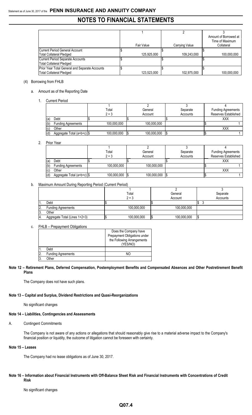|                                                |             |                | Amount of Borrowed at |
|------------------------------------------------|-------------|----------------|-----------------------|
|                                                |             |                | Time of Maximum       |
|                                                | Fair Value  | Carrying Value | Collateral            |
| Current Period General Account                 |             |                |                       |
| <b>Total Collateral Pledged</b>                | 125.925.000 | 109,243,000    | 100.000.000           |
| Current Period Separate Accounts               |             |                |                       |
| <b>Total Collateral Pledged</b>                |             |                |                       |
| Prior Year Total General and Separate Accounts |             |                |                       |
| <b>Total Collateral Pledged</b>                | 123.523.000 | 102,975,000    | 100.000.000           |

# (4) Borrowing from FHLB

### a. Amount as of the Reporting Date

1. Current Period

|     |                              | Total       | General     | Separate | <b>Funding Agreements</b> |  |  |  |
|-----|------------------------------|-------------|-------------|----------|---------------------------|--|--|--|
|     |                              | $2 + 3$     | Account     | Accounts | Reserves Established      |  |  |  |
| (a) | Debt                         |             |             |          | <b>XXX</b>                |  |  |  |
| (b) | <b>Funding Agreements</b>    | 100,000,000 | 100,000,000 |          |                           |  |  |  |
| (c) | Other                        |             |             |          | XXX                       |  |  |  |
| (d) | Aggregate Total (a+b+c)   \$ | 100,000,000 | 100,000,000 |          |                           |  |  |  |

### 2. Prior Year

|     |                            | Total       | General     | Separate | <b>Funding Agreements</b> |
|-----|----------------------------|-------------|-------------|----------|---------------------------|
|     |                            | $2 + 3$     | Account     | Accounts | Reserves Established      |
| (a) | Debt                       |             |             |          | <b>XXX</b>                |
| (b) | <b>Funding Agreements</b>  | 100,000,000 | 100,000,000 |          |                           |
| (c) | Other                      |             |             |          | XXX                       |
| (d) | Aggregate Total (a+b+c) \$ | 100,000,000 | 100,000,000 |          |                           |

# b. Maximum Amount During Reporting Period (Current Period)

|     |                               | Total       | General     |    | Separate |
|-----|-------------------------------|-------------|-------------|----|----------|
|     |                               | $2 + 3$     | Account     |    | Accounts |
| ١1. | Debt                          |             |             |    |          |
| 2.  | <b>Funding Agreements</b>     | 100,000,000 | 100,000,000 |    |          |
| 3.  | Other                         |             |             |    |          |
| 4.  | Aggregate Total (Lines 1+2+3) | 100,000,000 | 100,000,000 | 13 |          |

#### c. FHLB – Prepayment Obligations

|                |                           | Does the Company have        |
|----------------|---------------------------|------------------------------|
|                |                           | Prepayment Obligations under |
|                |                           | the Following Arrangements   |
|                |                           | (YES/NO)                     |
|                | Debt                      |                              |
| $\overline{2}$ | <b>Funding Agreements</b> | NΩ                           |
| $\overline{3}$ | )ther                     |                              |

### **Note 12 – Retirement Plans, Deferred Compensation, Postemployment Benefits and Compensated Absences and Other Postretirement Benefit Plans**

The Company does not have such plans.

# **Note 13 – Capital and Surplus, Dividend Restrictions and Quasi-Reorganizations**

No significant changes

# **Note 14 – Liabilities, Contingencies and Assessments**

# A. Contingent Commitments

The Company is not aware of any actions or allegations that should reasonably give rise to a material adverse impact to the Company's financial position or liquidity, the outcome of litigation cannot be foreseen with certainty.

# **Note 15 – Leases**

The Company had no lease obligations as of June 30, 2017.

# **Note 16 – Information about Financial Instruments with Off-Balance Sheet Risk and Financial Instruments with Concentrations of Credit Risk**

No significant changes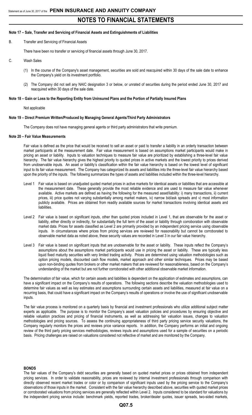#### **Note 17 – Sale, Transfer and Servicing of Financial Assets and Extinguishments of Liabilities**

B. Transfer and Servicing of Financial Assets

There have been no transfer or servicing of financial assets through June 30, 2017.

- C. Wash Sales
	- (1) In the course of the Company's asset management, securities are sold and reacquired within 30 days of the sale date to enhance the Company's yield on its investment portfolio.
	- (2) The Company did not sell any NAIC designation 3 or below, or unrated of securities during the period ended June 30, 2017 and reacquired within 30 days of the sale date.

#### **Note 18 – Gain or Loss to the Reporting Entity from Uninsured Plans and the Portion of Partially Insured Plans**

Not applicable

#### **Note 19 – Direct Premium Written/Produced by Managing General Agents/Third Party Administrators**

The Company does not have managing general agents or third party administrators that write premium.

#### **Note 20 – Fair Value Measurements**

Fair value is defined as the price that would be received to sell an asset or paid to transfer a liability in an orderly transaction between market participants at the measurement date. Fair value measurement is based on assumptions market participants would make in pricing an asset or liability. Inputs to valuation techniques to measure fair value are prioritized by establishing a three-level fair value hierarchy. The fair value hierarchy gives the highest priority to quoted prices in active markets and the lowest priority to prices derived from unobservable inputs. An asset or liability's classification within the fair value hierarchy is based on the lowest level of significant input to its fair value measurement. The Company has categorized its assets and liabilities into the three-level fair value hierarchy based upon the priority of the inputs. The following summarizes the types of assets and liabilities included within the three-level hierarchy.

- Level 1 Fair value is based on unadjusted quoted market prices in active markets for identical assets or liabilities that are accessible at the measurement date. These generally provide the most reliable evidence and are used to measure fair value whenever available. Active markets are defined as having the following for the measured asset/liability: i) many transactions, ii) current prices, iii) price quotes not varying substantially among market makers, iv) narrow bid/ask spreads and v) most information publicly available. Prices are obtained from readily available sources for market transactions involving identical assets and liabilities.
- Level 2 Fair value is based on significant inputs, other than quoted prices included in Level 1, that are observable for the asset or liability, either directly or indirectly, for substantially the full term of the asset or liability through corroboration with observable market data. Prices for assets classified as Level 2 are primarily provided by an independent pricing service using observable inputs. In circumstances where prices from pricing services are reviewed for reasonability but cannot be corroborated to observable market data as noted above, these security values are recorded in Level 3 in our fair value hierarchy.
- Level 3 Fair value is based on significant inputs that are unobservable for the asset or liability. These inputs reflect the Company's assumptions about the assumptions market participants would use in pricing the asset or liability. These are typically less liquid fixed maturity securities with very limited trading activity. Prices are determined using valuation methodologies such as option pricing models, discounted cash flow models, market approach and other similar techniques. Prices may be based upon non-binding quotes from brokers or other market makers that are reviewed for reasonableness, based on the Company's understanding of the market but are not further corroborated with other additional observable market information.

The determination of fair value, which for certain assets and liabilities is dependent on the application of estimates and assumptions, can have a significant impact on the Company's results of operations. The following sections describe the valuation methodologies used to determine fair values as well as key estimates and assumptions surrounding certain assets and liabilities, measured at fair value on a recurring basis, that could have a significant impact on the Company's results of operations or involve the use of significant unobservable inputs.

The fair value process is monitored on a quarterly basis by financial and investment professionals who utilize additional subject matter experts as applicable. The purpose is to monitor the Company's asset valuation policies and procedures by ensuring objective and reliable valuation practices and pricing of financial instruments, as well as addressing fair valuation issues, changes to valuation methodologies and pricing sources. To assess the continuing appropriateness of third party pricing service security valuations, the Company regularly monitors the prices and reviews price variance reports. In addition, the Company performs an initial and ongoing review of the third party pricing services methodologies, reviews inputs and assumptions used for a sample of securities on a periodic basis. Pricing challenges are raised on valuations considered not reflective of market and are monitored by the Company.

#### **BONDS**

The fair values of the Company's debt securities are generally based on quoted market prices or prices obtained from independent pricing services. In order to validate reasonability, prices are reviewed by internal investment professionals through comparison with directly observed recent market trades or color or by comparison of significant inputs used by the pricing service to the Company's observations of those inputs in the market. Consistent with the fair value hierarchy described above, securities with quoted market prices or corroborated valuations from pricing services are generally reflected within Level 2. Inputs considered to be standard for valuations by the independent pricing service include: benchmark yields, reported trades, broker/dealer quotes, issuer spreads, two-sided markets,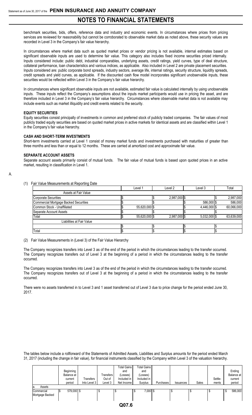benchmark securities, bids, offers, reference data and industry and economic events. In circumstances where prices from pricing services are reviewed for reasonability but cannot be corroborated to observable market data as noted above, these security values are recorded in Level 3 in the Company's fair value hierarchy.

In circumstances where market data such as quoted market prices or vendor pricing is not available, internal estimates based on significant observable inputs are used to determine fair value. This category also includes fixed income securities priced internally. Inputs considered include: public debt, industrial comparables, underlying assets, credit ratings, yield curves, type of deal structure, collateral performance, loan characteristics and various indices, as applicable. Also included in Level 2 are private placement securities. Inputs considered are: public corporate bond spreads, industry sectors, average life, internal ratings, security structure, liquidity spreads, credit spreads and yield curves, as applicable. If the discounted cash flow model incorporates significant unobservable inputs, these securities would be reflected within Level 3 in the Company's fair value hierarchy.

In circumstances where significant observable inputs are not available, estimated fair value is calculated internally by using unobservable inputs. These inputs reflect the Company's assumptions about the inputs market participants would use in pricing the asset, and are therefore included in Level 3 in the Company's fair value hierarchy. Circumstances where observable market data is not available may include events such as market illiquidity and credit events related to the security.

### **EQUITY SECURITIES**

Equity securities consist principally of investments in common and preferred stock of publicly traded companies. The fair values of most publicly traded equity securities are based on quoted market prices in active markets for identical assets and are classified within Level 1 in the Company's fair value hierarchy.

### **CASH AND SHORT-TERM INVESTMENTS**

Short-term investments carried at Level 1 consist of money market funds and investments purchased with maturities of greater than three months and less than or equal to 12 months. These are carried at amortized cost and approximate fair value.

#### **SEPARATE ACCOUNT ASSETS**

Separate account assets primarily consist of mutual funds. The fair value of mutual funds is based upon quoted prices in an active market, resulting in classification in Level 1.

# A.

(1) Fair Value Measurements at Reporting Date

|                                       | Level 1       | Level 2      | Level 3        | Total      |
|---------------------------------------|---------------|--------------|----------------|------------|
| Assets at Fair Value                  |               |              |                |            |
| <b>Corporate Securities</b>           |               | 2,987,000 \$ |                | 2,987,000  |
| Commercial Mortgage Backed Securities |               |              | 586,000 \$     | 586,000    |
| Common Stock - Unaffiliated           | 55,620,000 \$ |              | 4,446,000 \$   | 60,066,000 |
| Separate Account Assets               |               |              |                |            |
| Total                                 | 55,620,000 \$ | 2,987,000 \$ | $5,032,000$ \$ | 63,639,000 |
| Liabilities at Fair Value             |               |              |                |            |
|                                       |               |              |                |            |
| Total                                 |               |              |                |            |

(2) Fair Value Measurements in (Level 3) of the Fair Value Hierarchy

The Company recognizes transfers into Level 3 as of the end of the period in which the circumstances leading to the transfer occurred. The Company recognizes transfers out of Level 3 at the beginning of a period in which the circumstances leading to the transfer occurred.

The Company recognizes transfers into Level 3 as of the end of the period in which the circumstances leading to the transfer occurred. The Company recognizes transfers out of Level 3 at the beginning of a period in which the circumstances leading to the transfer occurred.

There were no assets transferred in to Level 3 and 1 asset transferred out of Level 3 due to price change for the period ended June 30, 2017.

The tables below include a rollforward of the Statements of Admitted Assets, Liabilities and Surplus amounts for the period ended March 31, 2017 (including the change in fair value), for financial instruments classified by the Company within Level 3 of the valuation hierarchy.

|                                                | Beginning<br>Balance at<br>current<br>period | Transfers<br>Into Level 3 | Transfers<br>Out of<br>Level 3 | <b>Total Gains</b><br>and<br>(Losses)<br>Included in<br>Net Income | <b>Total Gains</b><br>and<br>(Losses)<br>Included in<br>Surplus | <b>Purchases</b> | Issuances | Sales | Settle-<br>ments | Ending<br>Balance at<br>current<br>period |
|------------------------------------------------|----------------------------------------------|---------------------------|--------------------------------|--------------------------------------------------------------------|-----------------------------------------------------------------|------------------|-----------|-------|------------------|-------------------------------------------|
| Assets<br>la.<br>Commercial<br>Mortgage Backed | 579,000 \$                                   |                           |                                | $\sim$ $\sim$ $\sim$                                               | $7,000$ \$                                                      |                  |           | J     |                  | 586,000<br>۰J                             |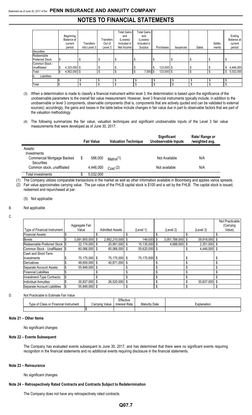# **NOTES TO FINANCIAL STATEMENTS**

|                        |                    |              |                  | <b>Total Gains</b> | <b>Total Gains</b> |                  |           |       |         |                |
|------------------------|--------------------|--------------|------------------|--------------------|--------------------|------------------|-----------|-------|---------|----------------|
|                        | Beginning          |              |                  | and                | and                |                  |           |       |         | Ending         |
|                        | Balance at         |              | <b>Transfers</b> | (Losses)           | (Losses)           |                  |           |       |         | Balance at     |
|                        | current            | Transfers    | Out of           | Included in        | Included in        |                  |           |       | Settle- | current        |
|                        | period             | Into Level 3 | Level 3          | Net Income         | Surplus            | Purchases        | Issuances | Sales | ments   | period         |
| <b>Securities</b>      |                    |              |                  |                    |                    |                  |           |       |         |                |
| Redeemable             |                    |              |                  |                    |                    |                  |           |       |         |                |
| <b>Preferred Stock</b> |                    |              | Œ                |                    | S                  |                  | \$        | \$    |         |                |
| Common Stock -         |                    |              |                  |                    |                    |                  |           |       |         |                |
| Unaffiliated           | 4,323,000 \$       |              | \$               |                    | Ŝ.                 | \$<br>123,000 \$ |           | \$    |         | 4,446,000      |
| Total                  | \$<br>4,902,000 \$ |              | \$               |                    | $7,000$ \$<br>Ŝ.   | $123,000$ \$     |           | \$    |         | 5,032,000<br>S |
| Liabilities<br>Ib.     |                    |              |                  |                    |                    |                  |           |       |         |                |
|                        |                    |              |                  | \$                 |                    |                  | \$        | \$    | \$      |                |
| Total                  |                    |              |                  | \$                 |                    |                  | \$        | \$    |         |                |

- (3) When a determination is made to classify a financial instrument within level 3, the determination is based upon the significance of the unobservable parameters to the overall fair value measurement. However, level 3 financial instruments typically include, in addition to the unobservable or level 3 components, observable components (that is, components that are actively quoted and can be validated to external sources); accordingly, the gains and losses in the table below include changes in fair value due in part to observable factors that are part of the valuation methodology.
- (4) The following summarizes the fair value, valuation techniques and significant unobservable inputs of the Level 3 fair value measurements that were developed as of June 30, 2017:

|                                                 | <b>Fair Value</b> | <b>Valuation Technique</b> | Significant<br><b>Unobservable Inputs</b> | Rate/ Range or<br>/weighted avg. |
|-------------------------------------------------|-------------------|----------------------------|-------------------------------------------|----------------------------------|
| Assets:<br>Investments                          |                   |                            |                                           |                                  |
| Commercial Mortgage Backed<br><b>Securities</b> | \$<br>586,000     | Matrix(1)                  | Not Available                             | N/A                              |
| Common stock, unaffiliated                      | 4,446,000         | Cost(2)                    | Not available                             | N/A                              |
| Total investments                               | 5,032,000         |                            |                                           |                                  |

(1) The Company utilizes comparable transactions in the market as well as other information available in Bloomberg and applies varios spreads. (2) Fair value approximates carrying value. The par value of the FHLB capital stock is \$100 and is set by the FHLB. The capital stock is issued, redeemed and repurchased at par.

#### (5) Not applicable

#### B. Not applicable

C.

|                                | Aggregate Fair     |                        |               |     |               |                |   | Not Practicable<br>(Carrying |
|--------------------------------|--------------------|------------------------|---------------|-----|---------------|----------------|---|------------------------------|
| Type of Financial Instrument   | Value              | <b>Admitted Assets</b> | (Level 1)     |     | (Level 2)     | (Level 3)      |   | Value)                       |
| <b>Financial Assets:</b>       |                    |                        |               |     |               |                |   |                              |
| <b>Bonds</b>                   | $3,091,855,000$ \$ | 2,892,210,000 \$       | 149,000 \$    |     | 3,051,788,000 | 39,918,000 \$  |   |                              |
| Redeemable Preferred Stock \\$ | 22,174,000 \$      | 20,991,000 \$          | 15,135,000 \$ |     | 4.688.000     | $2,351,000$ \$ |   |                              |
| Common Stock - Unaffiliated S  | 60,066,000 \$      | 60,066,000 \$          | 55,620,000 \$ |     |               | 4.446.000 \$   |   |                              |
| <b>Cash and Short-Term</b>     |                    |                        |               |     |               |                |   |                              |
| Investments                    | 75,175,000 \$      | 75,175,000 \$          | 75.175.000 \$ |     |               |                |   |                              |
| <b>Derivatives</b>             | 48.659.000 \$      | 40.871.000 \$          |               |     |               |                |   |                              |
| Separate Account Assets        | 55.848.000 \$      |                        |               |     |               |                |   |                              |
| <b>Financial Liabilities</b>   |                    |                        |               |     |               |                |   |                              |
| Investment-Type Contracts:     |                    |                        |               |     |               |                | ፍ |                              |
| <b>Individual Annuities</b>    | 30,837,000 \$      | 26.520.000 \$          |               |     |               | 30.837.000 \$  |   |                              |
| Separate Account Liabilities   | 55,848,000 \$      |                        |               | \$. |               |                |   |                              |

#### D. Not Practicable to Estimate Fair Value

|                                            |                | Effective     |                      |             |
|--------------------------------------------|----------------|---------------|----------------------|-------------|
| f Class or Financial Instrument<br>⊺vpe of | Carrying Value | Interest Rate | <b>Maturity Date</b> | ∟xplanation |
|                                            |                |               |                      |             |

#### **Note 21 – Other Items**

No significant changes

#### **Note 22 – Events Subsequent**

The Company has evaluated events subsequent to June 30, 2017, and has determined that there were no significant events requiring recognition in the financial statements and no additional events requiring disclosure in the financial statements.

#### **Note 23 – Reinsurance**

No significant changes

#### **Note 24 – Retrospectively Rated Contracts and Contracts Subject to Redetermination**

The Company does not have any retrospectively rated contracts.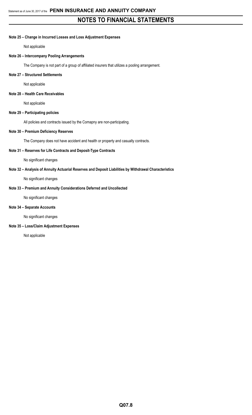### **Note 25 – Change in Incurred Losses and Loss Adjustment Expenses**

Not applicable

## **Note 26 – Intercompany Pooling Arrangements**

The Company is not part of a group of affiliated insurers that utilizes a pooling arrangement.

### **Note 27 – Structured Settlements**

Not applicable

## **Note 28 – Health Care Receivables**

Not applicable

## **Note 29 – Participating policies**

All policies and contracts issued by the Comapny are non-participating.

### **Note 30 – Premium Deficiency Reserves**

The Company does not have accident and health or property and casualty contracts.

## **Note 31 – Reserves for Life Contracts and Deposit-Type Contracts**

No significant changes

# **Note 32 – Analysis of Annuity Actuarial Reserves and Deposit Liabilities by Withdrawal Characteristics**

No significant changes

## **Note 33 – Premium and Annuity Considerations Deferred and Uncollected**

No significant changes

# **Note 34 – Separate Accounts**

No significant changes

## **Note 35 – Loss/Claim Adjustment Expenses**

Not applicable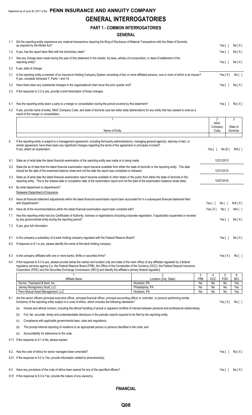# Statement as of June 30, 2017 of the **PENN INSURANCE AND ANNUITY COMPANY GENERAL INTERROGATORIES**

# **PART 1 - COMMON INTERROGATORIES**

|     | PART 1 - COMMON INTERROGATORIES                                                                                                                                                                                                                                                                                                                                                                                                              |                                           |                       |                       |                         |
|-----|----------------------------------------------------------------------------------------------------------------------------------------------------------------------------------------------------------------------------------------------------------------------------------------------------------------------------------------------------------------------------------------------------------------------------------------------|-------------------------------------------|-----------------------|-----------------------|-------------------------|
|     | <b>GENERAL</b>                                                                                                                                                                                                                                                                                                                                                                                                                               |                                           |                       |                       |                         |
|     | 1.1 Did the reporting entity experience any material transactions requiring the filing of Disclosure of Material Transactions with the State of Domicile,                                                                                                                                                                                                                                                                                    |                                           |                       |                       |                         |
|     | as required by the Model Act?                                                                                                                                                                                                                                                                                                                                                                                                                |                                           |                       | Yes $\lceil \ \rceil$ | No[X]                   |
| 1.2 | If yes, has the report been filed with the domiciliary state?                                                                                                                                                                                                                                                                                                                                                                                |                                           |                       | Yes[ ]                | No[X]                   |
| 2.1 | Has any change been made during the year of this statement in the charter, by-laws, articles of incorporation, or deed of settlement of the<br>reporting entity?                                                                                                                                                                                                                                                                             |                                           |                       | Yes[ ]                | No[X]                   |
| 2.2 | If yes, date of change:                                                                                                                                                                                                                                                                                                                                                                                                                      |                                           |                       |                       |                         |
| 3.1 | Is the reporting entity a member of an Insurance Holding Company System consisting of two or more affiliated persons, one or more of which is an insurer?<br>If yes, complete Schedule Y, Parts 1 and 1A.                                                                                                                                                                                                                                    |                                           |                       | Yes[X]                | No[ ]                   |
| 3.2 | Have there been any substantial changes in the organizational chart since the prior quarter end?                                                                                                                                                                                                                                                                                                                                             |                                           |                       | Yes $\lceil \ \rceil$ | No[X]                   |
| 3.3 | If the response to 3.2 is yes, provide a brief description of those changes.                                                                                                                                                                                                                                                                                                                                                                 |                                           |                       |                       |                         |
| 4.1 | Has the reporting entity been a party to a merger or consolidation during the period covered by this statement?                                                                                                                                                                                                                                                                                                                              |                                           |                       | Yes $[ \ ]$           | No[X]                   |
| 4.2 | If yes, provide name of entity, NAIC Company Code, and state of domicile (use two letter state abbreviation) for any entity that has ceased to exist as a<br>result of the merger or consolidation.                                                                                                                                                                                                                                          |                                           |                       |                       |                         |
|     | 1                                                                                                                                                                                                                                                                                                                                                                                                                                            |                                           | 2<br><b>NAIC</b>      |                       | 3                       |
|     |                                                                                                                                                                                                                                                                                                                                                                                                                                              |                                           | Company               |                       | State of                |
|     | Name of Entity                                                                                                                                                                                                                                                                                                                                                                                                                               |                                           | Code                  |                       | Domicile                |
| 5.  | If the reporting entity is subject to a management agreement, including third-party administrator(s), managing general agent(s), attorney-in-fact, or<br>similar agreement, have there been any significant changes regarding the terms of the agreement or principals involved?<br>If yes, attach an explanation.                                                                                                                           |                                           | Yes $\lceil \ \rceil$ | No[X]                 | N/A [ ]                 |
| 6.1 | State as of what date the latest financial examination of the reporting entity was made or is being made.                                                                                                                                                                                                                                                                                                                                    |                                           |                       | 12/31/2015            |                         |
| 6.2 | State the as of date that the latest financial examination report became available from either the state of domicile or the reporting entity. This date<br>should be the date of the examined balance sheet and not the date the report was completed or released.                                                                                                                                                                           |                                           |                       | 12/31/2015            |                         |
| 6.3 | State as of what date the latest financial examination report became available to other states or the public from either the state of domicile or the<br>reporting entity. This is the release date or completion date of the examination report and not the date of the examination (balance sheet date).                                                                                                                                   |                                           |                       | 10/07/2016            |                         |
| 6.4 | By what department or departments?                                                                                                                                                                                                                                                                                                                                                                                                           |                                           |                       |                       |                         |
|     | Delaware Department of Insurance                                                                                                                                                                                                                                                                                                                                                                                                             |                                           |                       |                       |                         |
| 6.5 | Have all financial statement adjustments within the latest financial examination report been accounted for in a subsequent financial statement filed<br>with Departments?                                                                                                                                                                                                                                                                    |                                           | Yes [ 1               | No[ ]                 | N/A[X]                  |
|     | 6.6 Have all of the recommendations within the latest financial examination report been complied with?                                                                                                                                                                                                                                                                                                                                       |                                           | Yes[X]                | No [ ]                | $N/A$ $\lceil$ $\rceil$ |
|     | 7.1 Has this reporting entity had any Certificates of Authority, licenses or registrations (including corporate registration, if applicable) suspended or revoked<br>by any governmental entity during the reporting period?                                                                                                                                                                                                                 |                                           |                       | Yes $\lceil$ 1        | No[X]                   |
| 7.2 | If yes, give full information:                                                                                                                                                                                                                                                                                                                                                                                                               |                                           |                       |                       |                         |
| 8.1 | Is the company a subsidiary of a bank holding company regulated with the Federal Reserve Board?                                                                                                                                                                                                                                                                                                                                              |                                           |                       | Yes $\lceil$ 1        | No[X]                   |
| 8.2 | If response to 8.1 is yes, please identify the name of the bank holding company.                                                                                                                                                                                                                                                                                                                                                             |                                           |                       |                       |                         |
| 8.3 | Is the company affiliated with one or more banks, thrifts or securities firms?                                                                                                                                                                                                                                                                                                                                                               |                                           |                       | Yes $[X]$             | No [ ]                  |
| 8.4 | If the response to 8.3 is yes, please provide below the names and location (city and state of the main office) of any affiliates regulated by a federal<br>regulatory services agency [i.e. the Federal Reserve Board (FRB), the Office of the Comptroller of the Currency (OCC), the Federal Deposit Insurance<br>Corporation (FDIC) and the Securities Exchange Commission (SEC)] and identify the affiliate's primary federal regulator]. |                                           |                       |                       |                         |
|     | Affiliate Name                                                                                                                                                                                                                                                                                                                                                                                                                               | 3<br>Location (City, State)<br><b>FRB</b> | 4<br>OCC              | 5<br><b>FDIC</b>      | 6<br><b>SEC</b>         |
|     | Hornor, Townsend & Kent, Inc.                                                                                                                                                                                                                                                                                                                                                                                                                | Horsham, PA<br>No                         | No                    | No                    | Yes                     |
|     | Janney Montgomery Scott, LLC                                                                                                                                                                                                                                                                                                                                                                                                                 | Philadelphia, PA<br>No                    | No                    | No                    | Yes                     |
|     | Penn Mutual Asset Management, LLC                                                                                                                                                                                                                                                                                                                                                                                                            | Horsham, PA<br>No                         | No                    | No                    | Yes                     |
| 9.1 | Are the senior officers (principal executive officer, principal financial officer, principal accounting officer or controller, or persons performing similar<br>functions) of the reporting entity subject to a code of ethics, which includes the following standards?<br>Honest and ethical conduct, including the ethical handling of actual or apparent conflicts of interest between personal and professional relationships;<br>(a)    |                                           |                       | Yes $[X]$             | No[ ]                   |

(b) Full, fair, accurate, timely and understandable disclosure in the periodic reports required to be filed by the reporting entity;

(c) Compliance with applicable governmental laws, rules and regulations;

(d) The prompt internal reporting of violations to an appropriate person or persons identified in the code; and

(e) Accountability for adherence to the code.

9.11 If the response to 9.1 is No, please explain:

| 9.2 Has the code of ethics for senior managers been amended?                     | Yes[] No[X] |  |
|----------------------------------------------------------------------------------|-------------|--|
| 9.21 If the response to 9.2 is Yes, provide information related to amendment(s). |             |  |

9.3 Have any provisions of the code of ethics been waived for any of the specified officers? Yes [ ] No [ X ]

9.31 If the response to 9.3 is Yes, provide the nature of any waiver(s).

**FINANCIAL**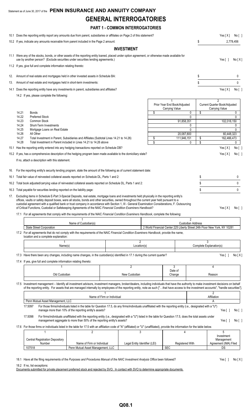# Statement as of June 30, 2017 of the **PENN INSURANCE AND ANNUITY COMPANY GENERAL INTERROGATORIES PART 1 - COMMON INTERROGATORIES** 10.1 Does the reporting entity report any amounts due from parent, subsidiaries or affiliates on Page 2 of this statement? Yes [X] No [ ] 10.2 If yes, indicate any amounts receivable from parent included in the Page 2 amount: \$ 2,778,456 **INVESTMENT**

| 11.1 Were any of the stocks, bonds, or other assets of the reporting entity loaned, placed under option agreement, or otherwise made available for<br>use by another person? (Exclude securities under securities lending agreements.) | Yesli     | No [X] |
|----------------------------------------------------------------------------------------------------------------------------------------------------------------------------------------------------------------------------------------|-----------|--------|
| 11.2 If yes, give full and complete information relating thereto:                                                                                                                                                                      |           |        |
| 12. Amount of real estate and mortgages held in other invested assets in Schedule BA:                                                                                                                                                  |           |        |
| 13. Amount of real estate and mortgages held in short-term investments:                                                                                                                                                                |           |        |
| 14.1 Does the reporting entity have any investments in parent, subsidiaries and affiliates?                                                                                                                                            | Yes [ X ] | No [ ] |

14.2 If yes, please complete the following:

|     |       | $14.2$ II yes, piease complete the idilowing                                                                                                                                                                                                                                                                                                                                                                      |                            |    |                                                                           |                         |                                                                   |              |
|-----|-------|-------------------------------------------------------------------------------------------------------------------------------------------------------------------------------------------------------------------------------------------------------------------------------------------------------------------------------------------------------------------------------------------------------------------|----------------------------|----|---------------------------------------------------------------------------|-------------------------|-------------------------------------------------------------------|--------------|
|     |       |                                                                                                                                                                                                                                                                                                                                                                                                                   |                            |    | Prior Year End Book/Adjusted<br>Carrying Value                            |                         | $\overline{2}$<br>Current Quarter Book/Adjusted<br>Carrying Value |              |
|     | 14.21 | <b>Bonds</b>                                                                                                                                                                                                                                                                                                                                                                                                      |                            | \$ | 0                                                                         | \$                      |                                                                   | 0            |
|     | 14.22 | <b>Preferred Stock</b>                                                                                                                                                                                                                                                                                                                                                                                            |                            |    | 0                                                                         |                         |                                                                   | $\mathbf{0}$ |
|     | 14.23 | Common Stock                                                                                                                                                                                                                                                                                                                                                                                                      |                            |    | 91,858,351                                                                |                         | 102,018,150                                                       |              |
|     | 14.24 | Short-Term Investments                                                                                                                                                                                                                                                                                                                                                                                            |                            |    | 0                                                                         |                         |                                                                   | 0            |
|     | 14.25 | Mortgage Loans on Real Estate                                                                                                                                                                                                                                                                                                                                                                                     |                            |    | 0                                                                         |                         |                                                                   | $\mathbf{0}$ |
|     | 14.26 | All Other                                                                                                                                                                                                                                                                                                                                                                                                         |                            |    | 20,087,800                                                                |                         | 60,448,323                                                        |              |
|     | 14.27 | Total Investment in Parent, Subsidiaries and Affiliates (Subtotal Lines 14.21 to 14.26)                                                                                                                                                                                                                                                                                                                           |                            | \$ | 111,946,151                                                               | \$                      | 162,466,473                                                       |              |
|     | 14.28 | Total Investment in Parent included in Lines 14.21 to 14.26 above                                                                                                                                                                                                                                                                                                                                                 |                            | \$ | 0                                                                         | $\overline{\mathsf{s}}$ |                                                                   | 0            |
|     |       | 15.1 Has the reporting entity entered into any hedging transactions reported on Schedule DB?                                                                                                                                                                                                                                                                                                                      |                            |    |                                                                           |                         | Yes $[X]$                                                         | No[          |
|     |       | 15.2 If yes, has a comprehensive description of the hedging program been made available to the domiciliary state?                                                                                                                                                                                                                                                                                                 |                            |    |                                                                           |                         | Yes[X]                                                            | No[ ]        |
|     |       | If no, attach a description with this statement.                                                                                                                                                                                                                                                                                                                                                                  |                            |    |                                                                           |                         |                                                                   |              |
| 16. |       | For the reporting entity's security lending program, state the amount of the following as of current statement date:                                                                                                                                                                                                                                                                                              |                            |    |                                                                           |                         |                                                                   |              |
|     |       | 16.1 Total fair value of reinvested collateral assets reported on Schedule DL, Parts 1 and 2:                                                                                                                                                                                                                                                                                                                     |                            |    |                                                                           | \$                      |                                                                   | 0            |
|     |       | 16.2 Total book adjusted/carrying value of reinvested collateral assets reported on Schedule DL, Parts 1 and 2:                                                                                                                                                                                                                                                                                                   |                            | \$ |                                                                           | 0                       |                                                                   |              |
|     |       | 16.3 Total payable for securities lending reported on the liability page:                                                                                                                                                                                                                                                                                                                                         |                            |    |                                                                           | \$                      |                                                                   | $\Omega$     |
|     |       | offices, vaults or safety deposit boxes, were all stocks, bonds and other securities, owned throughout the current year held pursuant to a<br>custodial agreement with a qualified bank or trust company in accordance with Section 1, III - General Examination Considerations, F. Outsourcing<br>of Critical Functions, Custodial or Safekeeping Agreements of the NAIC Financial Condition Examiners Handbook? |                            |    |                                                                           |                         | Yes $[X]$                                                         | No[ ]        |
|     |       | 17.1 For all agreements that comply with the requirements of the NAIC Financial Condition Examiners Handbook, complete the following:                                                                                                                                                                                                                                                                             |                            |    |                                                                           |                         |                                                                   |              |
|     |       | Name of Custodian(s)                                                                                                                                                                                                                                                                                                                                                                                              |                            |    | $\overline{2}$<br><b>Custodian Address</b>                                |                         |                                                                   |              |
|     |       | <b>State Street Corporation</b>                                                                                                                                                                                                                                                                                                                                                                                   |                            |    | 2 World Financial Center 225 Liberty Street 24th Floor New York, NY 10281 |                         |                                                                   |              |
|     |       | 17.2 For all agreements that do not comply with the requirements of the NAIC Financial Condition Examiners Handbook, provide the name,<br>location and a complete explanation:                                                                                                                                                                                                                                    |                            |    |                                                                           |                         |                                                                   |              |
|     |       | 1                                                                                                                                                                                                                                                                                                                                                                                                                 | $\overline{2}$             |    |                                                                           | $\overline{3}$          |                                                                   |              |
|     |       | Name(s)                                                                                                                                                                                                                                                                                                                                                                                                           | Location(s)                |    |                                                                           | Complete Explanation(s) |                                                                   |              |
|     |       | 17.3 Have there been any changes, including name changes, in the custodian(s) identified in 17.1 during the current quarter?                                                                                                                                                                                                                                                                                      |                            |    |                                                                           |                         | Yes[]                                                             | No[X]        |
|     |       | 17.4 If yes, give full and complete information relating thereto:                                                                                                                                                                                                                                                                                                                                                 |                            |    |                                                                           |                         |                                                                   |              |
|     |       |                                                                                                                                                                                                                                                                                                                                                                                                                   | $\overline{2}$             |    | 3                                                                         |                         | 4                                                                 |              |
|     |       | Old Custodian                                                                                                                                                                                                                                                                                                                                                                                                     | New Custodian              |    | Date of<br>Change                                                         |                         | Reason                                                            |              |
|     |       |                                                                                                                                                                                                                                                                                                                                                                                                                   |                            |    |                                                                           |                         |                                                                   |              |
|     |       | 17.5 Investment management - Identify all investment advisors, investment managers, broker/dealers, including individuals that have the authority to make investment decisions on behalf<br>of the reporting entity. For assets that are managed internally by employees of the reporting entity, note as such ["that have access to the investment accounts", "handle securities"]                               |                            |    |                                                                           |                         |                                                                   |              |
|     |       |                                                                                                                                                                                                                                                                                                                                                                                                                   |                            |    |                                                                           |                         | $\overline{2}$                                                    |              |
|     |       | Penn Mutual Asset Management, LLC                                                                                                                                                                                                                                                                                                                                                                                 | Name of Firm or Individual |    |                                                                           |                         | Affiliation<br>A                                                  |              |
|     |       |                                                                                                                                                                                                                                                                                                                                                                                                                   |                            |    |                                                                           |                         |                                                                   |              |

17.5097 For those firms/individuals listed in the table for Question 17.5, do any firms/individuals unaffiliated with the reporting entity (i.e., designated with a "U") manage more than 10% of the reporting entity's assets? The reporting entity's assets?

17.5098 For firms/individuals unaffiliated with the reporting entity (i.e., designated with a "U") listed in the table for Question 17.5, does the total assets under management aggregate to more than 50% of the reporting entity's assets? Yes [ ] No [ ]

17.6 For those firms or individuals listed in the table for 17.5 with an affiliation code of "A" (affiliated) or "U" (unaffiliated), provide the information for the table below.

|                                 |                                   |                               |                 | Investment            |
|---------------------------------|-----------------------------------|-------------------------------|-----------------|-----------------------|
| Central Registration Depository |                                   |                               |                 | Management            |
| <b>Number</b>                   | Name of Firm or Individual        | Legal Entity Identifier (LEI) | Registered With | Agreement (IMA) Filed |
| 107518                          | Penn Mutual Asset Management, LLC |                               | <b>SEC</b>      | <sub>n</sub><br>US.   |

18.1 Have all the filing requirements of the *Purposes and Procedures Manual of the NAIC Investment Analysis Office been followed*? Yes [ ] No [X]

18.2 If no, list exceptions:

Documents submitted for private placement preferred stock and rejected by SVO. In contact with SVO to determine appropriate documents.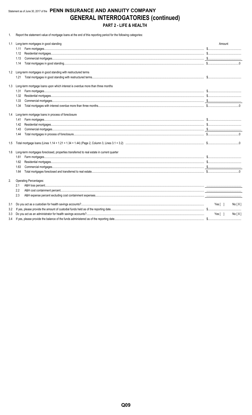# Statement as of June 30, 2017 of the PENN INSURANCE AND ANNUITY COMPANY **GENERAL INTERROGATORIES (continued)** PART 2 - LIFE & HEALTH

1. Report the statement value of mortgage loans at the end of this reporting period for the following categories:

| 1.1 | Long-term mortgages in good standing                                                     | Amount           |
|-----|------------------------------------------------------------------------------------------|------------------|
|     | 1.11                                                                                     |                  |
|     | 1.12                                                                                     |                  |
|     | 1.13                                                                                     |                  |
|     | 1.14                                                                                     |                  |
|     | 1.2 Long-term mortgages in good standing with restructured terms                         |                  |
|     | 1.21                                                                                     |                  |
| 1.3 | Long-term mortgage loans upon which interest is overdue more than three months           |                  |
|     | 1.31                                                                                     |                  |
|     | 1.32                                                                                     |                  |
|     | 1.33                                                                                     |                  |
|     | 1.34                                                                                     |                  |
|     | 1.4 Long-term mortgage loans in process of foreclosure                                   |                  |
|     | 1.41                                                                                     |                  |
|     | 1.42                                                                                     |                  |
|     | 1.43                                                                                     |                  |
|     | 1.44                                                                                     |                  |
| 1.5 |                                                                                          |                  |
| 1.6 | Long-term mortgages foreclosed, properties transferred to real estate in current quarter |                  |
|     | 1.61                                                                                     |                  |
|     | 1.62                                                                                     |                  |
|     | 1.63                                                                                     |                  |
|     | 1.64                                                                                     |                  |
| 2.  | Operating Percentages:                                                                   |                  |
|     | 2.1                                                                                      |                  |
|     | 2.2                                                                                      |                  |
|     | 2.3                                                                                      |                  |
| 3.1 |                                                                                          | Yes [ ]<br>No[X] |
| 3.2 |                                                                                          |                  |
| 3.3 |                                                                                          | Yes[ ]<br>No[X]  |
| 3.4 |                                                                                          |                  |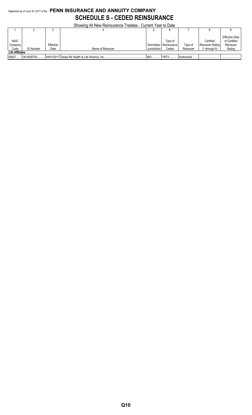# Statement as of June 30, 2017 of the **PENN INSURANCE AND ANNUITY COMPANY SCHEDULE S - CEDED REINSURANCE**

Showing All New Reinsurance Treaties - Current Year to Date

|                        |                  | v         |                   |              | о           |             |                  |                                       |
|------------------------|------------------|-----------|-------------------|--------------|-------------|-------------|------------------|---------------------------------------|
| <b>NAIC</b>            |                  |           |                   |              | Type of     |             | Certified        | <b>Effective Date</b><br>of Certified |
| Company                |                  | Effective |                   | Domiciliary  | Reinsurance | Type of     | Reinsurer Rating | Reinsurer                             |
| Code                   | <b>ID Number</b> | Date      | Name of Reinsurer | Jurisdiction | Ceded       | Reinsurer   | 1 through 6)     | Rating                                |
| <b>Life Affiliates</b> |                  |           |                   |              |             |             |                  |                                       |
| 82627                  | 06-0839705       |           |                   | IVIO         | YRT/I       | Authorized. |                  |                                       |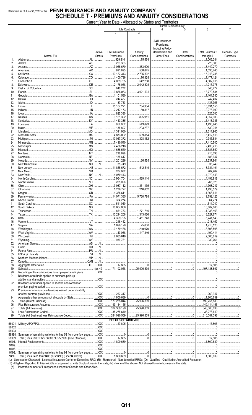# Statement as of June 30, 2017 of the PENN INSURANCE AND ANNUITY COMPANY **SCHEDULE T - PREMIUMS AND ANNUITY CONSIDERATIONS**

Current Year to Date - Allocated by States and Territories

|            |                                                                      | 1              |                             |                        | Direct Business Only    |                |                                   |              |
|------------|----------------------------------------------------------------------|----------------|-----------------------------|------------------------|-------------------------|----------------|-----------------------------------|--------------|
|            |                                                                      |                |                             | Life Contracts         |                         |                | 6                                 |              |
|            |                                                                      |                | $\overline{2}$              | 3                      |                         |                |                                   |              |
|            |                                                                      |                |                             |                        |                         |                |                                   |              |
|            |                                                                      |                |                             |                        | A&H Insurance           |                |                                   |              |
|            |                                                                      |                |                             |                        | Premiums.               |                |                                   |              |
|            |                                                                      |                |                             |                        | <b>Including Policy</b> |                |                                   |              |
|            |                                                                      | Active         | Life Insurance              | Annuity                | Membership and          | Other          | <b>Total Columns 2</b>            | Deposit-Type |
|            | States, Etc.                                                         | <b>Status</b>  | Premiums                    | Considerations         | Other Fees              | Considerations | through 5                         | Contracts    |
| 1.         | $\overline{A}$                                                       | . L            | .929,810                    | 75.574                 |                         |                | 1,005,384                         |              |
| 2.         |                                                                      | L              | 223,303                     |                        |                         |                | 223,303                           |              |
| 3.         |                                                                      | L              | $\ldots$ 3,065,670          | 383,600                |                         |                | $\ldots$ 3,449,270                |              |
| 4.         |                                                                      | . L            | 991,895                     | 538.845                |                         |                | 1.530.740                         |              |
| 5.         |                                                                      | . L            | 13,182,343                  | 2,735,892              |                         |                | 15,918,235                        |              |
| 6.         |                                                                      | L              | 1,400,796                   | 76,328                 |                         |                | 1,477,124                         |              |
| 7.         | .CT                                                                  | L              | 4,059,735                   | 542,280                |                         |                | 4,602,015                         |              |
| 8.         | Delaware                                                             | للمسالمين      | .2,175,068                  | $\ldots$ 2,042,308     |                         |                | 4,217,376                         |              |
| 9.         | DC                                                                   | . L            | .840,272                    |                        |                         |                | .840,272                          |              |
| 10.        |                                                                      | .L             | 9,858,053<br>.              | 3,921,531              |                         |                | 13,779,584                        |              |
| 11.        |                                                                      | .              | 1,101,530                   |                        |                         |                | 1,101,530                         |              |
|            |                                                                      | . L.           |                             |                        |                         |                |                                   |              |
| 12.        |                                                                      |                | 242,437                     |                        |                         |                | .242,437<br>.                     |              |
| 13.        |                                                                      | . L            | 137,753                     |                        |                         |                | 137,753                           |              |
| 14.        |                                                                      | L              | $\ldots$ 15,107,221         | 784,334                |                         |                | 15,891,555                        |              |
| 15.        |                                                                      | . L            | $\ldots$ 2,217,173          | 59,817                 |                         |                | $\ldots$ 2,276,990                |              |
| 16.        |                                                                      | . L            | .625,380<br>.               |                        |                         |                | .625,380<br>.                     |              |
| 17.        |                                                                      | L              | 3,161,392                   | 895,911                |                         |                | 4.057.303                         |              |
| 18.        |                                                                      | .              | 1,413,385                   |                        |                         |                | 1,413,385                         |              |
| 19.        |                                                                      | L              | 952,052                     | 543.893                |                         |                | 1,495,945                         |              |
| 20.        |                                                                      | . L            | .136,807                    | 293,237                |                         |                | 430,044                           |              |
| 21.        |                                                                      | L              | 1,311,960                   |                        |                         |                | 1.311.960                         |              |
| 22.        |                                                                      | L              | 4,873,002                   | 539,814                |                         |                | $\dots$ 5,412,816                 |              |
| 23.        |                                                                      | . L.           | 10,017,372                  | 328.162                |                         |                | 10,345,534                        |              |
| 24.        |                                                                      | .              |                             |                        |                         |                | 7,410,540                         |              |
| 25.        |                                                                      | L              | 2,438,218<br>.              |                        |                         |                | 2,438,218<br>$\ldots$             |              |
| 26.        |                                                                      | . L            | 1,685,550                   |                        |                         |                | 1,685,550                         |              |
| 27.        |                                                                      | L              | 216,698                     |                        |                         |                | 216,698                           |              |
| 28.        |                                                                      | L              | 188,647                     |                        |                         |                | 188,647                           |              |
| 29.        |                                                                      | L              | 1,201,296                   | 36,565                 |                         |                | 1,237,861                         |              |
| 30.        |                                                                      | N              | 35,749                      |                        |                         |                | 35,749                            |              |
|            |                                                                      |                |                             | 1.512.519              |                         |                |                                   |              |
| 31.        |                                                                      | . L            | 11,868,672                  |                        |                         |                | 13,381,191                        |              |
| 32.        |                                                                      | L              | 207,982                     |                        |                         |                | 207,982                           |              |
| 33.        |                                                                      | N              | 4,070,443                   |                        |                         |                | 4,070,443                         |              |
| 34.        |                                                                      | . L            | 3,964,704                   | 529,114                |                         |                | 4,493,818                         |              |
| 35.        |                                                                      | L              | .265,026<br>.               |                        |                         |                | .265,026<br>.                     |              |
| 36.        | HO                                                                   | . L.           | 3,937,112<br>.              | 831,135                |                         |                | .4,768,247<br>1, 1, 1, 1, 1, 1, 1 |              |
| 37.        |                                                                      | .              | 1,276,727                   | 216.852                |                         |                | 1,493,579                         |              |
| 38.        |                                                                      | L              | 1,366,611                   |                        |                         |                | 1,366,611<br>$\ldots$             |              |
| 39.        |                                                                      | . L            | 14,071,335                  | 5.720.788              |                         |                | 19,792,123                        |              |
| 40.        |                                                                      | L              | 364,274                     |                        |                         |                | 364,274                           |              |
| 41.        |                                                                      | L              | 511,040                     |                        |                         |                | 511.040                           |              |
| 42.        |                                                                      | L              | 10,607,006                  |                        |                         |                | 10,607,006                        |              |
| 43.        |                                                                      | .              | 661,753                     | 1.271.710              |                         |                | 1,933,463                         |              |
| 44.        | $\mathsf{L} \mathsf{T} \mathsf{X}$                                   | L              | 13,214,208                  | 313,466<br>.           |                         |                | 13,527,674                        |              |
| 45.        |                                                                      | L              | 4,329,795<br>.              | 1,411,748              |                         |                | 5,741,543<br>$\cdots$             |              |
| 46.        |                                                                      | L              | .218,452<br>.               |                        |                         |                | 218,452                           |              |
| 47.        |                                                                      | L              | 1,890,120                   | .25,000                |                         |                | 1,915,120                         |              |
| 48.        |                                                                      |                | 3,479,438                   | 219,070                |                         |                | 3.698.508                         |              |
| 49.        |                                                                      | L              | 43,068                      | 147.346                |                         |                | 190,414                           |              |
|            |                                                                      |                | 2,685,619                   |                        |                         |                | 2.685.619                         |              |
| 50.<br>51. |                                                                      |                | 339,761                     |                        |                         |                | 939,761                           |              |
|            |                                                                      |                |                             |                        |                         |                |                                   |              |
| 52.        |                                                                      |                |                             |                        |                         |                | 0                                 |              |
| 53.        |                                                                      | N              |                             |                        |                         |                |                                   |              |
| 54.        |                                                                      | N              |                             |                        |                         |                |                                   |              |
| 55.        |                                                                      | N              |                             |                        |                         |                |                                   |              |
| 56.        |                                                                      | N              |                             |                        |                         |                |                                   |              |
| 57.        | Canada                                                               | N              |                             |                        |                         |                |                                   |              |
| 58.        |                                                                      | $$ XXX         | 17,805                      | <u></u> 0              | <u></u> 0               |                | 17,805                            |              |
| 59.        |                                                                      |                | 171,192,058                 | 25,996,839             |                         |                | 197,188,897                       |              |
| 90.        | Reporting entity contributions for employee benefit plans            | $$ $XXX$       |                             |                        |                         |                |                                   |              |
| 91.        | Dividends or refunds applied to purchase paid-up                     |                |                             |                        |                         |                |                                   |              |
|            |                                                                      | $$ XXX         |                             |                        |                         |                |                                   |              |
| 92.        | Dividends or refunds applied to shorten endowment or                 |                |                             |                        |                         |                |                                   |              |
|            | .                                                                    | $\ldots$ XXX   |                             |                        |                         |                |                                   |              |
| 93.        | Premium or annuity considerations waived under disability            |                |                             |                        |                         |                |                                   |              |
|            |                                                                      | $\ldots$ XXX   | 262,347                     |                        |                         |                | 262.347                           |              |
| 94.        | Aggregate other amounts not allocable by State                       | XXX            | 1.800.639                   |                        | 0                       | 0              | 1,800,639                         |              |
| 95.        |                                                                      | $$ XXX         | 173,255,044                 | $\frac{1}{25.996.839}$ |                         |                | 199,251,883                       | 0            |
| 96.        |                                                                      | $$ XXX         | 149,114,155                 |                        |                         |                | 149,114,155                       |              |
|            |                                                                      | $$ XXX         | 322,369,199                 | 25,996,839             |                         |                | 348,366,038                       |              |
| 97.        |                                                                      | $$ $XXX$       | .                           |                        |                         |                | .38,278,640                       |              |
| 98.        |                                                                      |                | 38,278,640                  |                        |                         |                |                                   |              |
| 99.        |                                                                      | $$ XXX         | 284,090,559<br>$\ddotsc$    | 25,996,839<br>.        |                         |                | 310,087,398                       |              |
|            |                                                                      |                | <b>DETAILS OF WRITE-INS</b> |                        |                         |                |                                   |              |
|            |                                                                      | $\overline{X}$ | 17,805                      |                        |                         |                | 17.805                            |              |
| 58002.     |                                                                      | $$ XXX         |                             |                        |                         |                | 0                                 |              |
| 58003.     |                                                                      | $$ XXX         |                             |                        |                         |                |                                   |              |
|            | 58998. Summary of remaining write-ins for line 58 from overflow page | $$ XXX         | 0                           |                        |                         |                | 0                                 |              |
|            | 58999. Total (Lines 58001 thru 58003 plus 58998) (Line 58 above)     | $\ldots$ XXX   | 17,805                      |                        | 0                       |                | 17,805                            |              |
| 9401.      |                                                                      | $$ XXX         | 1,800,639                   |                        |                         |                | 1,800,639                         |              |
| 9402.      |                                                                      | XXX            |                             |                        |                         |                |                                   |              |
| 9403.      |                                                                      | $$ XXX         |                             |                        |                         |                |                                   |              |
| 9498.      | Summary of remaining write-ins for line 94 from overflow page        | XXX            |                             | 0                      |                         |                |                                   | 0            |
| 0.100      | Total (Lines 0401 thru0402 plue 0408) (Line 04 above)                | <b>VVV</b>     | 1.800620                    | $\sim$                 | $\sim$                  | $\sim$         | 1.800620                          |              |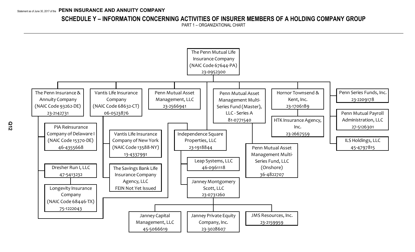# **SCHEDULE Y – INFORMATION CONCERNING ACTIVITIES OF INSURER MEMBERS OF A HOLDING COMPANY GROUP**

PART 1 – ORGANIZATIONAL CHART

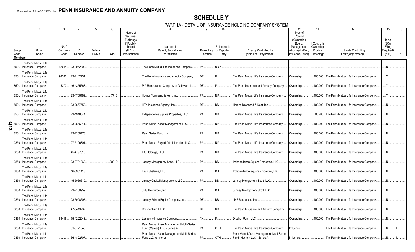# **SCHEDULE Y** PART 1A - DETAIL OF INSURANCE HOLDING COMPANY SYSTEM

|                         |                                                  |             |                  |             |            |                        |                                                                            |                  |                          | TA - DETAIL OF INSURANCE HOLDING COMPANT STSTEM |                              |                            |                                                  |                      |  |
|-------------------------|--------------------------------------------------|-------------|------------------|-------------|------------|------------------------|----------------------------------------------------------------------------|------------------|--------------------------|-------------------------------------------------|------------------------------|----------------------------|--------------------------------------------------|----------------------|--|
|                         |                                                  |             |                  |             |            | Name of                |                                                                            |                  | 10 <sup>°</sup>          |                                                 | $\overline{12}$<br>Type of   | 13                         |                                                  | 15                   |  |
|                         |                                                  |             |                  |             |            | Securities<br>Exchange |                                                                            |                  |                          |                                                 | Control<br>(Ownership        |                            |                                                  | Is an                |  |
|                         |                                                  | <b>NAIC</b> |                  |             |            | if Publicly<br>Traded  | Names of                                                                   |                  | Relationship             |                                                 | Board,<br>Management,        | If Control is<br>Ownership |                                                  | <b>SCA</b><br>Filing |  |
| Group                   | Group                                            | Compan      | ID               | Federal     |            | (U.S. or               | Parent, Subsidiaries                                                       |                  | Domiciliary to Reporting | Directly Controlled by                          | Attorney-in-Fact,            | Provide                    | <b>Ultimate Controlling</b>                      | Required?            |  |
| Code<br><b>Members</b>  | Name                                             | Code        | Number           | <b>RSSD</b> | <b>CIK</b> | International)         | or Affiliates                                                              | Location         | Entity                   | (Name of Entity/Person)                         | Influence, Other) Percentage |                            | Entity(ies)/Person(s)                            | (Y/N)                |  |
|                         | The Penn Mutual Life                             |             |                  |             |            |                        |                                                                            |                  |                          |                                                 |                              |                            |                                                  |                      |  |
| 850.                    | Insurance Company                                | 67644       | 23-0952300       |             |            |                        | The Penn Mutual Life Insurance Company.                                    | PA.              | UDP.                     |                                                 |                              |                            |                                                  | $N_{\cdot}$          |  |
| 850.                    | The Penn Mutual Life<br><b>Insurance Company</b> | 93262       | 23-2142731       |             |            |                        | The Penn Insurance and Annuity Company.                                    | DE.              | IA                       | The Penn Mutual Life Insurance Company.         | Ownership                    |                            | .100.000 The Penn Mutual Life Insurance Company  | $Y_{\cdots}$         |  |
| 850.                    | The Penn Mutual Life<br><b>Insurance Company</b> |             | 15370 46-4355668 |             |            |                        | PIA Reinsurance Company of Delaware I.                                     | DE               | IA                       | The Penn Insurance and Annuity Company          | Ownership.                   | .100.000                   | The Penn Mutual Life Insurance Company           | Y                    |  |
| 850.                    | The Penn Mutual Life<br>Insurance Company        |             | 23-1706189.      |             | .77131     |                        | Hornor Townsend & Kent, Inc.                                               | <b>PA</b>        | NIA.                     | The Penn Mutual Life Insurance Company.         | Ownership.                   | .100.000                   | The Penn Mutual Life Insurance Company           | Y                    |  |
| 850.                    | The Penn Mutual Life<br><b>Insurance Company</b> |             | 23-2667559       |             |            |                        | HTK Insurance Agency, Inc                                                  | <b>DE</b>        | <b>DS</b>                | Hornor Townsend & Kent, Inc                     | Ownership.                   | .100.000                   | The Penn Mutual Life Insurance Company.          | N                    |  |
| 850.                    | The Penn Mutual Life                             |             | 23-1918844       |             |            |                        | Independence Square Properties, LLC.                                       | <b>PA</b>        | NIA                      | The Penn Mutual Life Insurance Company.         |                              |                            | The Penn Mutual Life Insurance Company           | $N_{\cdot}$          |  |
|                         | Insurance Company                                |             |                  |             |            |                        |                                                                            |                  |                          |                                                 | Ownership.                   | 95.780                     |                                                  |                      |  |
| $\frac{2}{\omega}$ 850. | The Penn Mutual Life<br>Insurance Company        |             | 23-2566941       |             |            |                        | Penn Mutual Asset Management, LLC.                                         | <b>PA</b>        | NIA                      | The Penn Mutual Life Insurance Company.         | Ownership.                   | .100.000                   | The Penn Mutual Life Insurance Company           | .N.                  |  |
| 850.                    | The Penn Mutual Life<br>Insurance Company        |             | 23-2209178.      |             |            |                        | Penn Series Fund, Inc                                                      | $PA$ <sub></sub> | $NIA$                    | The Penn Mutual Life Insurance Company.         | Ownership.                   |                            | .100.000 The Penn Mutual Life Insurance Company. | N                    |  |
| 0850                    | The Penn Mutual Life<br>Insurance Company        |             | 27-5126301       |             |            |                        | Penn Mutual Pavroll Administration, LLC                                    | <b>PA</b>        | NIA                      | The Penn Mutual Life Insurance Company.         | Ownership.                   | .100.000                   | The Penn Mutual Life Insurance Company.          | $N_{\cdots}$         |  |
|                         | The Penn Mutual Life<br>0850 Insurance Company   |             | 45-4797815.      |             |            |                        | ILS Holdings, LLC.                                                         | <b>PA</b>        | NIA                      | The Penn Mutual Life Insurance Company.         | Ownership.                   | .100.000                   | The Penn Mutual Life Insurance Company           | $N_{\cdot}$          |  |
|                         | The Penn Mutual Life                             |             |                  |             |            |                        |                                                                            |                  |                          |                                                 |                              |                            |                                                  |                      |  |
|                         | 0850 Insurance Company                           |             | 23-0731260       |             | 200401     |                        | Janney Montgomery Scott, LLC                                               | <b>PA</b>        | DS                       | Independence Square Properties, LLC.            | Ownership.                   | .100.000                   | The Penn Mutual Life Insurance Company           | N                    |  |
|                         | The Penn Mutual Life<br>0850 Insurance Company   |             | 46-0961118.      |             |            |                        | Leap Systems, LLC                                                          | <b>PA</b>        | DS                       | Independence Square Properties, LLC.            | Ownership.                   | .100.000                   | The Penn Mutual Life Insurance Company           | $N$                  |  |
|                         | The Penn Mutual Life<br>0850 Insurance Company   |             | 45-5066619       |             |            |                        | Janney Capital Management, LLC.                                            | <b>PA</b>        | DS                       | Janney Montgomery Scott, LLC.                   | Ownership.                   | .100.000                   | The Penn Mutual Life Insurance Company           | $N_{\cdot}$          |  |
| 0850                    | The Penn Mutual Life<br>Insurance Company        |             | 23-2159959.      |             |            |                        | JMS Resources. Inc                                                         | <b>PA</b>        | DS                       | Janney Montgomery Scott, LLC                    | Ownership.                   | .100.000                   | The Penn Mutual Life Insurance Company           | .N.                  |  |
| 0850                    | The Penn Mutual Life<br>Insurance Company        |             | 23-3028607       |             |            |                        | Janney Private Equity Company, Inc                                         | <b>DE</b>        | DS.                      | JMS Resources, Inc                              | Ownership                    | .100.000                   | The Penn Mutual Life Insurance Company           | .N                   |  |
|                         | The Penn Mutual Life<br>0850 Insurance Company   |             | 47-5413232.      |             |            |                        | Dresher Run I. LLC                                                         | <b>DE</b>        | NIA                      | The Penn Insurance and Annuity Company          | Ownership.                   | .100.000                   | The Penn Mutual Life Insurance Company           | N                    |  |
|                         | The Penn Mutual Life<br>0850 Insurance Company   | 68446       | 75-1222043       |             |            |                        | Longevity Insurance Company                                                | <b>TX</b>        | IA                       | Dresher Run I. LLC                              | Ownership.                   |                            | .100.000 The Penn Mutual Life Insurance Company. | $N_{\cdots}$         |  |
|                         | The Penn Mutual Life                             |             |                  |             |            |                        |                                                                            |                  |                          |                                                 |                              |                            |                                                  |                      |  |
|                         | 0850 Insurance Company                           |             | 81-0771540       |             |            |                        | Penn Mutual Asset Management Multi-Series<br>Fund (Master), LLC - Series A | <b>PA</b>        | OTH                      | The Penn Mutual Life Insurance Company.         | Influence.                   |                            | The Penn Mutual Life Insurance Company.          | .N                   |  |
|                         | The Penn Mutual Life                             |             |                  |             |            |                        | Penn Mutual Asset Management Multi-Series                                  |                  |                          | Penn Mutual Asset Management Multi-Series       |                              |                            |                                                  |                      |  |
|                         | 0850 Insurance Company                           |             | 36-4822707       |             |            |                        | Fund LLC (onshore)                                                         | PA               | OTH                      | Fund (Master), LLC - Series A                   | Influence                    |                            | The Penn Mutual Life Insurance Company           | N                    |  |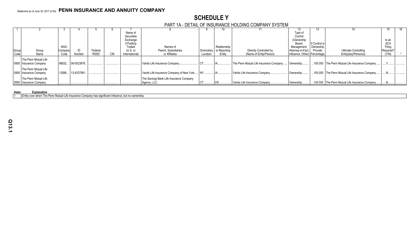# **SCHEDULE Y** PART 1A - DETAIL OF INSURANCE HOLDING COMPANY SYSTEM

|               |                        |             |                  |             |     |                | .                                         |             |              |                                        |                              |               |                                                 |            |  |
|---------------|------------------------|-------------|------------------|-------------|-----|----------------|-------------------------------------------|-------------|--------------|----------------------------------------|------------------------------|---------------|-------------------------------------------------|------------|--|
|               |                        |             |                  |             |     |                |                                           |             |              |                                        | 12                           | 15.           |                                                 |            |  |
|               |                        |             |                  |             |     | Name of        |                                           |             |              |                                        | Type of                      |               |                                                 |            |  |
|               |                        |             |                  |             |     | Securities     |                                           |             |              |                                        | Control                      |               |                                                 |            |  |
|               |                        |             |                  |             |     | Exchange       |                                           |             |              |                                        | (Ownership)                  |               |                                                 | Is an      |  |
|               |                        |             |                  |             |     | if Publicly    |                                           |             |              |                                        | Board.                       | If Control is |                                                 | <b>SCA</b> |  |
|               |                        | <b>NAIC</b> |                  |             |     | Traded         | Names of                                  |             | Relationship |                                        | Management                   | Ownership     |                                                 | Filing     |  |
| Group<br>Code | Group                  | Company     |                  | Federal     |     | (U.S. or       | Parent, Subsidiaries                      | Domiciliary | to Reporting | Directly Controlled by                 | Attorney-in-Fact             | Provide       | Ultimate Controlling                            | Required?  |  |
|               | Name                   | Code        | Number           | <b>RSSD</b> | CIK | International) | or Affiliates                             | Location    | Entity       | (Name of Entity/Person)                | Influence, Other) Percentage |               | Entity(ies)/Person(s)                           | (Y/N)      |  |
|               | The Penn Mutual Life   |             |                  |             |     |                |                                           |             |              |                                        |                              |               |                                                 |            |  |
|               | 0850 Insurance Company | 68632       | 06-0523876.      |             |     |                | Vantis Life Insurance Company             |             |              | The Penn Mutual Life Insurance Company | Ownership                    |               | 100.000 The Penn Mutual Life Insurance Company  |            |  |
|               |                        |             |                  |             |     |                |                                           |             |              |                                        |                              |               |                                                 |            |  |
|               | The Penn Mutual Life   |             |                  |             |     |                |                                           |             |              |                                        |                              |               |                                                 |            |  |
|               | 0850 Insurance Company |             | 13588 13-4337991 |             |     |                | Vantis Life Insurance Company of New York |             |              | Vantis Life Insurance Company.         | Ownership                    |               | 100.000 The Penn Mutual Life Insurance Company  |            |  |
|               | The Penn Mutual Life   |             |                  |             |     |                | The Savings Bank Life Insurance Company   |             |              |                                        |                              |               |                                                 |            |  |
|               | 0850 Insurance Company |             |                  |             |     |                | Agency, LLC                               |             |              | Vantis Life Insurance Company.         | Ownership                    |               | .100.000 The Penn Mutual Life Insurance Company |            |  |
|               |                        |             |                  |             |     |                |                                           |             |              |                                        |                              |               |                                                 |            |  |

#### **Aster Explanation**

1 Entity over which The Penn Mutual Life Insurance Company has significant influence, but no ownership.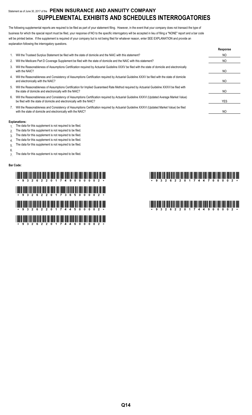# Statement as of June 30, 2017 of the **PENN INSURANCE AND ANNUITY COMPANY SUPPLEMENTAL EXHIBITS AND SCHEDULES INTERROGATORIES**

The following supplemental reports are required to be filed as part of your statement filing. However, in the event that your company does not transact the type of business for which the special report must be filed, your response of NO to the specific interrogatory will be accepted in lieu of filing a "NONE" report and a bar code will be printed below. If the supplement is required of your company but is not being filed for whatever reason, enter SEE EXPLANATION and provide an explanation following the interrogatory questions.

|    |                                                                                                                                                                                                                    | Response       |
|----|--------------------------------------------------------------------------------------------------------------------------------------------------------------------------------------------------------------------|----------------|
| 1. | Will the Trusteed Surplus Statement be filed with the state of domicile and the NAIC with this statement?                                                                                                          | NO.            |
| 2. | Will the Medicare Part D Coverage Supplement be filed with the state of domicile and the NAIC with this statement?                                                                                                 | NO.            |
| 3. | Will the Reasonableness of Assumptions Certification required by Actuarial Guideline XXXV be filed with the state of domicile and electronically<br>with the NAIC?                                                 | NO.            |
| 4. | Will the Reasonableness and Consistency of Assumptions Certification required by Actuarial Guideline XXXV be filed with the state of domicile<br>and electronically with the NAIC?                                 | NO.            |
| 5. | Will the Reasonableness of Assumptions Certification for Implied Guaranteed Rate Method required by Actuarial Guideline XXXVI be filed with<br>the state of domicile and electronically with the NAIC?             | NO.            |
| 6. | Will the Reasonableness and Consistency of Assumptions Certification required by Actuarial Guideline XXXVI (Updated Average Market Value)<br>be filed with the state of domicile and electronically with the NAIC? | <b>YES</b>     |
|    | Will the Reasonableness and Consistency of Assumptions Certification required by Actuarial Guideline XXXVI (Updated Market Value) be filed<br>with the state of domicile and electronically with the NAIC?         | N <sub>O</sub> |

#### **Explanations:**

- 1. The data for this supplement is not required to be filed.
- 2. The data for this supplement is not required to be filed.
- 3. The data for this supplement is not required to be filed.
- 4. The data for this supplement is not required to be filed.
- 5. The data for this supplement is not required to be filed.
- 6.
- 7. The data for this supplement is not required to be filed.

#### **Bar Code:**

# \*93262201749000002\* \*93262201744700002\* \*932612 THIRT AND THE BANK AND THE TELEVISION AND THE BANK AND THE THE TELEVISION AND THE TELEVISION الْبَرْ بَارْ سَلَّاسَ إِلَّا لَا اللَّهُ اللَّهُ وَاللَّهُ اللَّهُ اللَّهُ وَاللَّهُ اللَّهُ وَاللَّهُ اللَّهُ الأ \*93262201744600002\*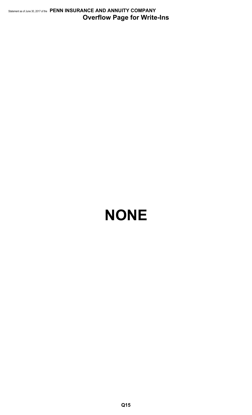Statement as of June 30, 2017 of the **PENN INSURANCE AND ANNUITY COMPANY Overflow Page for Write-Ins**

# **NONE**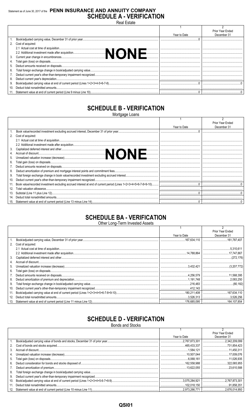# Statement as of June 30, 2017 of the PENN INSURANCE AND ANNUITY COMPANY **SCHEDULE A - VERIFICATION** Real Estate

|    |                                                                 |              | <b>Prior Year Ended</b> |
|----|-----------------------------------------------------------------|--------------|-------------------------|
|    |                                                                 | Year to Date | December 31             |
|    |                                                                 |              |                         |
|    | 2. Cost of acquired:                                            |              |                         |
|    |                                                                 |              |                         |
|    | .                                                               |              |                         |
|    |                                                                 |              |                         |
|    |                                                                 |              |                         |
| 5. |                                                                 |              |                         |
| 6. |                                                                 |              |                         |
|    |                                                                 |              |                         |
|    |                                                                 |              |                         |
| 9. |                                                                 |              |                         |
|    |                                                                 |              |                         |
|    | Statement value at end of current period (Line 9 minus Line 10) |              |                         |

# **SCHEDULE B - VERIFICATION**

Mortgage Loans

|     |                                                                                                                 |              | <b>Prior Year Ended</b> |
|-----|-----------------------------------------------------------------------------------------------------------------|--------------|-------------------------|
|     |                                                                                                                 | Year to Date | December 31             |
|     |                                                                                                                 |              |                         |
|     | 2. Cost of acquired:                                                                                            |              |                         |
|     |                                                                                                                 |              |                         |
|     |                                                                                                                 |              |                         |
| 3.  |                                                                                                                 |              |                         |
| 4.  |                                                                                                                 |              |                         |
| 5.  |                                                                                                                 |              |                         |
| 6.  |                                                                                                                 |              |                         |
|     |                                                                                                                 |              |                         |
| 8.  |                                                                                                                 |              |                         |
| 9.  |                                                                                                                 |              |                         |
| 10. |                                                                                                                 |              |                         |
|     | Book value/recorded investment excluding accrued interest at end of current period (Lines 1+2+3+4+5+6-7-8+9-10) |              |                         |
| 12. |                                                                                                                 |              |                         |
| 13. |                                                                                                                 |              |                         |
| 14. |                                                                                                                 |              |                         |
| 15. |                                                                                                                 |              |                         |

# **SCHEDULE BA - VERIFICATION**

| Other Long-Term Invested Assets |  |
|---------------------------------|--|
|                                 |  |

|     |                   |              | <b>Prior Year Ended</b> |
|-----|-------------------|--------------|-------------------------|
|     |                   | Year to Date | December 31             |
|     |                   |              |                         |
| 2.  | Cost of acquired: |              |                         |
|     |                   |              | 5.310.611               |
|     |                   |              |                         |
| 3.  |                   |              |                         |
| 4.  |                   |              |                         |
| 5.  |                   |              |                         |
| 6.  |                   |              |                         |
|     |                   |              |                         |
| 8.  |                   |              |                         |
| 9.  |                   |              |                         |
| 10. |                   |              |                         |
| 11. |                   |              |                         |
| 12. |                   |              |                         |
| 13. |                   |              |                         |

# **SCHEDULE D - VERIFICATION**

| Bonds and Stocks                                                    |              |                  |
|---------------------------------------------------------------------|--------------|------------------|
|                                                                     |              |                  |
|                                                                     |              | Prior Year Ended |
|                                                                     | Year to Date | December 31      |
|                                                                     |              |                  |
|                                                                     |              |                  |
|                                                                     |              |                  |
|                                                                     |              |                  |
|                                                                     |              |                  |
|                                                                     |              |                  |
|                                                                     |              |                  |
|                                                                     |              |                  |
|                                                                     |              |                  |
|                                                                     |              |                  |
|                                                                     |              |                  |
| 12 Statement value at end of current period (Line 10 minus Line 11) | 2973266771   | 2 676 014 950    |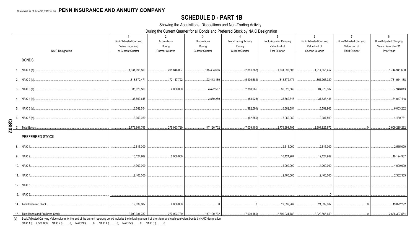# **SCHEDULE D - PART 1B**

Showing the Acquisitions, Dispositions and Non-Trading Activity

During the Current Quarter for all Bonds and Preferred Stock by NAIC Designation

|              |                                     | $\overline{1}$                        | 2                                | $\mathbf{3}$                     | $\overline{4}$                   | 5                                    | 6                              | $\overline{7}$                       | 8                               |
|--------------|-------------------------------------|---------------------------------------|----------------------------------|----------------------------------|----------------------------------|--------------------------------------|--------------------------------|--------------------------------------|---------------------------------|
|              |                                     | Book/Adjusted Carrying                | Acquisitions                     | Dispositions                     | Non-Trading Activity             | Book/Adjusted Carrying               | Book/Adjusted Carrying         | Book/Adjusted Carrying               | Book/Adjusted Carrying          |
|              | <b>NAIC Designation</b>             | Value Beginning<br>of Current Quarter | During<br><b>Current Quarter</b> | During<br><b>Current Quarter</b> | During<br><b>Current Quarter</b> | Value End of<br><b>First Quarter</b> | Value End of<br>Second Quarter | Value End of<br><b>Third Quarter</b> | Value December 31<br>Prior Year |
|              |                                     |                                       |                                  |                                  |                                  |                                      |                                |                                      |                                 |
|              | <b>BONDS</b>                        |                                       |                                  |                                  |                                  |                                      |                                |                                      |                                 |
|              | 1. NAIC 1 (a)                       | 1,831,096,503                         | 201,846,007                      | 115,404,666                      | (2,881,387)                      | .1,831,096,503                       | 1,914,656,457                  |                                      | 1,744,941,630                   |
|              | 2. NAIC 2 (a)                       | 818,672,471                           | 72,147,722                       | 23,443,180                       | (5,409,684)                      | 818,672,471                          | 861,967,329                    |                                      | 731,914,188                     |
|              | 3. NAIC 3 (a)                       | 85,020,569                            | 0.2,000,000                      | 4,422,567                        | 2,380,985                        | 85,020,569                           | 84,978,987                     |                                      | 87,948,013                      |
|              | 4. NAIC 4 (a)                       | 35,569,648                            |                                  | 3,850,289                        | (83,923)                         | 35.569.648                           | 31,635,436                     |                                      | 34,047,448                      |
|              |                                     | 6,582,554                             |                                  |                                  | .(982, 591)                      | .6,582,554                           | .5,599,963                     |                                      | .6,003,202                      |
|              | 6. NAIC 6 (a)                       | 3,050,050                             | .                                |                                  | (62, 550)                        | 3,050,050                            | 2,987,500                      |                                      | 4,430,781                       |
| <b>QSI02</b> | Total Bonds                         | 2,779,991,795                         | 275,993,729                      | 147,120,702                      | (7,039,150)                      | .2,779,991,795                       | 2,901,825,672                  |                                      | 2,609,285,262                   |
|              | PREFERRED STOCK                     |                                       |                                  |                                  |                                  |                                      |                                |                                      |                                 |
|              | 8. NAIC 1                           | .2,515,000                            |                                  |                                  |                                  | .2,515,000                           | .2,515,000                     |                                      | 2,515,000                       |
|              | 9. NAIC 2                           | 10,124,987                            | .2,000,000                       |                                  |                                  | 10,124,987                           | .12,124,987                    |                                      | .10,124,987                     |
|              | 10. NAIC 3                          | .4,000,000                            |                                  |                                  |                                  | .4,000,000                           | .4,000,000                     |                                      | .4,000,000                      |
|              | 11. NAIC 4                          | .2,400,000                            |                                  |                                  |                                  | .2,400,000                           | .2,400,000                     |                                      | 2,382,305                       |
|              | 12. NAIC 5                          |                                       |                                  |                                  |                                  |                                      |                                |                                      |                                 |
|              | 13. NAIC 6                          |                                       |                                  |                                  |                                  |                                      |                                |                                      |                                 |
|              | 14 Total Preferred Stock            | 19,039,987                            | .2,000,000                       | $\cap$                           | $\Omega$                         | 19,039,987                           | 21,039,987                     | $\cap$                               | 19,022,292                      |
|              | 15. Total Bonds and Preferred Stock | 2,799,031,782                         | 277,993,729                      | 147,120,702                      | (7,039,150)                      | 2,799,031,782                        | 2,922,865,659                  | $\Omega$                             | 2,628,307,554                   |

(a) Book/Adjusted Carrying Value column for the end of the current reporting period includes the following amount of short-term and cash equivalent bonds by NAIC designation:

NAIC 1 \$.....2,500,000; NAIC 2 \$..........0; NAIC 3 \$..........0; NAIC 4 \$..........0; NAIC 5 \$..........0; NAIC 6 \$..........0.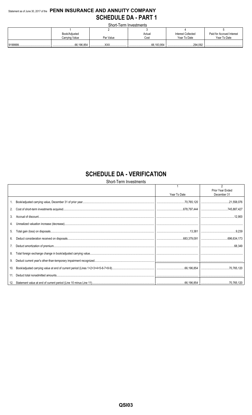# Statement as of June 30, 2017 of the PENN INSURANCE AND ANNUITY COMPANY **SCHEDULE DA - PART 1**

Short-Term Investments

| _______________________ |                |           |        |                    |                           |  |  |  |  |  |
|-------------------------|----------------|-----------|--------|--------------------|---------------------------|--|--|--|--|--|
|                         |                |           |        |                    |                           |  |  |  |  |  |
|                         | Book/Adjusted  |           | Actual | Interest Collected | Paid for Accrued Interest |  |  |  |  |  |
|                         | Carrying Value | Par Value | Cost   | Year To Date       | Year To Date              |  |  |  |  |  |
|                         |                |           |        |                    |                           |  |  |  |  |  |
|                         |                | v٧        |        |                    |                           |  |  |  |  |  |

# **SCHEDULE DA - VERIFICATION**

Short-Term Investments

|     |              | $\mathfrak{p}$<br>Prior Year Ended |
|-----|--------------|------------------------------------|
|     | Year To Date | December 31                        |
|     |              |                                    |
| 2.  |              |                                    |
| 3.  |              |                                    |
|     |              |                                    |
| 5.  |              |                                    |
| 6.  |              |                                    |
|     |              | 68.349                             |
| 8.  |              |                                    |
| 9.  |              |                                    |
| 10. |              |                                    |
|     |              |                                    |
|     |              |                                    |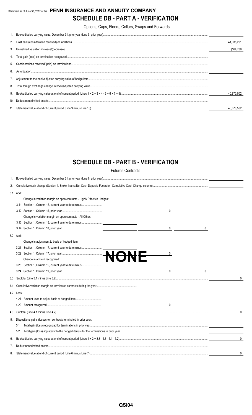# Statement as of June 30, 2017 of the **PENN INSURANCE AND ANNUITY COMPANY SCHEDULE DB - PART A - VERIFICATION**

Options, Caps, Floors, Collars, Swaps and Forwards

|    | 41,035,291 |
|----|------------|
|    | (164,789)  |
|    |            |
|    |            |
| 6. |            |
|    |            |
|    |            |
|    | 40.870.502 |
| 10 |            |
|    |            |

# **SCHEDULE DB - PART B - VERIFICATION**

Futures Contracts

| 1.  |           |                                                                         |              |  |  |  |  |  |
|-----|-----------|-------------------------------------------------------------------------|--------------|--|--|--|--|--|
| 2.  |           |                                                                         |              |  |  |  |  |  |
|     | 3.1 Add:  |                                                                         |              |  |  |  |  |  |
|     |           | Change in variation margin on open contracts - Highly Effective Hedges: |              |  |  |  |  |  |
|     |           |                                                                         |              |  |  |  |  |  |
|     |           | 0                                                                       |              |  |  |  |  |  |
|     |           | Change in variation margin on open contracts - All Other:               |              |  |  |  |  |  |
|     |           | 3.13 Section 1, Column 18, current year to date minus                   |              |  |  |  |  |  |
|     |           | 0                                                                       |              |  |  |  |  |  |
|     | 3.2 Add:  |                                                                         |              |  |  |  |  |  |
|     |           | Change in adjustment to basis of hedged item:                           |              |  |  |  |  |  |
|     | 3.21      | Section 1, Column 17, current year to date minus                        |              |  |  |  |  |  |
|     |           | 0                                                                       |              |  |  |  |  |  |
|     |           |                                                                         |              |  |  |  |  |  |
|     |           |                                                                         |              |  |  |  |  |  |
|     |           | $\overline{0}$<br>$\mathsf{O}$                                          |              |  |  |  |  |  |
|     |           |                                                                         | $\mathbf{0}$ |  |  |  |  |  |
| 4.1 |           |                                                                         |              |  |  |  |  |  |
|     | 4.2 Less: |                                                                         |              |  |  |  |  |  |
|     | 4.21      |                                                                         |              |  |  |  |  |  |
|     |           | $\mathbf{0}$                                                            |              |  |  |  |  |  |
| 4.3 |           |                                                                         | $\Omega$     |  |  |  |  |  |
| 5.  |           | Dispositions gains (losses) on contracts terminated in prior year:      |              |  |  |  |  |  |
|     | 5.1       |                                                                         |              |  |  |  |  |  |
|     | 5.2       |                                                                         |              |  |  |  |  |  |
| 6.  |           |                                                                         | $\mathbf{0}$ |  |  |  |  |  |
| 7.  |           |                                                                         |              |  |  |  |  |  |
| 8.  |           |                                                                         | 0            |  |  |  |  |  |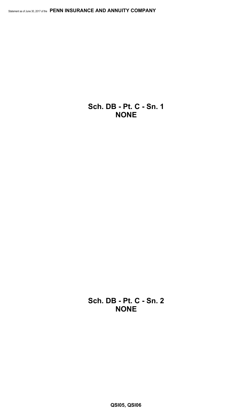**Sch. DB - Pt. C - Sn. 1 NONE**

**Sch. DB - Pt. C - Sn. 2 NONE**

**QSI05, QSI06**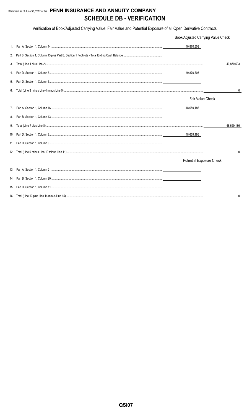# Statement as of June 30, 2017 of the PENN INSURANCE AND ANNUITY COMPANY **SCHEDULE DB - VERIFICATION**

Verification of Book/Adjusted Carrying Value, Fair Value and Potential Exposure of all Open Derivative Contracts

|             | Book/Adjusted Carrying Value Check |              |
|-------------|------------------------------------|--------------|
| $1_{\cdot}$ | 40,870,503                         |              |
| 2.          |                                    |              |
| 3.          |                                    | 40,870,503   |
| 4.          | 40,870,503                         |              |
| 5.          |                                    |              |
| 6.          |                                    | $\mathbf{0}$ |
|             | Fair Value Check                   |              |
| 7.          | 48,659,186                         |              |
| 8.          |                                    |              |
| 9.          |                                    | 48.659.186   |
|             | 48,659,186                         |              |
|             |                                    |              |
|             |                                    | 0            |
|             | <b>Potential Exposure Check</b>    |              |
|             |                                    |              |
|             |                                    |              |
|             |                                    |              |
|             |                                    | 0            |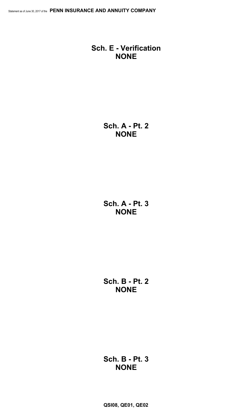# **Sch. E - Verification NONE**

**Sch. A - Pt. 2 NONE**

**Sch. A - Pt. 3 NONE**

**Sch. B - Pt. 2 NONE**

**Sch. B - Pt. 3 NONE**

**QSI08, QE01, QE02**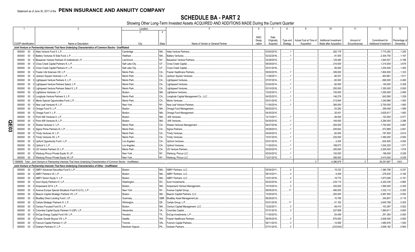SCHEDULE BA - PART 2<br>Showing Other Long-Term Invested Assets ACQUIRED AND ADDITIONS MADE During the Current Quarter

|   |                             |                  | $\overline{2}$                                                                                                               | Location       |                | 5                                                         | $6\overline{6}$ |                          | 8         | 9                      | 10 <sup>°</sup>              | 11           | 12                           | 13           |
|---|-----------------------------|------------------|------------------------------------------------------------------------------------------------------------------------------|----------------|----------------|-----------------------------------------------------------|-----------------|--------------------------|-----------|------------------------|------------------------------|--------------|------------------------------|--------------|
|   |                             |                  |                                                                                                                              | 3              | $\overline{4}$ |                                                           |                 |                          |           |                        |                              |              |                              |              |
|   |                             |                  |                                                                                                                              |                |                |                                                           | <b>NAIC</b>     |                          |           |                        |                              |              |                              |              |
|   |                             |                  |                                                                                                                              |                |                |                                                           | Desig-          | Date<br>Originally       | Type and  | Actual Cost at Time of | <b>Additional Investment</b> | Amount of    | Commitment for               | Percentage o |
|   | <b>CUSIP</b> Identification |                  | Name or Description                                                                                                          | City           | State          | Name of Vendor or General Partner                         | nation          | Acquired                 | Strategy  | Acquisition            | Made after Acquisition       | Encumbrances | <b>Additional Investment</b> | Ownership    |
|   |                             |                  | Joint Venture or Partnership Interests That Have Underlying Characteristics of Common Stocks - Unaffiliated                  |                |                |                                                           |                 |                          |           |                        |                              |              |                              |              |
|   | 000000                      | $00\,$           | Atlas Venture Fund X. L.P.                                                                                                   | Cambridge      |                | MA Atlas Venture Partners                                 |                 | 03/20/2015               |           |                        | 282.178                      |              | .1,715,292                   | 1.200        |
|   | 000000 00                   |                  | Battery Ventures XI Side Fund, L.P.                                                                                          | Waltham.       | MA             | Battery Ventures.                                         |                 | 02/22/2016               |           |                        | 91,000                       |              | .2,304,750                   | .1.167       |
|   | 000000                      | $00\,$           | Bessemer Venture Partners IX Institutional L.P.                                                                              | Larchmont.     | NY             | <b>Bessemer Venture Partners</b>                          |                 | 02/28/2015               |           |                        | 125,485                      |              | 1,840,527                    | .0.188       |
|   | 000000                      | $00\,$           | Cross Creek Capital Partners III, L.F                                                                                        | Salt Lake City | UT             | <b>Cross Creek Capital</b>                                |                 | 08/29/2013               |           |                        | .210,000                     |              | .1,215,000                   | 3.679        |
|   | 000000                      | $00\,$           | Cross Creek Capital Partners IV, L.P.                                                                                        | Salt Lake City | UT             | Cross Creek Capital.                                      |                 | 03/31/2016               |           |                        | .56,000                      |              | 1,204,000                    | .1.400       |
|   | 000000                      | $00\,$           | Frazier Life Sciences VIII. L.P                                                                                              | Menlo Park.    | CA.            | <b>Frazier Healthcare Partners</b>                        |                 | 09/30/2015               |           |                        | 306.000                      |              | 1,804,500                    | .1.333       |
|   | 000000                      | $00\,$           | Jackson Square Ventures I, L.P                                                                                               | Menlo Park.    | CA.            | Jackson Square Ventures                                   |                 | 11/28/2011               |           |                        | .80,537                      |              | 463,861                      | .1.611       |
|   | 000000                      | $00\,$           | Lightspeed Venture Partners X, L.P.                                                                                          | Menlo Park.    | CA.            | <b>Lightspeed Ventures</b>                                |                 | 07/07/2014               |           |                        | .60,000                      |              | .690,000                     | .0.480       |
|   | 000000                      | $00\,$           | Lightspeed Venture Partners Select, L.P.                                                                                     | Menlo Park.    | CA             | Lightspeed Ventures.                                      |                 | 03/24/2014               |           |                        | .60,000                      |              | 140,000                      | .0.308       |
|   | 000000                      | $00\,$           | Lightspeed Venture Partners Select II, L.P.                                                                                  | Menlo Park.    | CA             | Lightspeed Ventures.                                      |                 | 03/10/2016               |           |                        | .250,000                     |              | .1,350,000                   | .0.500       |
|   | 000000                      | $00\,$           | Lightstone Ventures, L.P.                                                                                                    | Boston.        | MA.            | Lightstone Ventures.                                      |                 | 10/22/2013               |           |                        | 150,000                      |              | 1,050,000                    | .2.949       |
|   |                             |                  |                                                                                                                              | Menlo Park.    |                |                                                           |                 |                          |           |                        |                              |              |                              |              |
|   | 000000                      | $00\,$<br>$00\,$ | Longitude Venture Partners II, L.P.                                                                                          | Menlo Park     | CA.<br>CA.     | Longitude Capital Management Co., LLC.<br>Menlo Ventures. |                 | 04/25/2013<br>03/31/2016 |           |                        | 146,276                      |              | .643,580                     | .1.039       |
|   | 000000                      |                  | Menlo Special Opportunities Fund, L.P.                                                                                       |                |                |                                                           |                 |                          |           |                        | .213,840                     |              | .1,240,868                   | .1.000       |
|   | 000000                      | $00\,$           | New Leaf Ventures III, L.P.                                                                                                  | New York.      | NY             | New Leaf Venture Partners.                                |                 | 11/30/2014               |           |                        | .360,000                     |              | .2,700,000                   | .1.600       |
|   | 000000                      | $00\,$           | Omega Fund IV, L.P.                                                                                                          | Boston.        | MA             | Omega Fund Management.                                    |                 | 06/20/2013               |           |                        | .53,292                      |              | .359,048                     | .1.089       |
|   | 000000                      | $00\,$           | Omega Fund V, L.P.                                                                                                           | Boston.        | MA             | Omega Fund Management.                                    |                 | 04/30/2015               |           |                        | .35,451                      |              | .3,625,617                   | .1.600       |
|   | 000000                      | $00\,$           | 0 Point 406 Ventures II. L.P.                                                                                                | Boston.        | MA.            | .406 Ventures.                                            |                 | 12/13/2011               |           |                        | .48,000                      |              | .153,000                     | .0.571       |
| O | 000000                      | $00\,$           | Point 406 Ventures III, L.P.                                                                                                 | Boston.        | MA.            | .406 Ventures.                                            |                 | 04/30/2015               |           |                        | 164,000                      |              | .3,284,000                   | .2.286       |
| m | 000000                      | $00\,$           | Shasta Ventures V. L.P.                                                                                                      | Menlo Park.    | CA.            | Shasta Ventures Management                                |                 | 06/27/2016               |           |                        | .200,000                     |              | 1,700,000                    | .0.667       |
| ဥ | 000000                      | $00\,$           | 0 Sigma Prime Partners IX, L.P.                                                                                              | Menlo Park     | CA             | Sigma Partners.                                           |                 | 05/29/2012               |           |                        | 205,842                      |              | .572,989                     | .2.941       |
|   | 000000                      | $00\,$           | 0 Trinity Ventures XI, L.P.                                                                                                  | Menlo Park.    | CA             | <b>Trinity Ventures</b>                                   |                 | 04/04/2013               |           |                        | .60,000                      |              | .787,500                     | .0.914       |
|   |                             |                  | 000000 00 0 Trinity Ventures XII, L.P                                                                                        | Menlo Park.    | CA             | <b>Trinity Ventures</b>                                   |                 | 10/31/2015               |           |                        | 220,000                      |              | .1,490,000                   | .0.500       |
|   | 000000                      | $00\,$           | Upfront Opportunity Fund I, L.P.                                                                                             | Los Angeles    | CA             | Upfront Ventures.                                         |                 | 03/31/2015               |           |                        | .4,204                       |              | .624,935                     | .4.000       |
|   | 000000                      | 00               | Upfront V. L.P                                                                                                               | Los Angeles    | CA.            | <b>Upfront Ventures</b>                                   |                 | 11/30/2014               |           |                        | 189.573                      |              | .1,524,220                   | .1.071       |
|   | 000000                      | $00\,$           | 0 US Venture Partners XI, L.P.                                                                                               | Menlo Park.    | CA.            | <b>US Venture Partners</b>                                |                 | 05/20/2015               |           |                        | .300,000                     |              | .3,200,000                   | .1.818       |
|   | 000000                      | $00\,$           | 0 Warburg Pincus Private Equity XI, LP.                                                                                      | New York.      | <b>NY</b>      | Warburg, Pincus LLC.                                      |                 | 05/24/2012               |           |                        | 120,000                      |              | .198,000                     | .0.028       |
|   |                             |                  | 000000 00 0 Warburg Pincus Private Equity XII, LP.                                                                           | New York.      |                | NY Warburg, Pincus LLC.                                   |                 | 12/21/2015.              |           |                        | 395.000                      |              | .3.410.000                   | .0.039       |
|   |                             |                  | 1599999. Total - Joint Venture or Partnership Interests That Have Underlying Characteristics of Common Stocks - Unaffiliated |                |                |                                                           |                 |                          |           |                        | .4.386.678                   |              | .39,291,687                  | XXX          |
|   |                             |                  | Joint Venture or Partnership Interests That Have Underlying Characteristics of Other - Unaffiliated                          |                |                |                                                           |                 |                          |           |                        |                              |              |                              |              |
|   | 000000                      |                  | 00 0 ABRY Advanced Securities Fund II, L.P                                                                                   | Boston.        | MA.            | ABRY Partners, LLC.                                       |                 | 05/04/2011.              |           |                        | 15,232                       |              | .1,380,788                   | .0.237       |
|   | 000000                      | 00               | 0 ABRY Partners VII, L.P.                                                                                                    | Boston.        | MA.            | <b>ABRY Partners, LLC.</b>                                |                 | 08/10/2011.              |           |                        | 5,459                        |              | 278,535                      | .0.184       |
|   | 000000                      | $00\,$           | ABRY Senior Equity V. L.P.                                                                                                   | Boston.        | MA.            | <b>ABRY Partners, LLC.</b>                                |                 | 12/01/2016               |           |                        | 18,774                       |              | .1,873,046                   | .0.191       |
|   | 000000                      | $00\,$           | Acon Equity Partners IV, L.P.                                                                                                | Washington     | DC.            | Acon Investments.                                         |                 | 04/22/2016               |           |                        | .234,115                     |              | .4,320,339                   | .0.865       |
|   | 000000                      | $00\,$           | Ampersand 2014, L.P                                                                                                          | Boston.        | MA.            | Ampersand Venture Management                              |                 | 10/10/2014               |           |                        | 330,000                      |              | .1,560,000                   | .0.300       |
|   | 000000                      | $00\,$           | Avenue Europe Special Situations Fund III (U.S.), L.P                                                                        | New York.      | NY             | Avenue Capital Group.                                     |                 | 06/05/2015               | 11        |                        | 480.000                      |              | .1,032,112                   | .0.200       |
|   | 000000                      | $00\,$           | Beacon Capital Strategic Partners VII, L.P.                                                                                  | Boston.        | MA             | Beacon Capital Partners, LLC.                             |                 | 10/20/2015               |           |                        | 200,000                      |              | .2,987,500                   | .0.500       |
|   | 000000                      | $00\,$           | BlueBay Direct Lending Fund I, LP.                                                                                           | Guernsev.      | GBR.           | BlueBay Asset Management plc.                             |                 | 06/25/2013               |           |                        | 10,785                       |              | .340,807                     | .0.118       |
|   | 000000                      | $00\,$           | Carlyle Strategic Partners IV, L.P.                                                                                          | Wilmington     | <b>DE</b>      | Carlyle Group, L.P                                        |                 | 03/31/2016               | $\cdot$ 1 |                        | .51,162                      |              | .3,645,768                   | .0.200       |
|   | 000000                      | $00\,$           | Century Focused Fund III, L.P.                                                                                               | Boston.        | MA             | Century Capital Management, LLC.                          |                 | 12/22/2011               |           |                        | .48,410                      |              | .103,387                     | .0.922       |
|   | 000000                      | $00\,$           | Columbia Capital Equity Partners VI (QP), L.P.                                                                               | Alexandria     | VA             | Columbia Capital.                                         |                 | 07/31/2015               |           |                        | 207.858                      |              | .1,890,611                   | .0.600       |
|   | 000000                      | $00\,$           | 0 EnCap Energy Capital Fund VIII, L.P                                                                                        | Houston.       | <b>TX</b>      | EnCap Investments, L.P                                    |                 | 11/30/2010               |           |                        | .54,459                      |              | .251,383                     | .0.083       |
|   | 000000                      | $00\,$           | 0 Frazier Growth Buyout VIII, L.P                                                                                            | Seattle.       | WA.            | <b>Frazier Healthcare Partners</b>                        |                 | 09/30/2015               |           |                        | 870,000                      |              | .2,826,000                   | .0.800       |
|   | 000000                      | $00\,$           | 0 Fulcrum Capital Partners V, LP                                                                                             | Toronto.       | ON             | <b>Fulcrum Capital Partners</b>                           |                 | 06/11/2015               |           |                        | .14,959                      |              | 1,685,976                    | .1.000       |
|   | 000000                      |                  | 00 0 Graham Partners IV, L.P                                                                                                 | Newtown Sqaure | <b>PA</b>      | Graham Partners.                                          |                 | 07/31/2015               |           |                        | (233, 624)                   |              | .3,658,182                   | .0.800       |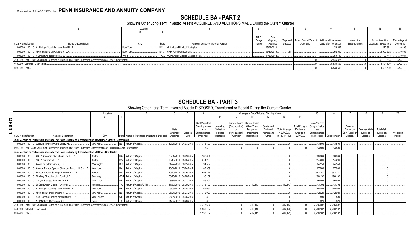# **SCHEDULE BA - PART 2**

Showing Other Long-Term Invested Assets ACQUIRED AND ADDITIONS MADE During the Current Quarter

|                                  |                                                                                                                      | Location  |                                            |             |             |          |                                                           |                        |              |                       |               |
|----------------------------------|----------------------------------------------------------------------------------------------------------------------|-----------|--------------------------------------------|-------------|-------------|----------|-----------------------------------------------------------|------------------------|--------------|-----------------------|---------------|
|                                  |                                                                                                                      |           |                                            |             |             |          |                                                           |                        |              |                       |               |
|                                  |                                                                                                                      |           |                                            | <b>NAIC</b> | Date        |          |                                                           |                        |              |                       |               |
|                                  |                                                                                                                      |           |                                            | Desig       | Originall   |          | Type and   Actual Cost at Time of   Additional Investment |                        | Amount of    | Commitment for        | Percentage of |
| <b>CUSIP</b> Identification      | Name or Description                                                                                                  |           | Name of Vendor or General Partner<br>State | nation      | Acquired    | Strategy | Acquisition                                               | Made after Acquisition | Encumbrances | Additional Investment | Ownership     |
|                                  | 000000 00 0 Highbridge Specialty Loan Fund III LP                                                                    | New York. | NY Highbridge Principal Strategies         |             | 05/06/2013. |          |                                                           | .26,637                |              | 272,364               | .0.899        |
|                                  | 000000 00 0 MHR Institutional Partners IV, L.P                                                                       | New York. | MHR Fund Management                        |             | 06/27/2016  |          |                                                           | .62.500                |              | .3,900,602            | 0.556         |
|                                  | 000000 00 0 NGP Natural Resources X, L.P                                                                             |           | TX NGP Energy Capital Management           |             | 01/27/2012. |          |                                                           | .50,149                |              | 192,413               | 0.084         |
|                                  | 2199999. Total - Joint Venture or Partnership Interests That Have Underlying Characteristics of Other - Unaffiliated |           |                                            |             |             |          |                                                           | .2,446,875             |              | .32,199,813           | $\ldots$ XXX. |
| 4499999. Subtotal - Unaffiliated |                                                                                                                      |           |                                            |             |             |          |                                                           | .6,833,553             |              | 71,491,500            | XXX           |
| 4699999. Totals                  |                                                                                                                      |           |                                            |             |             |          |                                                           | .6,833,553             |              | .71,491,500           | XXX           |

# **SCHEDULE BA - PART 3**<br>Showing Other Long-Term Invested Assets DISPOSED, Transferred or Repaid During the Current Quarter

|       |                             |                                                                                                                               | Location    |                                               |            |                       |                       |            |               | Changes in Book/Adiusted Carrying Value |              |                     |                      | 15             |               |                | 18            |                   |            |
|-------|-----------------------------|-------------------------------------------------------------------------------------------------------------------------------|-------------|-----------------------------------------------|------------|-----------------------|-----------------------|------------|---------------|-----------------------------------------|--------------|---------------------|----------------------|----------------|---------------|----------------|---------------|-------------------|------------|
|       |                             |                                                                                                                               |             |                                               |            |                       |                       |            |               |                                         |              |                     | 14                   |                |               |                |               |                   |            |
| QE03. |                             |                                                                                                                               |             |                                               |            |                       | Book/Adjusted         |            |               | Current Year's Current Year's           |              |                     |                      | Book/Adjusted  |               |                |               |                   |            |
|       |                             |                                                                                                                               |             |                                               |            |                       | <b>Carrying Value</b> | Unrealized | (Depreciation | Other-Than-                             | Capitalized  |                     | <b>Total Foreign</b> | Carrying Value |               | Foreign        |               |                   |            |
|       |                             |                                                                                                                               |             |                                               | Date       |                       | Less                  | Valuation  |               | Temporary                               | Deferred     | <b>Total Change</b> | Exchange             | Less           |               | Exchange       | Realized Gain | <b>Total Gain</b> |            |
|       |                             |                                                                                                                               |             |                                               | Originally | Disposal              | <b>Encumbrances</b>   | Increase   | (Amortization | Impairment                              | Interest and | in B./A.C.V         | Change in            | Encumbrances   |               | Gain (Loss) on | (Loss) on     | (Loss) on         | Investment |
|       | <b>CUSIP</b> Identification | Name or Description                                                                                                           | City        | State Name of Purchaser or Nature of Disposal | Acquired   | Date                  | Prior Year            | (Decrease) | / Accretion   | Recognized                              | Other        | $(9+10-11+12)$      | <b>B./A.C.V.</b>     | on Disposal    | Consideration | Disposal       | Disposal      | Disposal          | Income     |
|       |                             | Joint Venture or Partnership Interests That Have Underlying Characteristics of Common Stocks - Unaffiliated                   |             |                                               |            |                       |                       |            |               |                                         |              |                     |                      |                |               |                |               |                   |            |
|       |                             | 000000 00 0 Warburg Pincus Private Equity XII, LP                                                                             | New York    | NY Return of Capital                          |            | 12/21/2015 04/07/2017 | .13,500               |            |               |                                         |              |                     |                      | .13,500        | 13,500        |                |               |                   |            |
|       |                             | 1599999. Total - Joint Venture or Partnership Interests That Have Underlying Characteristics of Common Stocks - Unaffiliated. |             |                                               |            |                       | .13,500               |            |               |                                         |              |                     |                      | 13,500         | 13,500        |                |               |                   |            |
|       |                             | Joint Venture or Partnership Interests That Have Underlying Characteristics of Other - Unaffiliated                           |             |                                               |            |                       |                       |            |               |                                         |              |                     |                      |                |               |                |               |                   |            |
|       |                             | 000000 00 0 ABRY Advanced Securities Fund II, L.P                                                                             | Boston.     | MA Return of Capital                          |            | 05/04/2011 06/29/2017 | .300,064              |            |               |                                         |              |                     |                      | .300,064       | 300,064       |                |               |                   |            |
|       |                             | 000000 00 0 ABRY Partners VII, L.P                                                                                            | Boston.     | MA Return of Capital                          |            | 08/10/2011 05/05/2017 | .514,206              |            |               |                                         |              |                     |                      | 514,206        | 514.206       |                |               |                   |            |
|       |                             | 000000 00 0 Acon Equity Partners IV, L.P                                                                                      | Washington  | DC. Return of Capital                         |            | 04/22/2016 06/05/2017 | .94.559               |            |               |                                         |              |                     |                      | .94.559        | .94.559       |                |               |                   |            |
|       |                             | 000000 00 0 Avenue Europe Special Situations Fund II (U.S.), L.P.                                                             | New York.   | NY. Return of Capital.                        |            | 10/04/2011 05/24/2017 | .67.989               |            |               |                                         |              |                     |                      | .67,989        | .67.989       |                |               |                   |            |
|       |                             | 000000 00 0 Beacon Capital Strategic Partners VII, L.P.                                                                       | Boston      | MA Return of Capital.                         |            | 10/20/2015 05/26/2017 | 693.747               |            |               |                                         |              |                     |                      | 693,747        | 693.747       |                |               |                   |            |
|       | 000000                      | 00 0 BlueBay Direct Lending Fund I, LP                                                                                        | Guernsev.   | GBR Return of Capital                         |            | 06/25/2013 04/28/2017 | 196,132               |            |               |                                         |              |                     |                      | .196,132       | .196.132      |                |               |                   |            |
|       |                             | 000000 00 0 Carlyle Strategic Partners IV, L.P                                                                                | Wilmington. | DE. Return of Capital                         |            | 03/31/2016 04/27/2017 | .56,502               |            |               |                                         |              |                     |                      | 56,502         | 56.502        |                |               |                   |            |
|       |                             | 000000 00 0 EnCap Energy Capital Fund VIII, L.P                                                                               | Houston.    | TX Return of Capital/OTTI.                    |            | 11/30/2010 06/30/2017 | .13.702               |            |               | .412,143                                |              | (412, 143)          |                      | 13,702         | .13.702       |                |               |                   |            |
|       |                             | 000000 00 0 Highbridge Specialty Loan Fund III LP.                                                                            | New York.   | NY. Return of Capital                         |            | 05/06/2013 06/08/2017 | .265,052              |            |               |                                         |              |                     |                      | 265,052        | .265.052      |                |               |                   |            |
|       | 000000                      | 00 0 MHR Institutional Partners IV. L.P.                                                                                      | New York.   | NY. Return of Capital.                        |            | 06/27/2016 06/27/2017 | .12,929               |            |               |                                         |              |                     |                      | .12,929        | .12.929       |                |               |                   |            |
|       |                             | 000000 00 0 New Canaan Funding Mezzanine V, L.P                                                                               | New Canaan  | CT. Return of Capital                         |            | 08/05/2011 04/06/2017 | .899                  |            |               |                                         |              |                     |                      | .899           | 899           |                |               |                   |            |
|       |                             | 000000 00 0 NGP Natural Resources X, L.P.                                                                                     | Irvina      | TX Return of Capital                          |            |                       | .826                  |            |               |                                         |              |                     |                      | 826            | 826           |                |               |                   |            |
|       |                             |                                                                                                                               |             |                                               |            | 01/27/2012 06/28/2017 |                       |            |               |                                         |              |                     |                      |                |               |                |               |                   |            |
|       |                             | 2199999. Total - Joint Venture or Partnership Interests That Have Underlying Characteristics of Other - Unaffiliated          |             |                                               |            |                       | .2.216.607            |            |               | .412,143                                |              | (412, 143)          |                      | .2,216,607     | .2,216,607    |                |               |                   |            |
|       |                             | 4499999. Subtotal - Unaffiliated                                                                                              |             |                                               |            |                       | .2,230,107            |            |               | .412,143                                |              | (412, 143)          |                      | .2,230,107     | .2,230,107    |                |               |                   |            |
|       | 4699999. Totals.            |                                                                                                                               |             |                                               |            |                       | .2.230.107            |            |               | .412,143                                |              | (412, 143)          |                      | .2,230,107     | .2,230,107    |                |               |                   |            |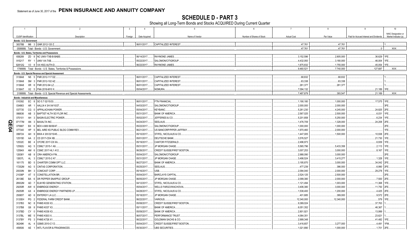**SCHEDULE D - PART 3**<br>Showing all Long-Term Bonds and Stocks ACQUIRED During Current Quarter

|    |                         | $\overline{2}$                                                                      | $\overline{3}$ | $\overline{4}$             |                                                             | - 5            |                           |                          |                         | 9                                       |                      |
|----|-------------------------|-------------------------------------------------------------------------------------|----------------|----------------------------|-------------------------------------------------------------|----------------|---------------------------|--------------------------|-------------------------|-----------------------------------------|----------------------|
|    |                         |                                                                                     |                |                            |                                                             |                |                           |                          |                         |                                         | NAIC Designation or  |
|    | CUSIP Identification    | Description                                                                         | Foreign        | Date Acquired              |                                                             | Name of Vendor | Number of Shares of Stock | <b>Actual Cost</b>       | Par Value               | Paid for Accrued Interest and Dividends | Market Indicator (a) |
|    | Bonds - U.S. Government | 38378B M6 3 GNR 2012-120 Z.                                                         |                | 06/01/2017.                | <b>CAPITALIZED INTEREST</b>                                 |                |                           | 47.761                   | 47.761                  |                                         | $\overline{11}$      |
|    |                         |                                                                                     |                |                            |                                                             |                |                           | .47,761                  | .47,761                 | $\Omega$                                | XXX.                 |
|    |                         | 0599999. Total - Bonds - U.S. Government                                            |                |                            |                                                             |                |                           |                          |                         |                                         |                      |
|    |                         | Bonds - U.S. States, Territories and Possessions                                    |                |                            |                                                             |                |                           |                          |                         |                                         |                      |
|    | 658289                  | ZD 8 NC UNIV-TXB-B-BABS<br>915217 RY 1 UNIV VA-TXB.                                 |                | 06/14/2017.                | RAYMOND JAMES.                                              |                |                           | .3,152,596               | .2,805,000              | .36,629 1FE.                            |                      |
|    | 92812Q                  | V3 8 VA HSG AUTH-D                                                                  |                | 05/22/2017.<br>06/22/2017. | SALOMON/CITIGROUP<br>RAYMOND JAMES.                         |                |                           | .4,432,093<br>.1.875.832 | .3,180,000<br>1.755.000 | .46,004<br>.45.054                      | 1FE.<br>1FE.         |
|    |                         | 1799999. Total - Bonds - U.S. States, Territories & Possessions.                    |                |                            |                                                             |                |                           | .9,460,521               | 7,740,000               | 127,687                                 | $\ldots$ XXX.        |
|    |                         |                                                                                     |                |                            |                                                             |                |                           |                          |                         |                                         |                      |
|    |                         | Bonds - U.S. Special Revenue and Special Assessment<br>3136A8 N5 5 FNR 2012-117 DZ. |                | 06/01/2017.                | <b>CAPITALIZED INTEREST</b>                                 |                |                           | 68,832                   | 68,832                  |                                         |                      |
|    | 3136A8                  | SM 3 FNR 2012-102 AZ.                                                               |                | 06/01/2017.                | <b>CAPITALIZED INTEREST</b>                                 |                |                           | 63,338                   | 63,338                  |                                         |                      |
|    | 3136A8                  | XR 6 FNR 2012-94 LZ.                                                                |                | 06/01/2017.                | CAPITALIZED INTEREST                                        |                |                           | 261,377                  | 261,377                 |                                         |                      |
|    | 3136AT                  | X2 5 FNA 2016-M10 X                                                                 |                | 05/04/2017.                | NOMURA.                                                     |                |                           | .7,094,132               |                         | 21,189                                  | 1FE.                 |
|    |                         | 3199999. Total - Bonds - U.S. Special Revenue and Special Assessments.              |                |                            |                                                             |                |                           | 7,487,679                | .393.547                | .21,189                                 | XXX.                 |
|    |                         |                                                                                     |                |                            |                                                             |                |                           |                          |                         |                                         |                      |
|    | 010392                  | <b>Bonds - Industrial and Miscellaneous</b><br>EC 8 SO 5.7 02/15/33.                |                | 06/01/2017.                | <b>FTN FINANCIAL</b>                                        |                |                           | .1,190,180               | .1,000,000              | .17,575 1FE.                            |                      |
|    | 034863                  | AR 1 AALLN 4 3/4 04/10/27.                                                          |                | 04/03/2017.                | SALOMON/CITIGROUP                                           |                |                           | .2,000,000               | .2,000,000              |                                         | 3FE.                 |
|    | 037735                  | CG 0 APPALACHIAN POWER.                                                             |                | 05/04/2017.                | KEYBANC.                                                    |                |                           | .5,261,230               | .4,245,000              | 24,825 2FE.                             |                      |
|    | 066836                  | 3 BAPTIST HLTH SO FLOR INC.<br>AB                                                   |                | 05/31/2017.                | <b>BANK OF AMERICA</b>                                      |                |                           | .2,567,025               | .2,500,000              | .6,031                                  | 1FE                  |
|    | 070101                  | <b>BASIN ELECTRIC POWER.</b><br>AH<br>3                                             |                | 05/02/2017.                | JEFFERIES & CO.                                             |                |                           | .5,201,858               | .5,250,000              | .6.234                                  | 1FE.                 |
| Q  | 07177M                  | <b>BAXALTA INC.</b><br>AN<br>3                                                      |                | 04/24/2017.                | SEELAUS.                                                    |                |                           | 1,476,709                | .1,328,000              | .24,208                                 | 2FE                  |
| m  | 075887                  | BX<br>BDX 4.669 06/06/47.                                                           |                | 05/22/2017.                | SALOMON/CITIGROUP                                           |                |                           | .1,000,000               | .1,000,000              |                                         | 2FE.                 |
| 54 | 077340                  | BEL AIRE KS PUBLIC BLDG COMM REV<br>HP<br>- 5                                       |                | 06/21/2017.                | US BANCORP/PIPER JAFFRAY                                    |                |                           | .1,970,460               | .2,000,000              |                                         | 1FE.                 |
|    | 099724                  | BWA 4 3/8 03/15/45.<br>AH<br>- 9                                                    |                | 05/10/2017.                | STIFEL, NICOLAUS & CO.                                      |                |                           | 1,447,005                | .1,500,000              | .10,938                                 | 2FE.                 |
|    | 12515D                  | AA 2 CD 2017-CD4 XB                                                                 |                | 05/01/2017.                | <b>DEUTSCHE BANK</b>                                        |                |                           | .3,576,527               |                         | .21,730                                 | 1FE.                 |
|    | 12532C                  | <b>BE</b><br>CFCRE 2017-C8 XA.                                                      |                | 05/19/2017.                | CANTOR FITZGERALD.                                          |                |                           | .2,496,973               |                         | .6,939                                  | 1FE.                 |
|    | 12592U                  | AQ<br>CSMLT 2015-1 A9.<br>- 5                                                       |                | 05/31/2017.                | JP MORGAN CHASE.                                            |                |                           | .5,565,796               | .5,433,358              | .2,113 1FE.                             |                      |
|    | 12594X                  | AM<br>CSMC 2017-HL1 A12.<br>- 6                                                     |                | 06/26/2017.                | <b>CREDIT SUISSE/FIRST BOSTON</b>                           |                |                           | .3,007,253               | .3,000,000              | .8,167 1FE.                             |                      |
|    | 12636Y                  | AB<br><b>CRH AMERICA FIN</b><br>- 8                                                 |                | 05/04/2017.                | SALOMON/CITIGROUP                                           |                |                           | .2,988,090               | .3,000,000              |                                         | 2FE                  |
|    | 12637L                  | AL 3<br>CSMLT 2015-2 A7.                                                            |                | 05/31/2017.                | <b>JP MORGAN CHASE</b>                                      |                |                           | .3,498,524               | .3,415,277              | .1.328                                  | 1FE.                 |
|    | 161175                  | CHARTER COMM OPT LLC<br><b>BD</b><br>- 5                                            |                | 06/27/2017.                | <b>BANK OF AMERICA</b>                                      |                |                           | .3,195,870               | .3,000,000              | .34,042 2FE.                            |                      |
|    | 17252M                  | AG<br><b>CINTAS CORPORATION</b><br>- 5                                              |                | 05/25/2017.                | SEELAUS.                                                    |                |                           | .477,239                 | 386,000                 | .6,990 2FE.                             |                      |
|    | 20030N                  | BH <sub>3</sub><br>COMCAST CORP.                                                    |                | 05/16/2017.                | JSB                                                         |                |                           | .2,094,040               | .2,000,000              | .29,278 1FE.                            |                      |
|    | 21036P                  | <b>CONSTELLATION BR.</b><br>AT<br>- 5                                               |                | 05/04/2017.                | <b>BARCLAYS CAPITAL</b>                                     |                |                           | .2,524,125               | .2,500,000              |                                         | 2FE.                 |
|    | 26138E                  | BA<br>DR PEPPER SNAPPLE GROUP.                                                      |                | 06/05/2017.                | JP MORGAN CHASE.                                            |                |                           | .2,099,380               | .2,000,000              | 7,500 2FE.                              |                      |
|    | 28932M                  | AD<br><b>ELM RD GENERATING STATION</b><br>$\overline{7}$                            |                | 04/12/2017.                | STIFEL, NICOLAUS & CO.                                      |                |                           | 1,121,494                | .1,003,000              | .11,368 1FE.                            |                      |
|    | 29250R                  | AW 6<br><b>ENBRIDGE ENERGY.</b>                                                     |                | 05/04/2017.                | <b>WELLS FARGO/WACHOVIA</b>                                 |                |                           | .3,406,380               | .3,000,000              | .11,750 2FE.                            |                      |
|    | 29250R                  | <b>ENBRIDGE ENERGY PARTNERS LP.</b><br>AX                                           |                | 04/28/2017.                | STIFEL, NICOLAUS & CO.                                      |                |                           | .1,538,400               | .1,200,000              | .4,425 2FE.                             |                      |
|    | 29365T                  | AD<br><b>ENTERGY LA LLC.</b><br>- 6                                                 |                | 05/18/2017.                | <b>JP MORGAN CHASE</b>                                      |                |                           | .401,685                 | 389,000                 | .9,572 2FE.                             |                      |
|    | 3133EH                  | PG <sub>2</sub><br>FEDERAL FARM CREDIT BANK.                                        |                | 06/22/2017.                | VARIOUS.                                                    |                |                           | 12,340,000               | .12,340,000             | 579 1FE                                 |                      |
|    |                         | NC 8                                                                                |                |                            |                                                             |                |                           | .9,389,024               |                         | .37,763                                 |                      |
|    | 3137B3<br>3137B8        | FHMS K030 X3.<br>G6 8<br>FHMS K037 X3.                                              |                | 05/08/2017.<br>05/11/2017. | <b>CREDIT SUISSE/FIRST BOSTON</b><br><b>BANK OF AMERICA</b> |                |                           | .6,051,352               |                         | .46,367                                 |                      |
|    |                         | CY 0<br><b>FHMS K039 X3.</b>                                                        |                |                            | <b>BANK OF AMERICA</b>                                      |                |                           |                          |                         | .13,999                                 |                      |
|    | 3137BD                  | ME <sub>5</sub><br><b>FHMS KS03 X</b>                                               |                | 05/09/2017.                | PERFORMANCE TRUST.                                          |                |                           | .2,801,921               |                         |                                         |                      |
|    | 3137BL                  |                                                                                     |                | 06/07/2017.                |                                                             |                |                           | .4,064,351               |                         | .23,621                                 |                      |
|    | 3137BY                  | PS 3 FHMS K726 X1.                                                                  |                | 06/22/2017.                | GOLDMAN SACHS & CO.                                         |                |                           | .2,999,348               |                         | .41,482 1FE                             | 1FM                  |
|    | 36249K<br>459506        | AL<br>4 GSMS 2010-C1 D.<br>AE 1   INTL FLAVOR & FRAGRANCES.                         |                | 05/04/2017.<br>05/30/2017. | CREDIT SUISSE/FIRST BOSTON.<br><b>UBS SECURITIES</b>        |                |                           | .3,416,657<br>.1,021,890 | .3,277,000<br>1,000,000 | .4,491<br>.1,701 2FE.                   |                      |
|    |                         |                                                                                     |                |                            |                                                             |                |                           |                          |                         |                                         |                      |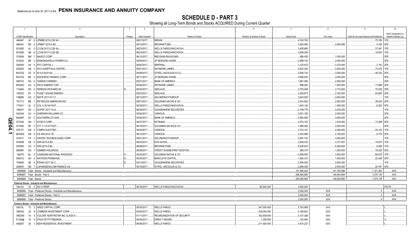**SCHEDULE D - PART 3**<br>Showing all Long-Term Bonds and Stocks ACQUIRED During Current Quarter

|               | $\overline{1}$                    | $\overline{2}$                                                   | $\overline{3}$ | $\overline{4}$ | $5\overline{5}$                   | 6                         | $\overline{7}$     | 8            | 9                                       | 10                   |
|---------------|-----------------------------------|------------------------------------------------------------------|----------------|----------------|-----------------------------------|---------------------------|--------------------|--------------|-----------------------------------------|----------------------|
|               |                                   |                                                                  |                |                |                                   |                           |                    |              |                                         | NAIC Designation or  |
|               | CUSIP Identification              | Description                                                      | Foreign        | Date Acquired  | Name of Vendor                    | Number of Shares of Stock | <b>Actual Cost</b> | Par Value    | Paid for Accrued Interest and Dividends | Market Indicator (a) |
|               | 46644F<br>AF 8                    | JPMBB 2015-C28 XA                                                |                | 06/21/2017.    | BREAN.                            |                           | .4,740,765         |              | .75,760                                 | 1FE                  |
|               | 46644V<br><b>BS</b>               | JPMMT 2015-4 B3.                                                 |                | 06/12/2017.    | BROWNSTONE.                       |                           | .2,950,956         | .2,950,956   | .4,160                                  | 2FE                  |
|               | 50190D<br>AL                      | 0   LCCM 2017-LC26 XA                                            |                | 06/23/2017.    | WELLS FARGO/WACHOVIA              |                           | .3,458,880         |              | .37,941                                 | 1FE                  |
|               | 50190D<br>AN                      | 6   LCCM 2017-LC26 XB                                            |                | 06/23/2017.    | WELLS FARGO/WACHOVIA              |                           | .2,558,394         |              | 19,823                                  | 1FF                  |
|               | 574599<br><b>BM 7</b>             | MASCO CORP                                                       |                | 06/12/2017.    | <b>RBC/DAIN RAUSCHER</b>          |                           | .996,450           | .1,000,000   |                                         | 2FE                  |
|               | 610202                            | BR 3 MONONGAHELA POWER CO.                                       |                | 05/09/2017.    | <b>JP MORGAN CHASE</b>            |                           | .2,998,740         | 3,000,000    |                                         | 2FE.                 |
|               | 629394<br>AA 5                    | NTC CAPITAL I.                                                   |                | 05/02/2017.    | <b>MPERIAL.</b>                   |                           | .3,125,675         | 3,370,000    | .3,142                                  | 2FE                  |
|               | 62952E<br>AB                      | 3 NYU HOSPITALS CENTER.                                          |                | 06/01/2017.    | RAYMOND JAMES.                    |                           | .4,922,220         | 4,000,000    | 70,278                                  |                      |
|               | AZ<br>65473Q                      | NI 5.8 02/01/42                                                  |                | 05/08/2017.    | STIFEL, NICOLAUS & CO             |                           | .3,506,730         | 3,000,000    | .48,333                                 | 2FE                  |
|               | 65473Q<br><b>BE</b>               | 2 NISOURCE FINANCE CORP                                          |                | 05/11/2017.    | JP MORGAN CHASE                   |                           | 2,999,520          | .3,000,000   |                                         | 2FE                  |
|               | 690742<br>AG                      | OWENS CORNING                                                    |                | 06/21/2017.    | <b>BANK OF AMERICA</b>            |                           | .1,981,280         | 2,000,000    |                                         | 2FE.                 |
|               | 69335G<br>AA<br>3 <sup>1</sup>    | PECO ENERGY CAP.                                                 |                | 04/04/2017.    | RAYMOND JAMES.                    |                           | .999,500           | 1,000,000    | .17,889                                 | 2FE                  |
|               | AK<br>714264                      | PERNOD-RICHARD SA.                                               |                | 06/30/2017.    | SEELAUS.                          |                           | .3,755,408         | 3,173,000    | 75,228                                  | 2FE                  |
|               | 745332<br>BY                      | PUGET SOUND ENERGY.                                              |                | 05/03/2017.    | SEELAUS.                          |                           | .2,536,875         | 2,750,000    | .83,640                                 | 2FE                  |
|               | 74890E<br>AG                      | RAITF 2017-FL7 C                                                 |                | 06/13/2017.    | SALOMON/CITIGROUP.                |                           | .2,843,000         | 2,843,000    |                                         | 1FF                  |
|               | 761713<br><b>BB</b>               | <b>REYNOLDS AMERICAN INC</b>                                     |                | 06/07/2017.    | <b>GOLDMAN SACHS &amp; CO</b>     |                           | .2,434,920         | 2,000,000    | .38,025                                 | 2FE                  |
|               | 774341<br>AL                      | 5 COL 4.35 04/15/47                                              |                | 05/30/2017.    | WELLS FARGO/WACHOVIA              |                           | .1,040,140         | 1,000,000    | .6,283                                  | 2FE                  |
|               | 784037<br>AA                      | <b>SCFMT 2017-1A A.</b>                                          |                | 06/29/2017.    | <b>GUGGENHEIM SECURITIES</b>      |                           | .2,199,778         | 2,200,000    |                                         | 1FE.                 |
|               | 824348<br>AX                      | 4 SHERWIN-WILLIAMS CO.                                           |                | 05/04/2017.    | VARIOUS.                          |                           | .2,001,185         | 2,000,000    |                                         | 2FE.                 |
|               | 8426EP<br>AC                      | SOUTHERN CO GAS.                                                 |                | 05/04/2017.    | <b>BANK OF AMERICA</b>            |                           | .2,992,950         | 3,000,000    |                                         | 2FE.                 |
| O<br>m        | 871829<br>AN                      | SYSCO CORP.                                                      |                | 04/27/2017.    | <b>KEYBANC.</b>                   |                           | .2,074,163         | 1,618,000    | 13,399                                  | 2FE                  |
|               | 871829<br><b>BF</b>               | 3 SYY 3 1/4 07/15/27.                                            |                | 06/19/2017.    | <b>GOLDMAN SACHS &amp; CO</b>     |                           | .1,989,260         | 2,000,000    |                                         | 2FE                  |
| $\mathbf{54}$ | 875127                            | AW 2 TAMPA ELECTRIC.                                             |                | 04/04/2017.    | <b>VARIOUS.</b>                   |                           | .2,730,101         | 2,246,000    | .54,143                                 | 1FF                  |
| ᅩ             | 90346W<br>AB                      | 9 US AIR 2013-1B.                                                |                | 06/12/2017.    | <b>VARIOUS.</b>                   |                           | .2,302,986         | 2,182,925    | .9,778                                  | 2FE                  |
|               | 913017<br><b>CP</b>               | 2 UNITED TECHNOLOGIES CORP                                       |                | 05/01/2017.    | SALOMON/CITIGROUP                 |                           | 2,991,720          | 3,000,000    |                                         | 1FE                  |
|               | 97653B<br>CB                      | 5   WIN 2015-A B3.                                               |                | 06/23/2017.    | KGS ALPHA.                        |                           | 3,838,434          | .3,737,407   | .10,670                                 | 1FE.                 |
|               | 97654D                            | CA 2 WIN 2015-5 B2.                                              |                | 06/08/2017.    | BROWNSTONE.                       |                           | 6,556,633          | 6,365,663    | .8,069                                  | 1FF                  |
|               | 98956P<br>AG                      | 7 ZIMMER HOLDINGS                                                |                | 06/29/2017.    | <b>CREDIT SUISSE/FIRST BOSTON</b> |                           | .989,370           | 1,000,000    | 16,528                                  | 2FE                  |
|               | 136375<br>BL                      | CANADIAN NATIONAL RAILROAD.                                      |                | 05/23/2017.    | GOLDMAN SACHS & CO                |                           | .4,599,595         | 3,500,000    | .69,878                                 |                      |
|               | AH<br>00507U                      | 4 WATSON PHARM INC.                                              |                | 05/30/2017.    | <b>BARCLAYS CAPITAL</b>           |                           | .1,065,310         | 1,000,000    | .22,499                                 | 2FE                  |
|               | 70469X                            | AE 4 PEAKS 2017-2A C.                                            |                | 04/13/2017.    | <b>GUGGENHEIM SECURITIES</b>      |                           | .2,550,000         | 2,550,000    |                                         | 1FE                  |
|               | 50587K                            | AB 7 LAFARGEHOLCIM FINANCE US.                                   |                | 05/19/2017.    | STIFEL, NICOLAUS & CO             |                           | 2,568,300          | .2,500,000   | 20,781                                  | 2FE.                 |
|               |                                   | 3899999. Total - Bonds - Industrial and Miscellaneous            |                |                |                                   |                           | 191,490,024        | .141.753.586 | .1.121.263                              | XXX.                 |
|               | 8399997. Total - Bonds - Part 3.  |                                                                  |                |                |                                   |                           | 208,485,985        | 149,934,894  | .1,270,139                              | .XXX.                |
|               | 8399999. Total - Bonds.           |                                                                  |                |                |                                   |                           | .208,485,985       | 149.934.894  | .1,270,139                              | XXX.                 |
|               |                                   | Preferred Stocks - Industrial and Miscellaneous                  |                |                |                                   |                           |                    |              |                                         |                      |
|               | 78410V 20 0 EIX 5 PERP            |                                                                  |                | 06/19/2017.    | WELLS FARGO/WACHOVIA.             | .80,000.000               | 0.2,000,000        |              |                                         | P2LFE.               |
|               |                                   | 8499999. Total - Preferred Stocks - Industrial and Miscellaneous |                |                |                                   |                           | 0.2,000,000        | XXX          | $\Omega$                                | XXX.                 |
|               |                                   | 8999997. Total - Preferred Stocks - Part 3.                      |                |                |                                   |                           | 0.2,000,000        | XXX          | 0                                       | $\ldots$ XXX.        |
|               | 8999999. Total - Preferred Stocks |                                                                  |                |                |                                   |                           | 0.2.000.000        | XXX          | $\Omega$                                | XXX                  |
|               |                                   | Common Stocks - Industrial and Miscellaneous                     |                |                |                                   |                           |                    |              |                                         |                      |
|               | 04010L                            | 10 3 ARES CAPITAL CORP.                                          |                | 05/30/2017.    | <b>WELLS FARGO.</b>               | .347,000.000              | .5,750,989         | XXX          |                                         |                      |
|               | 16934Q<br>20                      | CHIMERA INVESTMENT CORP.                                         |                | 05/30/2017.    | <b>WELLS FARGO</b>                | .229,000.000              | .4,196,622         | <b>XXX</b>   |                                         |                      |
|               | 19625W<br>10                      | COLONY NORTHSTAR INC CLASS A                                     |                | 01/11/2017.    | <b>REORGANIZATION OF SECURITY</b> | .352,939.000              | .4,147,369         | XXX          |                                         |                      |
|               | 31338@<br>10                      | 6 FHLN OF PITTSBURGH.                                            |                | 04/03/2017.    | <b>DIRECT ISSUER</b>              | .1,229.000                | 122,900            | XXX          |                                         |                      |
|               | 64828T<br>20                      | 1 NEW RESIDENTAL INVESTMENT.                                     |                | 06/08/2017.    | <b>WELLS FARGO.</b>               | .271,400.000              | 4,474,227          | <b>XXX</b>   |                                         |                      |
|               |                                   |                                                                  |                |                |                                   |                           |                    |              |                                         |                      |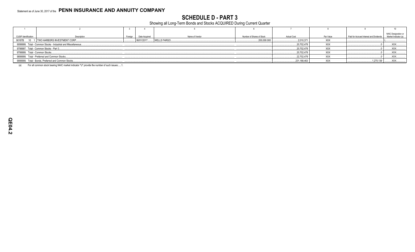**SCHEDULE D - PART 3**<br>Showing all Long-Term Bonds and Stocks ACQUIRED During Current Quarter

| <b>CUSIP Identification</b>                         | Description                                                   | Foreign<br>Date Acquired  | Name of Vendor | Number of Shares of Stock | <b>Actual Cost</b> | Par Value  | Paid for Accrued Interest and Dividends | NAIC Designation or<br>Market Indicator (a) |
|-----------------------------------------------------|---------------------------------------------------------------|---------------------------|----------------|---------------------------|--------------------|------------|-----------------------------------------|---------------------------------------------|
| 90187B 10 1 TWO HARBORS INVESTMENT CORP             |                                                               | WELLS FARGO<br>06/01/2017 |                | 200,000.000               | .2,010,37'         | <b>XXX</b> |                                         |                                             |
|                                                     | 9099999. Total - Common Stocks - Industrial and Miscellaneous |                           |                |                           | .20,702,478        | XXX        |                                         | .XXX                                        |
| 9799997. Total - Common Stocks - Part 3             |                                                               |                           |                |                           | .20,702,478        | XXX        |                                         | $\ldots$ XXX                                |
| 9799999. Total - Common Stocks                      |                                                               |                           |                |                           | .20,702,478        | <b>XXX</b> |                                         | XXX.                                        |
| 9899999. Total - Preferred and Common Stocks        |                                                               |                           |                |                           | 22,702,478         | <b>XXX</b> |                                         | XXX                                         |
| 9999999. Total - Bonds, Preferred and Common Stocks |                                                               |                           |                |                           | .231,188,463       | <b>XXX</b> | .1,270,139                              | <b>XXX.</b>                                 |

For all common stock bearing NAIC market indicator "U" provide the number of such issues:.....1.  $(a)$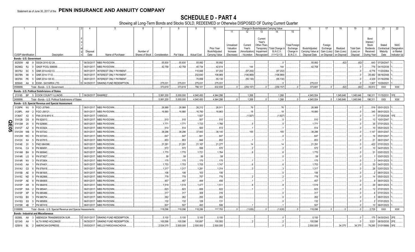SCHEDULE D - PART 4<br>Showing all Long-Term Bonds and Stocks SOLD, REDEEMED or Otherwise DISPOSED OF During Current Quarter

|                                                       |           | 2                                                            |            | -5                            | 6               |               | 8          | 9                  | 10                                 |                       |                        |                         | Change in Book/Adjusted Carrying Value |                       | 16                                 | 17                      | 18                      | 19                             | 20                    | 21                       | 22                       |
|-------------------------------------------------------|-----------|--------------------------------------------------------------|------------|-------------------------------|-----------------|---------------|------------|--------------------|------------------------------------|-----------------------|------------------------|-------------------------|----------------------------------------|-----------------------|------------------------------------|-------------------------|-------------------------|--------------------------------|-----------------------|--------------------------|--------------------------|
|                                                       |           |                                                              |            |                               |                 |               |            |                    |                                    | 11                    | 12                     | 13                      | 14                                     | 15                    |                                    |                         |                         |                                |                       |                          |                          |
|                                                       |           |                                                              |            |                               |                 |               |            |                    |                                    |                       |                        |                         |                                        |                       |                                    |                         |                         |                                |                       |                          |                          |
|                                                       |           |                                                              |            |                               |                 |               |            |                    |                                    |                       |                        | Current                 |                                        |                       |                                    |                         |                         |                                | Bond                  |                          |                          |
|                                                       |           |                                                              |            |                               |                 |               |            |                    |                                    |                       |                        | Year's                  |                                        |                       |                                    |                         |                         |                                | Interest              |                          |                          |
|                                                       |           |                                                              |            |                               |                 |               |            |                    |                                    | Unrealized            | Current                | Other-Than              |                                        | <b>Total Foreign</b>  |                                    | Foreign                 |                         |                                | Stock                 | Stated                   | <b>NAIC</b>              |
|                                                       |           |                                                              | Disposal   |                               | Number of       |               |            |                    | <b>Prior Year</b><br>Book/Adjusted | Valuation<br>Increase | Year's<br>Amortization | Temporary<br>Impairment | Total Change in<br>B./A.C.V.           | Exchange<br>Change in | Book/Adjusted<br>Carrying Value at | Exchange<br>Gain (Loss) | Realized<br>Gain (Loss) | <b>Total Gain</b><br>(Loss) on | Dividends<br>Received | Contractual<br>Maturity  | Designation<br>or Market |
| <b>CUSIP</b> Identification                           |           | Description                                                  | Date       | Name of Purchaser             | Shares of Stock | Consideration | Par Value  | <b>Actual Cost</b> | Carrying Value                     | (Decrease)            | / Accretion            | Recognized              | $(11+12-13)$                           | <b>B./A.C.V.</b>      | Disposal Date                      | on Disposal             | on Disposal             | Disposal                       | During Year           | Date                     | Indicator (a)            |
| Bonds - U.S. Government                               |           |                                                              |            |                               |                 |               |            |                    |                                    |                       |                        |                         |                                        |                       |                                    |                         |                         |                                |                       |                          |                          |
| 30250W                                                | AB        | SSGN 2010-S2 2A<br>q                                         | 06/30/2017 | <b>MBS PAYDOWN</b>            |                 | .55,830       | 55,830     | .55,892            | .55,892                            |                       |                        |                         |                                        |                       | .55,892                            |                         | (62)                    | (62)                           |                       | .643 07/29/2047.         |                          |
| 36296Q                                                | <b>RJ</b> | GNSF POOL 698089.                                            | 06/01/201  | MBS PAYDOWN.                  |                 | .42,758       | 42,758     | .40,734            | .42,614                            |                       | .144                   |                         | .144                                   |                       | .42,758                            |                         |                         |                                |                       | .776 04/15/2039.         |                          |
| 38375U                                                | - SC      | GNR 2014-H22 CI<br>.5                                        | 06/01/201  | <b>INTEREST ONLY PAYMENT.</b> |                 |               |            | 110,946            | .97,202                            |                       | (97, 202)              |                         | (97, 202)                              |                       |                                    |                         |                         |                                | 6,776                 | 11/20/2064.              |                          |
| 38378N                                                | XK        | GNR 2014-17 IO.                                              | 06/01/201  | INTEREST ONLY PAYMENT.        |                 |               |            | .232,640           | 106,969                            |                       | (106,969)              |                         | (106, 969)                             |                       |                                    |                         |                         |                                | .25,482               | 06/16/2048               |                          |
|                                                       |           | GNR 2014-135 IO.                                             |            | <b>INTEREST ONLY PAYMENT.</b> |                 |               |            |                    |                                    |                       |                        |                         |                                        |                       |                                    |                         |                         |                                |                       |                          |                          |
| 38378X                                                | PE        |                                                              | 06/01/201  |                               |                 |               |            | 70,858             | .55,130                            |                       | (55, 130)              |                         | (55, 130)                              |                       |                                    |                         |                         |                                | .4,329                | 01/16/2056.              |                          |
| 805649                                                | AA        | <b>EXIM - SAYARRA LTD.</b><br>- 8                            | 04/29/2017 | SINKING FUND REDEMPTION       |                 | .275,031      | .275,031   | 275,031            | 275,031                            |                       |                        |                         |                                        |                       | .275,031                           |                         |                         |                                | .1,907                | 10/29/2021               |                          |
| 0599999.                                              |           | Total - Bonds - U.S. Government                              |            |                               |                 | .373.619      | .373.619   | .786,101           | .632,838                           |                       | (259, 157)             |                         | (259.157)                              |                       | .373.681                           |                         | (62)                    | (62)                           | .39.913               | XXX                      | <b>XXX</b>               |
|                                                       |           | Bonds - U.S. Political Subdivisions of States                |            |                               |                 |               |            |                    |                                    |                       |                        |                         |                                        |                       |                                    |                         |                         |                                |                       |                          |                          |
| 213185                                                | <b>BP</b> | 5 COOK COUNTY ILLINOIS                                       |            | 06/26/2017. RAMIREZ.          |                 | .5,991,200    | .5,000,000 | .4,940,450         | 4,944,286                          |                       | .1,268                 |                         | .1,268                                 |                       | 4,945,554                          |                         | 1,045,646               | .1,045,646                     |                       | .196,311 11/15/2031. 1FE |                          |
| 2499999.                                              |           | Total - Bonds - U.S. Political Subdivisions of States.       |            |                               |                 | .5.991.200    | .5.000.000 | .4,940,450         | 4.944.286                          |                       | .1.268                 |                         | .1.268                                 |                       | .4,945,554                         |                         | .1.045.646              | 1.045.646                      | .196.311              | <b>XXX</b>               | <b>XXX</b>               |
|                                                       |           | Bonds - U.S. Special Revenue and Special Assessment          |            |                               |                 |               |            |                    |                                    |                       |                        |                         |                                        |                       |                                    |                         |                         |                                |                       |                          |                          |
| 3128PK WJ                                             |           | FGCI J07849.<br>- 9                                          | 06/01/2017 | <b>MBS PAYDOWN</b>            |                 | .26,988       | .26,988    | .26,212            | .26,911                            |                       | .76                    |                         | .76                                    |                       | 26,988                             |                         |                         | - 0                            |                       | .516 05/01/2023.         |                          |
| 3128PL                                                | AW        | <b>FGCI J08121</b><br>-2                                     | 06/01/201  | <b>MBS PAYDOWN.</b>           |                 | 16,880        | 16,880     | 16,760             | 16,863                             |                       | .18                    |                         | 18                                     |                       | 16,880                             |                         |                         |                                | .345                  | 06/01/2023.              |                          |
| 3136AT                                                | X2        | FNA 2016-M10 X<br>-5                                         | 06/01/201  | <b>ARIOUS</b>                 |                 |               |            | .1,927             |                                    |                       | (1, 927)               |                         | (1,927)                                |                       |                                    |                         |                         |                                |                       | 07/25/2028.              |                          |
| 31412B                                                | DS        | FN 920013                                                    | 06/01/201  | MBS PAYDOWN.                  |                 | .510          | 510        | 507                | 510                                |                       |                        |                         |                                        |                       | 510                                |                         |                         |                                | .13                   | 10/01/2047               |                          |
| $\sum_{31412M}$<br>$\sum_{31412M}$<br>$\sum_{31412W}$ | 2X        | N 929690                                                     | 06/01/201  | <b>MBS PAYDOWN.</b>           |                 | .1,771        | .1,771     | .1,723             | .1,766                             |                       |                        |                         |                                        |                       | .1,771                             |                         |                         |                                | .35                   | 07/01/2023               |                          |
|                                                       | AZ        | FN 933924                                                    | 06/01/201  | MBS PAYDOWN.                  |                 | .514          | .514       | 500                | 513                                |                       |                        |                         |                                        |                       | 514                                |                         |                         |                                | 10                    | 05/01/2023.              |                          |
| 31412W                                                | <b>WB</b> | FN 937242.                                                   | 06/01/201  | MBS PAYDOWN.                  |                 | .38,296       | .38,296    | .37,943            | .38,140                            |                       | 155                    |                         | .155                                   |                       | .38,296                            |                         |                         |                                | .1.147                | 05/01/2047               |                          |
| 31412W                                                | WC        | FN 937243.                                                   | 06/01/201  | MBS PAYDOWN.                  |                 | .647          | 647        | 641                | 647                                |                       |                        |                         |                                        |                       | .647                               |                         |                         |                                | 16                    | 05/01/2047               |                          |
| 31412X                                                | K4        | FN 937815.                                                   | 06/01/201  | MBS PAYDOWN.                  |                 | .853          | .853       | 846                | 852                                |                       |                        |                         |                                        |                       | 853                                |                         |                         |                                | 21                    | 06/01/2047               |                          |
| 31414E                                                | 2V        | FNCI 964388                                                  | 06/01/201  | MBS PAYDOWN.                  |                 | .21,291       | .21,291    | .21,167            | .21,277                            |                       | 14                     |                         | 14                                     |                       | .21,291                            |                         |                         |                                | 422                   | 07/01/2023.              |                          |
| 31414L                                                | C4        | FN 969091                                                    | 06/01/201  | MBS PAYDOWN.                  |                 | .572          | .572       | .556               | 570                                |                       |                        |                         |                                        |                       | .572                               |                         |                         |                                | 10                    | 04/01/2023.              |                          |
|                                                       |           |                                                              |            |                               |                 |               |            |                    |                                    |                       |                        |                         |                                        |                       |                                    |                         |                         |                                |                       |                          |                          |
| 31414M                                                | BH        | FN 969940                                                    | 06/01/20   | MBS PAYDOWN.                  |                 | .1,770        | 1,770      | .1,721             | .1,764                             |                       |                        |                         |                                        |                       | .1,770                             |                         |                         |                                |                       | 03/01/2023.              |                          |
| 31414R LG                                             |           | FN 973827                                                    | 06/01/20   | MBS PAYDOWN.                  |                 | .58           | .58        | .56                | .58                                |                       |                        |                         |                                        |                       | 58                                 |                         |                         |                                |                       | 03/01/2023.              |                          |
| 31414R                                                | <b>NV</b> | FN 973904                                                    | 06/01/201  | MBS PAYDOWN.                  |                 | 175           | 175        | .170               | 175                                |                       |                        |                         |                                        |                       | .175                               |                         |                         |                                |                       | 04/01/2023.              |                          |
| 31414S                                                | AA        | FN 974401                                                    | 06/01/201  | MBS PAYDOWN.                  |                 | .1,753        | .1,753     | .1,705             | 1,747                              |                       |                        |                         |                                        |                       | .1,753                             |                         |                         |                                | .33                   | 04/01/2023.              |                          |
| 31414U                                                | G3        | FN 976418                                                    | 06/01/201  | <b>MBS PAYDOWN.</b>           |                 | .1,317        | 1,317      | .1,281             | 1,314                              |                       |                        |                         |                                        |                       | .1,317                             |                         |                         |                                | 26                    | 03/01/2023.              |                          |
| 31415B                                                | AE        | FN 981605                                                    | 06/01/201  | MBS PAYDOWN.                  |                 | 106           | .106       | .103               | .106                               |                       |                        |                         |                                        |                       | .106                               |                         |                         |                                |                       | 06/01/2023.              |                          |
| 31415C                                                | <b>ND</b> | FN 982888                                                    | 06/01/201  | MBS PAYDOWN.                  |                 | .778          | 778        | .757               | 776                                |                       |                        |                         |                                        |                       | 778                                |                         |                         |                                |                       | 05/01/2023.              |                          |
| 31415P                                                | AE        | FN 984805                                                    | 06/01/201  | MBS PAYDOWN.                  |                 | .457          | .457       | .444               | .456                               |                       |                        |                         |                                        |                       | .457                               |                         |                         |                                |                       | 06/01/2023.              |                          |
| 31415P                                                | AR        | FN 984816<br>q                                               | 06/01/201  | MBS PAYDOWN.                  |                 | .1,519        | 1,519      | .1,477             | .1,511                             |                       |                        |                         |                                        |                       | .1,519                             |                         |                         |                                | .29                   | 06/01/2023.              |                          |
| 31415P                                                | WA        | FN 985441                                                    | 06/01/201  | MBS PAYDOWN.                  |                 | 623           | 623        | 606                | 622                                |                       |                        |                         |                                        |                       | 623                                |                         |                         |                                | $12^{\circ}$          | 07/01/2023.              |                          |
| 31415P                                                | XP        | FN 985486                                                    | 06/01/201  | <b>MBS PAYDOWN</b>            |                 | .317          | 317        | .308               | 316                                |                       |                        |                         |                                        |                       | 317                                |                         |                         |                                |                       | 07/01/2023.              |                          |
| 31415Q                                                | BX        | FN 985754                                                    | 06/01/201  | MBS PAYDOWN.                  |                 | .262          | .262       | .255               | .262                               |                       |                        |                         |                                        |                       | .262                               |                         |                         |                                |                       | 06/01/2023.              |                          |
| 31415Q                                                | E8        | FN 985859<br>-5                                              | 06/01/201  | MBS PAYDOWN.                  |                 | 132           | .132       | .128               | 131                                |                       |                        |                         |                                        |                       | .132                               |                         |                         |                                |                       | 07/01/2023.              |                          |
| 31415R                                                | 4B        | FN 987418.                                                   | 06/01/2017 | MBS PAYDOWN.                  |                 | 507           | .507       | .493               | .506                               |                       |                        |                         |                                        |                       | .507                               |                         |                         |                                | 10                    | 06/01/2023               |                          |
| 3199999.                                              |           | Total - Bonds - U.S. Special Revenue and Special Assessments |            |                               |                 | 118,096       | 118,096    | 118,286            | 117,793                            |                       | (1,626)                |                         | (1.626)                                |                       | 118,096                            |                         |                         |                                | 2.729                 | <b>XXX</b>               | XXX                      |
|                                                       |           | <b>Bonds - Industrial and Miscellaneous</b>                  |            |                               |                 |               |            |                    |                                    |                       |                        |                         |                                        |                       |                                    |                         |                         |                                |                       |                          |                          |
|                                                       | AA        | ABENGOA TRANSMISSION SUR                                     | 05/01/2017 | SINKING FUND REDEMPTION       |                 | .5,100        | .5,100     | .5,100             | .5,100                             |                       |                        |                         |                                        |                       | .5,100                             |                         |                         |                                |                       | .175   04/30/2043. 2FE.  |                          |
| 00289L                                                |           |                                                              |            |                               |                 |               |            |                    |                                    |                       |                        |                         |                                        |                       |                                    |                         |                         |                                |                       |                          |                          |
| 021345                                                | AA        | ALTA WIND HOLDINGS                                           | 06/30/201  | SINKING FUND REDEMPTION       |                 | 100,596       | 100,596    | 100,897            | 100,593                            |                       |                        |                         |                                        |                       | 100,596                            |                         |                         |                                | .3,521                | 06/30/2035. 2FE.         |                          |
| 025816 BL                                             |           | AMERICAN EXPRESS.<br>$\overline{2}$                          | 05/03/2017 | WELLS FARGO/WACHOVIA          |                 | .2,534,375    | .2.500.000 | .2,500,000         | .2.500.000                         |                       |                        |                         |                                        |                       | 2.500.000                          |                         | .34,375                 | .34,375                        | .79,285               | 01/01/9999. 3FE.         |                          |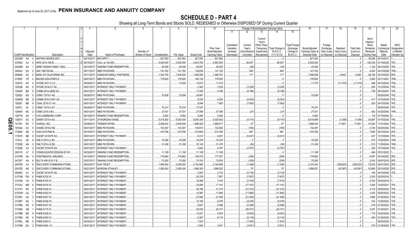SCHEDULE D - PART 4<br>Showing all Long-Term Bonds and Stocks SOLD, REDEEMED or Otherwise DISPOSED OF During Current Quarter

|        |                             |                |                                 |             |                              |                 |               |            | 9                  | 10                    |            |              |                   | Change in Book/Adjusted Carrying Value |                      | 16                | 17          | 18          | 19                | 20                  | 21                 |               |
|--------|-----------------------------|----------------|---------------------------------|-------------|------------------------------|-----------------|---------------|------------|--------------------|-----------------------|------------|--------------|-------------------|----------------------------------------|----------------------|-------------------|-------------|-------------|-------------------|---------------------|--------------------|---------------|
|        |                             |                |                                 |             |                              |                 |               |            |                    |                       | 11         | 12           | 13                | 14                                     | 15                   |                   |             |             |                   |                     |                    |               |
|        |                             |                |                                 |             |                              |                 |               |            |                    |                       |            |              |                   |                                        |                      |                   |             |             |                   |                     |                    |               |
|        |                             |                |                                 |             |                              |                 |               |            |                    |                       |            |              | Current<br>Year's |                                        |                      |                   |             |             |                   | Bond                |                    |               |
|        |                             |                |                                 |             |                              |                 |               |            |                    |                       | Unrealized | Current      | Other-Than-       |                                        | <b>Total Foreigr</b> |                   | Foreign     |             |                   | Interest /<br>Stock | Stated             | <b>NAIC</b>   |
|        |                             |                |                                 |             |                              |                 |               |            |                    | Prior Year            | Valuation  | Year's       | Temporary         | <b>Total Change</b>                    | Exchange             | Book/Adjusted     | Exchange    | Realized    | <b>Total Gain</b> | Dividends           | Contractual        | Designation   |
|        |                             |                |                                 | Disposal    |                              | Number of       |               |            |                    | Book/Adjusted         | Increase   | Amortization | Impairment        | <b>B./A.C.V.</b>                       | Change in            | Carrying Value at | Gain (Loss) | Gain (Loss) | (Loss) on         | Received            | Maturity           | or Market     |
|        | <b>CUSIP</b> Identification |                | Description                     | Date        | Name of Purchaser            | Shares of Stock | Consideration | Par Value  | <b>Actual Cost</b> | <b>Carrying Value</b> | (Decrease) | / Accretion  | Recognized        | $(11+12-13)$                           | <b>B./A.C.V.</b>     | Disposal Date     | on Disposal | on Disposal | Disposal          | During Year         | Date               | Indicator (a) |
|        | 03235M                      | AA<br>- 0      | AMTRAK SERIES-2001              | 06/15/2017. | MATURITY.                    |                 | .827,083      | 827,083    | 827,083            | .827,083              |            |              |                   |                                        |                      | .827,083          |             |             |                   | .39,286             | 06/15/2017         |               |
|        | 03764U                      | AJ<br>-2       | APID 2013-16A B.                | 06/19/2017. | CALL at 100.000.             |                 | .5,000,000    | .5,000,000 | 4,943,750          | .4,953,943            |            | .46,057      |                   | .46,057                                |                      | .5,000,000        |             |             |                   | 128,339             | 01/19/2025.        | 1FE.          |
|        | 04248N                      | AA             | ARMY HAWAII FAMILY (MH)         | 06/15/2017  | SINKING FUND REDEMPTION.     |                 | 40,536        | 40,536     | 48,837             | .40,630               |            | . (94        |                   | . (94)                                 |                      | .40,536           |             |             |                   | 1,120               | 06/15/2050.        | 1FE.          |
|        | 045424                      | EX             | ASC 1997-D4 B4.                 | 06/11/2017  | MBS PAYDOWN.                 |                 | 141,762       | 141,762    | 139,635            | 141,122               |            | .640         |                   | 640                                    |                      | .141,762          |             |             |                   | .4,043              | 04/14/2029.        | 1FM.          |
|        | 05990K                      | AC             | <b>BANC OF CALIFORNIA INC</b>   | 05/11/2017  | SANDLER ONEILL PARTNERS.     |                 | 1,503,750     | 1,500,000  | 1,496,250          | 1,496,791             |            | 117          |                   | 117                                    |                      | .1,496,908        |             | .6,842      | .6,842            |                     | 46,156 04/15/2025. | 2FE.          |
|        | 07383F                      | <b>YR</b>      | BSCMS 2004-PWR3 G.              | 06/01/2017  | MBS PAYDOWN.                 |                 | 178,925       | 178,925    | 160,138            | 178,925               |            |              |                   |                                        |                      | .178,925          |             |             |                   | 3,945               | 02/11/2041         | 1FM.          |
|        | 12527E                      | AK             | CFCRE 2011-C1 E.                | 06/30/2017  | MBS PAYDOWN.                 |                 |               | 12,630     | .10,672            | 11,515                |            |              |                   |                                        |                      | 11,515            |             | $(11,515)$  | (11,515)          | .389                | 04/15/2044.        | 1FM.          |
|        | 12532B                      | AH             | CFCRE 2016-C7 XA.               | 06/01/2017  | INTEREST ONLY PAYMENT        |                 |               |            | 3,363              | .3,329                |            | (3,329)      |                   | (3,329)                                |                      |                   |             |             |                   | .200                | 12/10/2054.        | 1FE           |
|        | 12592K                      | BD             | COMM 2014-UBS5 XA               | 06/01/2017  | INTEREST ONLY PAYMENT.       |                 |               |            | .11,593            | .8,196                |            | (8, 196)     |                   | (8, 196)                               |                      |                   |             |             |                   |                     | .749 09/10/2047    | 1FE           |
|        | 12592U                      | AQ             | CSMLT 2015-1 A9                 | 06/26/2017  | MBS PAYDOWN                  |                 | .33,836       | .33,836    | .34,661            |                       |            |              |                   |                                        |                      | .33,836           |             |             |                   |                     | 05/25/2045.        | 1FE           |
|        | 12594M                      | BD             | COMM 2016-COR1 XA               | 06/01/2017  | INTEREST ONLY PAYMENT        |                 |               |            | .6,720             | .6,524                |            | (6, 524)     |                   | (6, 524)                               |                      |                   |             |             |                   | .417                | 10/10/2049.        | 1FE.          |
|        | 126281                      | BB             | CSAIL 2015-C1 XA                | 06/01/2017  | INTEREST ONLY PAYMENT.       |                 |               |            | 8,094              | 7,062                 |            | .(7,062)     |                   | (7,062)                                |                      |                   |             |             |                   | .520                | 04/15/2050.        | 1FE           |
|        | 12637L                      | AL<br>-3       | CSMLT 2015-2 A7                 | 06/26/2017  | MBS PAYDOWN.                 |                 | .75,214       | .75,214    | .77,047            |                       |            |              |                   |                                        |                      | 75,214            |             |             |                   |                     | 08/25/2045.        | 1FE.          |
|        | 12649X                      | BC             | CSMC 2015-3 B2.                 | 06/01/2017  | MBS PAYDOWN.                 |                 | .27,531       | .27,531    | .27,858            | .27,558               |            | (27)         |                   | (27)                                   |                      | 27,531            |             |             |                   | .452                | 03/25/2045.        | 1FM.          |
|        | 12677#                      | AA             | <b>CVS CAREMARK CORP</b>        | 06/15/2017  | SINKING FUND REDEMPTION.     |                 | .5,062        | .5,062     | .5,062             | 5,062                 |            |              |                   |                                        |                      | 5,062             |             |             |                   | .118                | 01/15/2040         |               |
| O      | 13057V                      | AC             | CRART 2015-4 A3                 | 04/11/2017  | JP MORGAN CHASE              |                 | .5,015,820    | .5,000,000 | .5,044,336         | .5,025,042            |            | (8, 174)     |                   | (8, 174)                               |                      | .5,016,868        |             | $(1,048)$   | (1,048)           | .34,567             | 01/15/2020. 1FE.   |               |
| щ<br>0 | 141781                      | BC             | CARGILL INC.                    | 05/08/2017  | TENDER OFFER.                |                 | .2,068,434    | .2,000,000 | 1,996,220          | 1,996,517             |            | 27           |                   | 27                                     |                      | .1,996,544        |             | 71,891      | .71,891           | .41,000             | 11/01/2042.        | 1FE.          |
| ِ ق    | 16164A                      | AC             | CHASE 2016-2 M2.                | 06/01/2017  | MBS PAYDOWN.                 |                 | .132,397      | 132,397    | .135,914           | 132,562               |            | (165)        |                   | (165)                                  |                      | .132,397          |             |             |                   | 2,100               | 02/25/2044.        | 1FE.          |
|        | 17290K                      | AB             | CHAI 2015-PM2 B.                | 06/15/2017  | MBS PAYDOWN                  |                 | .415,766      | 415,766    | .413,809           | 414,785               |            | .981         |                   | 981                                    |                      | .415,766          |             |             |                   | .7,885              | 03/15/2022. 2FE.   |               |
|        | 17291E                      | BB             | <b>CGCMT 2016-P6 XA</b>         | 06/01/2017. | <b>INTEREST ONLY PAYMENT</b> |                 |               |            | 6,312              | .6,241                |            | (6,241)      |                   | (6,241)                                |                      |                   |             |             |                   | .437                | 12/10/2049. 1FE.   |               |
|        | 17321L                      | AE             | CMLTI 2013-J1 B1                | 06/01/2017  | MBS PAYDOWN.                 |                 | .18,328       | 18,328     | 18,076             | 18,325                |            |              |                   |                                        |                      | 18,328            |             |             |                   | .270                | 10/25/2043.        | 1FM.          |
|        | 17323E                      | AN<br>-3       | CMLTI 2014-J2 B2.               | 06/01/2017  | <b>MBS PAYDOWN.</b>          |                 | .31,438       | .31,438    | .32,145            | .31,476               |            | (38)         |                   | (38)                                   |                      | 31,438            |             |             |                   | .513                | 11/25/2044.        | 1FM.          |
|        | 17325D                      | AJ             | CGCMT 2016-P5 XA.               | 06/01/2017  | INTEREST ONLY PAYMENT        |                 |               |            | .4,942             | .4,797                |            | (4,797)      |                   | (4,797)                                |                      |                   |             |             |                   | .305                | 10/10/2049. 1FE.   |               |
|        | 209115                      | $A^*$          | CONSOLIDATED EDISON OF NY.      | 06/30/2017  | SINKING FUND REDEMPTION.     |                 | 11,109        | .11,109    | .11,109            | 11,109                |            |              |                   |                                        |                      | 11,109            |             |             |                   | .484                | 07/01/2022.        |               |
|        | 21079R                      | AA             | <b>CONTINENTAL AIRLINES.</b>    | 04/19/2017  | SINKING FUND REDEMPTION.     |                 | 176,662       | 176,662    | 190,574            | .177,021              |            | (359)        |                   | (359)                                  |                      | .176,662          |             |             |                   | 6,097               | 04/19/2022. 3FE.   |               |
|        | 24735T                      | AA             | DELTA AIR 2012-1 B.             | 05/07/2017  | SINKING FUND REDEMPTION.     |                 | 70,292        | .70,292    | 74,333             | 70,550                |            | (259)        |                   | (259)                                  |                      | 70,292            |             |             |                   | 2,416               | 05/07/2019. 2FE.   |               |
|        | 25470D                      | AJ             | DISCOVERY COMMUNICATIONS        | 06/22/2017  | SUN TRUST.                   |                 | 1,884,620     | .2,000,000 | 2,154,680          | .2,144,699            |            | (1, 456)     |                   | (1,456)                                |                      | .2,143,243        |             | (258, 623)  | (258, 623)        | .72,042             | 04/01/2043. 2FE.   |               |
|        | 25470D                      | AK             | <b>DISCOVERY COMMUNICATIONS</b> | 06/21/2017  | MORGAN STANLEY.              |                 | .1,955,040    | .2,000,000 | .1,998,300         | .1,998,552            |            | 75           |                   | 75                                     |                      | .1,998,627        |             | (43,587)    | (43, 587)         | .53,858             | 03/15/2025. 2FE.   |               |
|        | 29429C                      | AJ             | CGCMT 2016-P3 XA.               | 06/01/2017  | INTEREST ONLY PAYMENT        |                 |               |            | .2,292             | .2,133                |            | (2, 133)     |                   | (2, 133)                               |                      |                   |             |             |                   | .140                | 04/15/2049.        | 1FE.          |
|        | 3137AB                      | FW             | <b>FHMS K702 X1</b>             | 06/01/2017  | <b>INTEREST ONLY PAYMENT</b> |                 |               |            | .24,379            | .7,657                |            | (7,657)      |                   | (7,657)                                |                      |                   |             |             |                   | .3,353              | 02/25/2018.        |               |
|        | 3137AE                      | V8             | <b>FHMS K703 X1</b>             | 06/01/2017  | INTEREST ONLY PAYMENT.       |                 |               |            | .18,266            | 7,518                 |            | (7,518)      |                   | (7,518)                                |                      |                   |             |             |                   | .2,740              | 05/25/2018.        |               |
|        | 3137AJ                      | МG             | FHMS K016 X1                    | 06/01/2017  | INTEREST ONLY PAYMENT        |                 |               |            | .23,699            | .17,167               |            | (17, 167)    |                   | (17, 167)                              |                      |                   |             |             |                   | .1,836              | 10/25/2021.        | 1FE.          |
|        | 3137AT RX                   |                | <b>FHMS K020 X1.</b>            | 06/01/2017  | INTEREST ONLY PAYMENT        |                 |               |            | .36,766            | 31,215                |            | (31,215)     |                   | (31, 215)                              |                      |                   |             |             |                   | 3,116               | 05/25/2022.        | 1FE           |
|        | 3137AW                      | QJ             | FHMS K023 X1.                   | 06/01/201   | INTEREST ONLY PAYMENT        |                 |               |            | 12,967             | .11,665               |            | (11,665)     |                   | (11,665)                               |                      |                   |             |             |                   | .1,053              | 08/25/2022         | 1FE.          |
|        | 3137B1                      | UH             | <b>FHMS K027 X1</b>             | 06/01/201   | INTEREST ONLY PAYMENT        |                 |               |            | .27,682            | .21,408               |            | (21,408)     |                   | (21, 408)                              |                      |                   |             |             |                   | .1,886              | 01/25/2023.        | 1FE.          |
|        | 3137B7                      | N2             | FHMS K036 X1.                   | 06/01/2017  | INTEREST ONLY PAYMENT        |                 |               |            | 12,156             | .9,478                |            | (9,478)      |                   | (9,478)                                |                      |                   |             |             |                   | .743                | 10/25/2023.        | 1FE.          |
|        | 3137B8                      | G5             | <b>FHMS K037 X1</b>             | 06/01/2017  | <b>INTEREST ONLY PAYMENT</b> |                 |               |            | .6,827             | 5,368                 |            | (5,368)      |                   | (5,368)                                |                      |                   |             |             |                   | .419                | 01/25/2024         | 1FE.          |
|        | 3137BA                      | HB             | FHMS K715 X1                    | 06/01/2017  | INTEREST ONLY PAYMENT        |                 |               |            | .29,028            | .26,701               |            | (26,701)     |                   | (26, 701)                              |                      |                   |             |             |                   | .3,387              | 01/25/2021         | 1FE.          |
|        | 3137BB                      | BE<br>-9       | FHMS K038 X                     | 06/01/2017  | INTEREST ONLY PAYMENT        |                 |               |            | 12,021             | .9,553                |            | (9,553)      |                   | (9,553)                                |                      |                   |             |             |                   | .718                | 03/25/2024.        | 1FE.          |
|        | 3137BH                      | XK             | FHMS K045 X                     | 06/01/2017  | <b>INTEREST ONLY PAYMENT</b> |                 |               |            | 6,367              | .6,119                |            | .(6,119)     |                   | (6,119)                                |                      |                   |             |             |                   | .400                | 01/25/2025.        |               |
|        | 3137BL                      | ME             | FHMS KS03 X                     | 06/30/2017  | <b>INTEREST ONLY PAYMENT</b> |                 |               |            | .1,503             |                       |            | (1,503)      |                   | (1,503)                                |                      |                   |             |             |                   |                     | 08/25/2025.        |               |
|        | 3137BN GU                   | $\overline{2}$ | FHMS K054 X1                    | 06/01/2017. | <b>INTEREST ONLY PAYMENT</b> |                 |               |            | .3,904             | 3,631                 |            | (3,631)      |                   | (3,631)                                |                      |                   |             |             |                   | .218                | 01/25/2026.        | 1FE.          |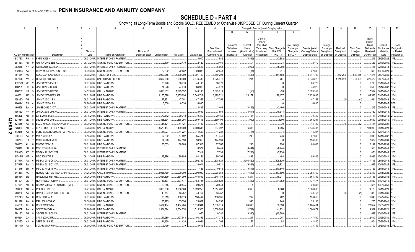SCHEDULE D - PART 4<br>Showing all Long-Term Bonds and Stocks SOLD, REDEEMED or Otherwise DISPOSED OF During Current Quarter

|               |                             |                  |                                        |                       |                                              |                 |                        | 8                   | 9                     | 10                       |                         |                   |                          | Change in Book/Adjusted Carrying Value |                                  | 16                  | 17                  | 18          | 19                | 20                 | 21                        | 22                         |
|---------------|-----------------------------|------------------|----------------------------------------|-----------------------|----------------------------------------------|-----------------|------------------------|---------------------|-----------------------|--------------------------|-------------------------|-------------------|--------------------------|----------------------------------------|----------------------------------|---------------------|---------------------|-------------|-------------------|--------------------|---------------------------|----------------------------|
|               |                             |                  |                                        |                       |                                              |                 |                        |                     |                       |                          | 11                      | 12                | 13<br>Current<br>Year's  | 14                                     | 15                               |                     |                     |             |                   | Bond<br>Interest   |                           |                            |
|               |                             |                  |                                        |                       |                                              |                 |                        |                     |                       | Prior Year               | Unrealized<br>Valuation | Current<br>Year's | Other-Than-<br>Temporary | Total Change i                         | <b>Total Foreign</b><br>Exchange | Book/Adjusted       | Foreign<br>Exchange | Realized    | <b>Total Gain</b> | Stock<br>Dividends | Stated<br>Contractual     | <b>NAIC</b><br>Designation |
|               |                             |                  |                                        | Disposal              |                                              | Number of       |                        |                     |                       | Book/Adjusted            | Increase                | Amortizatior      | Impairment               | <b>B./A.C.V.</b>                       | Change in                        | Carrying Value at   | Gain (Loss)         | Gain (Loss) | (Loss) on         | Received           | Maturity                  | or Market                  |
|               | <b>CUSIP</b> Identification |                  | Description                            | Date                  | Name of Purchaser                            | Shares of Stock | Consideration          | Par Value           | <b>Actual Cost</b>    | Carrying Value           | (Decrease)              | / Accretion       | Recognized               | $(11+12-13)$                           | <b>B./A.C.V.</b>                 | Disposal Date       | on Disposal         | on Disposal | Disposal          | During Year        | Date                      | Indicator (a)              |
|               | 3137BS                      | <b>P9</b>        | <b>FHMS K058 X1</b>                    | 06/01/2017            | INTEREST ONLY PAYMENT.                       |                 |                        |                     | .3,940                | .3,882                   |                         | (3,882)           |                          | (3,882)                                |                                  |                     |                     |             |                   | 216                | 08/25/2026                | FE.                        |
|               | 36186X                      | AD               | GMACN 2012 BLIS A.                     | 06/12/201             | SINKING FUND REDEMPTION.                     |                 | .2,470                 | .2,470              | .2,420                | .2,466                   |                         |                   |                          |                                        |                                  | .2,470              |                     |             |                   | .53                | 07/10/2050                | FE.                        |
|               | 36251F                      | AY               | GSMS 2015-GC28 XA.                     | 06/01/201             | <b>INTEREST ONLY PAYMENT</b>                 |                 |                        |                     | .6,542                | .5,060                   |                         | (5,060)           |                          | (5,060)                                |                                  |                     |                     |             |                   | .415               | 02/10/2048                |                            |
|               | 36298G                      | AA               | <b>GSPA MONETIZATION TRUST</b>         | 06/09/20              | SINKING FUND REDEMPTION                      |                 | .22,632                | .22,632             | .23,085               | .22,643                  |                         | (1                |                          | (11                                    |                                  | .22,632             |                     |             |                   | .606               | 10/09/2029                |                            |
|               | 38143Y                      | AC               | <b>GOLDMAN SACHS GRP.</b>              | 06/08/201             | TENDER OFFER.                                |                 | 6,990,055              | .5,500,000          | .6,391,740            | .6,359,293               |                         | (11,503)          |                          | (11,503)                               |                                  | .6,347,790          |                     | 642,265     | .642,265          | 177,375            | 05/01/2036                | 2FE.                       |
|               | 437076                      | AV               | HOME DEPOT INC.                        | 06/26/20              | SALOMON/CITIGROUP.                           |                 | .6,697,600             | .5,000,000          | .4,976,400            | .4,978,371               |                         | .201              |                          | .201                                   |                                  | 4,978,572           |                     | .1,719,028  | 1,719,028         | .221,472           | 04/01/204                 | FE.                        |
|               | 46625M                      | ZE               | JPMCC 2003-PM1A F.                     | 06/01/201             | MBS PAYDOWN.                                 |                 | .68,776                | .68,776             | .48,143               | 68,776                   |                         |                   |                          |                                        |                                  | .68,776             |                     |             |                   | 1,735              | 08/12/2040                | <b>IFM</b>                 |
|               | 46625Y<br>46625Y            | DG.<br><b>NK</b> | JPMCC 2004-CBX B.<br>JPMCC 2005-LDP2 C | 06/01/20<br>04/17/20  | <b>MBS PAYDOWN.</b><br>CALL at 100.000.      |                 | .74.978                | 74,978<br>1,093,557 | .66,918               | 74,978                   |                         |                   |                          |                                        |                                  | 74,978<br>1,093,557 |                     |             |                   | 1,588<br>.17,902   | 01/12/2037                |                            |
|               | 46630J                      | AE               | JPMCC 2007-LDPX AM                     | 06/01/20              | MBS PAYDOWN.                                 |                 | 1,093,557<br>3,155,698 | .3,155,698          | .943,193<br>2,548,719 | .1,093,610<br>.3,129,521 |                         | (53)<br>.26,177   |                          | (53)<br>.26,177                        |                                  | .3,155,698          |                     |             |                   | .65,563            | 07/15/2042<br>01/15/2049. | FM.                        |
|               | 46639G                      | AG               | JPMMT 2013-1 B3.                       | 06/01/201             | MBS PAYDOWN.                                 |                 | .47,351                | .47,351             | .47,352               | .47,352                  |                         |                   |                          |                                        |                                  | .47,352             |                     |             | (1                | .691               | 03/25/2043.               | <b>FM</b>                  |
|               | 46644V                      | BS               | JPMMT 2015-4 B3.                       | 06/26/20              | MBS PAYDOWN.                                 |                 | .6,030                 | .6,030              | 6,030                 |                          |                         |                   |                          |                                        |                                  | .6,030              |                     |             |                   |                    | 06/25/2045.               | 2FE.                       |
|               | 46645L                      | BA               | JPMBB 2016-C1 XA.                      | 06/01/201             | INTEREST ONLY PAYMENT.                       |                 |                        |                     | 3,832                 | 3,466                    |                         | (3, 466)          |                          | (3,466)                                |                                  |                     |                     |             |                   | .249               | 03/15/2049.               |                            |
|               | 46645U                      | AV               | JPMCC 2016-JP4 XA                      | 06/01/201             | INTEREST ONLY PAYMENT.                       |                 |                        |                     | .8,659                | .3,653                   |                         | (8,614)           |                          | (8,614)                                |                                  |                     |                     |             |                   | 480                | 12/15/2049.               | FE.                        |
|               | 50543L                      | AB               | .AFL 2016-1A B1                        | 06/15/201             | MBS PAYDOWN.                                 |                 | 70,312                 | 70,312              | 70,310                | 70,159                   |                         | .154              |                          | 154                                    |                                  | .70,312             |                     |             | . 0               | 1,711              | 01/15/2042.               |                            |
| O             | 52108H                      | 7E               | <b>BUBS 2005-C5 F.</b>                 | 06/11/201             | MBS PAYDOWN.                                 |                 | 368,294                | 368,294             | 369,445               | .369,195                 |                         | (900)             |                          | (900)                                  |                                  | .368,294            |                     |             |                   | .9,659             | 09/15/2040.               |                            |
| m             | 52465#                      | AZ               | EGG MASON MTG CAP CORP.                | 06/30/201             | SINKING FUND REDEMPTION.                     |                 | .44,121                | .44,121             | .44,122               | .44, 122                 |                         |                   |                          |                                        |                                  | .44,122             |                     | (2)         | $\cdot$ (2)       | . 1,414            | 06/10/2021                |                            |
| 0<br><u>ທ</u> | 52602E                      | AΓ.              | LEND PROC SER/BLK KNGHT                | 04/26/201             | CALL at 104.825                              |                 | .3,573,487             | .3,409,000          | 3,600,593             | .3,567,092               |                         | .6,395            |                          | .6,395                                 |                                  | .3,573,487          |                     |             |                   | .103,998           | 04/15/2023.               |                            |
| <u>in</u>     | 54246#                      | AA               | LONG BEACH JUDICIAL PARTNERS           | 06/30/201             | SINKING FUND REDEMPTION                      |                 | .14,227                | 14,227              | 14,652                | .14,232                  |                         | (4)               |                          | . (4                                   |                                  | .14,227             |                     |             |                   | 489                | 12/31/2047                |                            |
|               | 59010R                      | AA               | MRLN 2016-1 A.                         | 06/15/201             | MBS PAYDOWN.                                 |                 | .57,692                | .57,692             | .55,474               | .57,446                  |                         | .246              |                          | 246                                    |                                  | .57,692             |                     |             |                   | .1,046             | 12/15/2032.               |                            |
|               | 59022H                      | DX               | MLMT 2004-KEY2 D                       | 06/01/201             | MBS PAYDOWN.                                 |                 | 124,596                | 124,596             | .90,955               | 124,596                  |                         |                   |                          |                                        |                                  | .124,596            |                     |             |                   | 2,629              | 08/12/2039                |                            |
|               | 606935                      | AL               | MLCFC 2006-1 B.                        | 06/01/201             | MBS PAYDOWN.                                 |                 | .88,063                | 88,063              | .87,513               | .87,765                  |                         | .298              |                          | 298                                    |                                  | .88,063             |                     |             |                   | .2,199             | 02/12/2039                | FM                         |
|               | 61691E                      | BB               | MSC 2016-UB12 XA                       | 06/01/201             | INTEREST ONLY PAYMENT.                       |                 |                        |                     | .8,527                | .8,444                   |                         | (8,444)           |                          | (8,444)                                |                                  |                     |                     |             |                   | 566                | 12/15/2049.               | FE.                        |
|               | 61691G                      | AT               | MSBAM 2016-C32 XA                      | 06/01/201             | INTEREST ONLY PAYMENT.                       |                 |                        |                     | .7,314                | 7,238                    |                         | (7,238)           |                          | (7,238)                                |                                  |                     |                     |             |                   | .451               | 12/15/2049.               | FE.                        |
|               | 61745M                      | W7               | MSC 2005-T17 B.                        | 06/13/201             | MBS PAYDOWN.                                 |                 | .99,886                | .99,886             | .84,154               | .99,392                  |                         | .493              |                          | 493                                    |                                  | .99,886             |                     |             |                   | 2,032              | 12/13/204 <sup>-</sup>    | <b>FM</b>                  |
|               | 61761A                      | AA               | MSBAM 2012-C5 XA.                      | 06/01/201             | INTEREST ONLY PAYMENT.                       |                 |                        |                     | 392,389               | .308,820                 |                         | (308, 820)        |                          | (308, 820)                             |                                  |                     |                     |             |                   | .37,103            | 08/15/2045.               |                            |
|               | 61766R                      | BA               | <b>MSBAM 2016-C31 XA</b>               | 06/01/201             | INTEREST ONLY PAYMENT.                       |                 |                        |                     | .10,011               | .9,821                   |                         | (9,821)           |                          | (9,821                                 |                                  |                     |                     |             |                   | .627               | 10/15/2026.               | FE.                        |
|               | 61767F                      | BB               | MSC 2016-UB11 XA.                      | 06/01/201             | INTEREST ONLY PAYMENT.                       |                 |                        |                     | .11,425               | 10,846                   |                         | (10,846)          |                          | (10, 846)                              |                                  |                     |                     |             | - 0               | .723               | 08/15/2049.               | FE.                        |
|               | 64128X                      | - AC             | NEUBERGER BERMAN GRP/FIN               | 04/26/20              | CALL at 100.000                              |                 | .2,058,760             | .2,000,000          | .2,090,000            | .2,076,650               |                         | (17,890)          |                          | (17,890)                               |                                  | .2.058.760          |                     |             |                   | 66,319             | 03/15/2022.               | 2FE.                       |
|               | 65536H                      | <b>BE</b>        | NHELI 2005-HE1 M3.                     | 06/26/20              | MBS PAYDOWN.                                 |                 | .664,399               | .664,399            | 446,809               | 648,189                  |                         | .16,211           |                          | .16,211                                |                                  | 664,399             |                     |             |                   | .4.786             | 09/25/2035.               | <b>FM</b>                  |
|               | 667294                      | <b>BE</b>        | <b>NORTHWEST AIR 07-1</b>              | 05/01/20              | SINKING FUND REDEMPTION.                     |                 | .137,47                | 137,477             | 153,704               | .138,829                 |                         | (1,352)           |                          | (1,352)                                |                                  | .137,477            |                     |             |                   | .4.830             | 1/01/2019.                | IFE.                       |
|               | 677071                      | AU               | OHANA MILITARY COMM LLC (MH)           | 04/01/20              | SINKING FUND REDEMPTION.                     |                 | .20,845                | .20,845             | 20,521                | 20,844                   |                         |                   |                          |                                        |                                  | 20,845              |                     |             |                   | .625               | 10/01/2051                |                            |
|               | 69318F                      | AB               | PBF HOLDING CO                         | 06/21/20              | CALL at 102.063                              |                 | 1,020,630              | 1,000,000           | 1,026,250             | .1,014,262               |                         | .6,368            |                          | .6,368                                 |                                  | 1,020,630           |                     |             |                   | 70,125             | 02/15/2020                |                            |
|               | 75086#                      | AA               | RAINIER GSA PORTFOLIO LLC.             | 06/15/201             | SINKING FUND REDEMPTION                      |                 | .43,757                | .43,757             | .43,757               | 43,757                   |                         |                   |                          |                                        |                                  | .43,757             |                     |             | (1                | .879               | 06/15/2036                |                            |
|               | 75574Q                      | AA               | RCMT 2015-2 A.                         | 06/01/201             | MBS PAYDOWN.                                 |                 | 136,613                | 136,613             | 136,447               | .136,331                 |                         | .282              |                          | 282                                    |                                  | .136,613            |                     |             |                   | .1,840             | 06/25/2055.               | FM                         |
|               | 761118                      | AW               | RALI 2005-QS9 A3                       | 06/30/201             | MBS PAYDOWN.                                 |                 | .25,195                | .35,390             | 23,007                | .24,255                  |                         | .940              |                          | 940                                    |                                  | 25,195              |                     |             |                   | .205               | 06/25/204                 |                            |
|               | 774262                      | AF               | ROCKW 2006-1A.                         | 05/02/201             | CALL at 100.000.                             |                 | 1,404,404              | 1,404,404           | .1,318,384            | 1,338,314                |                         | .66,090           |                          | .66,090                                |                                  | 1,404,404           |                     |             |                   | 22,657             | 08/01/2021                |                            |
|               | 78410F                      | AA               | SCFET 2016-1A A                        | 06/20/201             | MBS PAYDOWN.                                 |                 | 1,504,874              | 1,504,874           | .1,515,926            | .1,506,605               |                         | (1,731            |                          | (1,731                                 |                                  | 1,504,874           |                     |             |                   | .19,502            | 11/20/2021                |                            |
|               | 78419C<br>805564            | AG<br>GA         | SGCMS 2016-C5 XA<br>SAST 2000-2 MF2    | 06/01/20<br>06/30/201 | <b>INTEREST ONLY PAYMENT</b><br>MBS PAYDOWN. |                 | .47,580                | 127,648             | 11,020<br>103,395     | .10,380<br>.47,372       |                         | (10,380)          |                          | (10, 380)<br>207                       |                                  | .47,580             |                     |             |                   | .699<br>2,640      | 10/10/2048.<br>)7/25/2030 |                            |
|               | 81745D                      | - AJ             | SEMT 2013-9 B3.                        | 06/01/201             | MBS PAYDOWN.                                 |                 | .41,420                | .41,420             | 40,061                | .41,368                  |                         | .207<br>.52       |                          | .52                                    |                                  | .41,420             |                     |             |                   | 604                | )7/25/2043.               |                            |
|               | 83416W AA                   |                  | <b>SOLAR STAR FUND</b>                 | 06/30/201             | SINKING FUND REDEMPTION                      |                 | .3.739                 | .3,739              | .3.645                | .3.736                   |                         |                   |                          |                                        |                                  | .3,739              |                     |             |                   | 100                | 06/30/2035.               |                            |
|               |                             |                  |                                        |                       |                                              |                 |                        |                     |                       |                          |                         |                   |                          |                                        |                                  |                     |                     |             |                   |                    |                           |                            |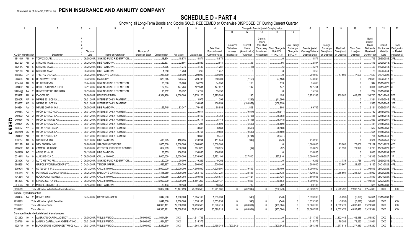# **SCHEDULE D - PART 4**

Showing all Long-Term Bonds and Stocks SOLD, REDEEMED or Otherwise DISPOSED OF During Current Quarter

|              |                                            |           | 2                                             |             | -5                            | 6               |                      | 8           | 9                      | 10 <sup>°</sup>       |            |               | Change in Book/Adjusted Carrying Value |                          |                      | 16                | 17          | 18          | 19                | 20                  | 21                         | 22            |
|--------------|--------------------------------------------|-----------|-----------------------------------------------|-------------|-------------------------------|-----------------|----------------------|-------------|------------------------|-----------------------|------------|---------------|----------------------------------------|--------------------------|----------------------|-------------------|-------------|-------------|-------------------|---------------------|----------------------------|---------------|
|              |                                            |           |                                               |             |                               |                 |                      |             |                        |                       | 11         | 12            | 13                                     | 14                       | 15                   |                   |             |             |                   |                     |                            |               |
|              |                                            |           |                                               |             |                               |                 |                      |             |                        |                       |            |               |                                        |                          |                      |                   |             |             |                   |                     |                            |               |
|              |                                            |           |                                               |             |                               |                 |                      |             |                        |                       |            |               | Current                                |                          |                      |                   |             |             |                   | Bond                |                            |               |
|              |                                            |           |                                               |             |                               |                 |                      |             |                        |                       | Unrealized | Current       | Year's<br>Other-Than <sub>`</sub>      |                          | <b>Total Foreign</b> |                   | Foreign     |             |                   | Interest /<br>Stock | Stated                     | <b>NAIC</b>   |
|              |                                            |           |                                               |             |                               |                 |                      |             |                        | Prior Year            | Valuation  | Year's        |                                        | Temporary   Total Change | Exchange             | Book/Adjusted     | Exchange    | Realized    | <b>Total Gain</b> | Dividends           | Contractual                | Designation   |
|              |                                            |           |                                               | Disposal    |                               | Number of       |                      |             |                        | Book/Adjusted         | Increase   | Amortization) | Impairment                             | <b>B./A.C.V.</b>         | Change in            | Carrying Value at | Gain (Loss) | Gain (Loss) | (Loss) on         | Received            | Maturity                   | or Market     |
|              | <b>CUSIP</b> Identification                |           | Description                                   | Date        | Name of Purchaser             | Shares of Stock | Consideration        | Par Value   | <b>Actual Cost</b>     | Carrying Value        | (Decrease) | / Accretion   | Recognized                             | $(11+12-13)$             | <b>B./A.C.V.</b>     | Disposal Date     | on Disposal | on Disposal | Disposal          | During Year         | Date                       | Indicator (a) |
|              | 83416W                                     | AB        | <b>TOPAZ SOLAR.</b>                           | 06/30/201   | SINKING FUND REDEMPTION.      |                 | .18,874              | 18,874      | 18,874                 | .18,874               |            |               |                                        |                          |                      | 18,874            |             |             |                   |                     | .746 06/30/2035.           | 2FE.          |
|              | 86212U AB                                  |           | STR 2013-1A A2.                               | 06/20/20    | MBS PAYDOWN.                  |                 | .22,897              | .22,897     | .22,889                | .22,841               |            | .56           |                                        | .56                      |                      | .22,897           |             |             |                   | 446                 | 03/20/2043.                | 1FE.          |
|              | 86213A                                     | AB        | STR 2013-3A A2.                               | 06/20/20    | MBS PAYDOWN.                  |                 | .4,275               | .4,275      | .4,430                 | .4,281                |            | .6            |                                        |                          |                      | .4,275            |             |             | . (               | .93                 | 11/20/2043.                | 1FE.          |
|              | 86213B                                     | AB        | STR 2014-1A A2.                               | 06/20/20    | MBS PAYDOWN.                  |                 | .1,250               | 1,250       | .1,249                 | .1,247                |            |               |                                        |                          |                      | .1,250            |             |             |                   | .26                 | 04/20/2044.                | 1FE.          |
|              | 88033G                                     | <b>CP</b> | FHC 7 1/2 01/01/22.                           | 05/25/201   | <b>BARCLAYS CAPITAL</b>       |                 | .217,500             | 200,000     | .200,000               | .200,000              |            |               |                                        |                          |                      | .200,000          |             | .17,500     | .17,500           |                     | 7,500 01/01/2022.          | 4FE.          |
|              | 90345K                                     | AB        | JS AIRWAYS 2010-1B PTT                        | 04/22/201   | <b>MATURITY</b>               |                 | 673,245              | .673,245    | .723,738               | 680,403               |            | (7, 158)      |                                        | (7, 158)                 |                      | .673,245          |             |             |                   | .28,613             | 04/22/2017                 | 3FE.          |
|              | 90346W                                     | AB        | US AIR 2013-1B.                               | 05/24/201   | SINKING FUND REDEMPTION.      |                 | 35,066               | .35,066     | .34,277                | 34,953                |            | .113          |                                        | .113                     |                      | .35,066           |             |             | . 0               |                     | 942 11/15/2021.            | 2FE.          |
|              | 90932P                                     | AB        | UNITED AIR 2014-1 B PTT                       | 04/11/201   | SINKING FUND REDEMPTION.      |                 | 127,764              | 127,764     | 127,501                | 127,617               |            | .147          |                                        | .147                     |                      | .127,764          |             |             |                   | .3,034              | 04/11/2022. 2FE.           |               |
|              | 91474@                                     | AA        | UNIVERSITY OF MICHIGAN                        | 06/15/201   | SINKING FUND REDEMPTION.      |                 | .15,752              | .15,752     | .15,752                | .15,752               |            |               |                                        |                          |                      | .15,752           |             |             |                   | .232                | 06/15/2039                 |               |
|              | 92553P                                     | AU        | <b>VIACOM INC</b>                             | 06/26/201   | DEUTSCHE BANK.                |                 | 4,384,480            | .4,000,000  | .3,974,120             | .3,975,203            |            | 195           |                                        | .195                     |                      | .3,975,398        |             | 409,082     | .409,082          |                     | 193,700 09/01/2043. 2FE.   |               |
|              | 92930R                                     | AF        | NFRBS 2012-C9 XA.                             | 06/01/201   | INTEREST ONLY PAYMENT.        |                 |                      |             | 13,975                 | 11,296                |            | (11,296)      |                                        | (11, 296)                |                      |                   |             |             |                   | 1,334               | 11/15/2045. 1FE.           |               |
|              | 92936T                                     | AF        | <b>WFRBS 2012-C7 XA.</b>                      | 06/01/201   | INTEREST ONLY PAYMENT.        |                 |                      |             | 136,897                | 108,859               |            | (108, 859)    |                                        | (108,859                 |                      |                   |             |             |                   | .11,553             | 06/15/2045.                | 1FE.          |
|              | 949834                                     | AA        | VFMBS 2007-14 1A1                             | 06/30/201   | MBS PAYDOWN.                  |                 | 69,745               | .83,247     | .76,492                | .68,938               |            | .808          |                                        | .808                     |                      | .69,745           |             |             |                   | .2,164              | 10/25/2037.                | 1FM.          |
|              | 94988X                                     | AX        | NFCM 2014-LC16 XA                             | 06/01/20    | <b>INTEREST ONLY PAYMENT.</b> |                 |                      |             | .9,517                 |                       |            | (9,517)       |                                        | (9,517)                  |                      |                   |             |             | . . 0             | .732                | 08/15/2050.                | 1FE.          |
|              | 94989D                                     | AZ        | VFCM 2015-C27 XA.                             | 06/01/201   | INTEREST ONLY PAYMENT.        |                 |                      |             | .8,450                 | .6,758                |            | (6,758)       |                                        | (6,758)                  |                      |                   |             |             | . . (             | 488                 | 02/15/2048.                | 1FE.          |
| Q            | 94989V                                     | AG        | VFCM 2015-NXS3 XA                             | 06/01/201   | <b>INTEREST ONLY PAYMENT.</b> |                 |                      |             | .9,714                 | .8,148                |            | (8, 148)      |                                        | (8, 148)                 |                      |                   |             |             | $\cdot$ . (       | 667                 | 09/15/2057                 | 1FE.          |
|              | 94989Y                                     | <b>BC</b> | <b>VFCM 2016-C32 XA</b>                       | 06/01/201   | <b>INTEREST ONLY PAYMENT.</b> |                 |                      |             | .7,221                 | .6,500                |            | (6,500)       |                                        | (6,500)                  |                      |                   |             |             | $\cdot$ .         | 451                 | 01/15/2059                 | 1FE.          |
|              | 95000J                                     | AY        | <b>NFCM 2016-LC25 XA</b>                      | 06/01/201   | INTEREST ONLY PAYMENT.        |                 |                      |             | .8,648                 | .8,560                |            | (8, 560)      |                                        | (8,560)                  |                      |                   |             |             | . (               | 592                 | 12/15/2059.                | 1FE.          |
| <b>ED5.3</b> | 95000M                                     | <b>BS</b> | VFCM 2016-C36 XA.                             | 06/01/201   | INTEREST ONLY PAYMENT.        |                 |                      |             | .9,756                 | .9,580                |            | (9,580)       |                                        | (9,580)                  |                      |                   |             |             | . 0               | .604                | 11/15/2059.                | 1FE.          |
|              | 95000P                                     | AH        | WFCM 2016-C37 XA                              | 06/01/201   | INTEREST ONLY PAYMENT.        |                 |                      |             | .9,865                 | .9,741                |            | (9,741)       |                                        | (9,741)                  |                      |                   |             |             | 0                 | .704                | 12/15/2049.                | 1FE.          |
|              | 97655J                                     | AH        | VIN 2016-1 1A8                                | 06/01/201   | MBS PAYDOWN.                  |                 | .410,295             | 410,295     | .418,244               | .411,244              |            | (949)         |                                        | (949                     |                      | .410,295          |             |             | . 0               | .6,324              | 01/20/2046.                | 1FM.          |
|              | 98212B                                     | AG        | WPX ENERGY INC.                               | 06/26/20    | SALOMON/CITIGROUP.            |                 | 1,075,000            | 1,000,000   | 1,000,000              | 1,000,000             |            |               |                                        |                          |                      | .1,000,000        |             | 75,000      | .75,000           | .75,167             | 08/01/2023.                | 4FE.          |
|              | 98956P                                     | AC        | ZIMMER HOLDINGS.                              | 06/29/20    | CREDIT SUISSE/FIRST BOSTON    |                 | .852,269             | .830,000    | .831,826               | .830,975              |            | (97)          |                                        | (97                      |                      | .830,879          |             | 21,390      | .21,390           | 16,730              | 11/30/2021.                | 2FE.          |
|              | G0620B                                     | AC        | ATLSS 2014-1 B.                               | 06/15/20    | MBS PAYDOWN.                  |                 | .136,855             | 136,855     | 136,855                | 136,855               |            |               |                                        |                          |                      | 136,855           |             |             | . 0               | .3,628              | 12/15/2039.                | 2FE.          |
|              | 00164N                                     | AA        | <b>ILM 2015-12A D.</b>                        | 06/20/20    | CALL at 100.000               |                 | .3,000,000           | .3,000,000  | .2,736,900             | .2,772,190            |            | 227,810       |                                        | .227,810                 |                      | .3,000,000        |             |             |                   | 133,349             | 04/16/2027                 |               |
|              | 05330K                                     | AA        | AUTO METRO PR.                                | 06/30/20    | SINKING FUND REDEMPTION.      |                 | .20,000              | .20,000     | 19,262                 | .19,262               |            |               |                                        |                          |                      | .19,262           |             | 738         | 738               | .675                | 06/30/2035.                | 3FE.          |
|              | 398435                                     | - AC      | GRIFOLS WORLDWIDE OP LTD.                     | 04/24/20    | TENDER OFFER.                 |                 | 523,867              | .500,000    | .500,000               | .500,000              |            |               |                                        |                          |                      | 500,000           |             | 23,867      | .23,867           | .13,125             | 04/01/2022.                | 4FE.          |
|              | 67590N                                     | AE        | OCT20 2014-1A C.                              | 05/12/201   | CALL at 100.000               |                 | .5,000,000           | .5,000,000  | 4,905,500              | .4,920,591            |            | 79,409        |                                        | 79,409                   |                      | .5,000,000        |             |             |                   | .93,646             | 08/12/2026.                | 1FE.          |
|              |                                            | <b>AF</b> | PETROBAS GLOBAL FINANCE                       | 06/26/20    | <b>BARCLAYS CAPITAI</b>       |                 |                      | .1,500,000  |                        |                       |            | .22,438       |                                        |                          |                      | 1,129,659         |             | 285,591     |                   | .39.922             |                            | 4FE.          |
|              | 71647N<br>77426N                           | AA        | ROCKW 2007-1A A1LA                            | 05/01/201   | CALL at 100.000               |                 | 1,415,250<br>806,055 | .806,055    | 1,053,750              | .1,107,221            |            |               |                                        | 22,438                   |                      | 806,055           |             |             | .285,591          | .4,899              | 05/20/2023.<br>08/01/2024. | 1FE.          |
|              |                                            | AE        | <b>STAMC 2007-1A B1L</b>                      | 05/30/201   | CALL at 100.000.              |                 | .6,000,000           | .6,000,000  | .780,866<br>.5,891,250 | 778,631<br>.5,929,137 |            | .27,424       |                                        | .27,424                  |                      | .6,000,000        |             |             |                   |                     | 103,548 02/27/2021.        | 1FE.          |
|              | 85430X                                     |           |                                               |             |                               |                 |                      |             |                        |                       |            | .70,863       |                                        | 70,863                   |                      |                   |             |             |                   |                     |                            |               |
|              | EF6935                                     | 10        | 2 MITCHELLS & BUTLER                          | 06/15/2017  | MBS PAYDOWN.                  |                 | 89,133               | 89,133      | 74,598                 | 88,351                |            | .782          |                                        | .782                     | $\Omega$             | .89,133           | $\Omega$    |             |                   |                     | 675 12/15/2030.            | IFE.          |
|              | 3899999.                                   |           | Total - Bonds - Industrial and Miscellaneous. |             |                               |                 | 76,862,766           | .73,147,224 | .73,324,566            | .73,941,861           |            | (202.949)     |                                        | (202, 949)               |                      | 73,869,973        |             | 2,992,792   | 2,992,792         | .2,145,810          | XXX                        | <b>XXX</b>    |
|              | <b>Bonds - Hybrid Securities</b><br>20035A | AA        | 2 COMED FIN III.                              |             | 04/04/2017. RAYMOND JAMES     |                 | 1,047,500            | .1,000,000  | .1,055,160             | .1,053,938            |            | (540)         |                                        | (540)                    |                      | 1,053,398         |             | (5,898)     | (5,898)           |                     | 35,631 03/15/2033. 3F.     |               |
|              |                                            |           |                                               |             |                               |                 | 1,047,500            | .1,000,000  | .1,055,160             | .1,053,938            |            | (540)         |                                        | (540)                    | $\cap$               | 1,053,398         |             | (5,898)     | (5,898)           | .35,631             | XXX                        | <b>XXX</b>    |
|              | 4899999.                                   |           | Total - Bonds - Hybrid Securities             |             |                               |                 | .84,393,181          |             |                        |                       | $\Omega$   | (463,004)     |                                        | (463, 004)               | $\Omega$             | .80.360.702       |             | 4.032.478   |                   |                     | <b>XXX</b>                 | XXX           |
|              | 8399997                                    |           | Total - Bonds - Part 4                        |             |                               |                 |                      | .79,638,939 | .80,224,563            | .80,690,716           |            |               |                                        |                          |                      |                   |             |             | 4,032,478         | .2,420,394          |                            |               |
|              | 8399999.                                   |           | Total - Bonds                                 |             |                               |                 | .84,393,181          | .79,638,939 | .80,224,563            | .80,690,716           |            | (463.004)     |                                        | (463.004)                |                      | .80.360.702       |             | 4.032.478   | .4,032,478        | .2,420,394          | XXX                        | XXX           |
|              |                                            | 10        | Common Stocks - Industrial and Miscellaneous  |             |                               |                 |                      |             |                        |                       |            |               |                                        |                          |                      |                   |             |             |                   |                     |                            |               |
|              | 00123Q                                     |           | AMERICAN CAPITAL AGENCY                       | 05/30/2017. | <b>WELLS FARGO</b>            | .79,000.000     | 1,614,184            | XXX         | .1,511,736             |                       |            |               |                                        |                          |                      | .1,511,736        |             | .102,448    | 102,448           | .56,880             | <b>XXX</b>                 |               |
|              | 035710                                     | 40        | ANNALY CAPITAL MANAGEMENT INC.                | 05/31/2017  | <b>WELLS FARGO</b>            | .50,000.000     | .594,667             | <b>XXX</b>  | .515,375               |                       |            |               |                                        |                          |                      | .515,375          |             | 79,292      | .79,292           | 21,021              | <b>XXX</b>                 |               |
|              | 09257W 10                                  | $\Omega$  | BLACKSTONE MORTGAGE TRU CL-A.                 | 05/31/2011  | <b>WELLS FARGO</b>            | 72,000.000      | 2,242,210            | <b>XXX</b>  | 1,964,398              | .2,165,040            | (200, 642) |               |                                        | (200, 642)               |                      | 1,964,398         |             | 277,813     | .277,813          | .89,280             | <b>XXX</b>                 |               |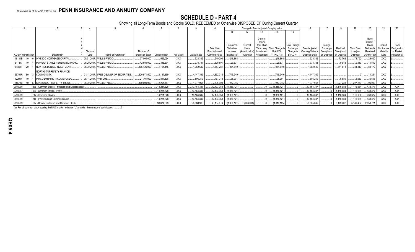# **SCHEDULE D - PART 4**

Showing all Long-Term Bonds and Stocks SOLD, REDEEMED or Otherwise DISPOSED OF During Current Quarter

|                      |                                                      |                      |                                         |                 |               |            |                    |                |                         |                   |                           | Change in Book/Adjusted Carrying Value |                                  |                   |                                     |             |                   |                    |                        | -22                      |
|----------------------|------------------------------------------------------|----------------------|-----------------------------------------|-----------------|---------------|------------|--------------------|----------------|-------------------------|-------------------|---------------------------|----------------------------------------|----------------------------------|-------------------|-------------------------------------|-------------|-------------------|--------------------|------------------------|--------------------------|
|                      |                                                      |                      |                                         |                 |               |            |                    |                |                         |                   |                           |                                        | 15                               |                   |                                     |             |                   |                    |                        |                          |
|                      |                                                      |                      |                                         |                 |               |            |                    |                |                         |                   |                           |                                        |                                  |                   |                                     |             |                   |                    |                        |                          |
|                      |                                                      |                      |                                         |                 |               |            |                    |                |                         |                   | Current                   |                                        |                                  |                   |                                     |             |                   | Bond               |                        |                          |
|                      |                                                      |                      |                                         |                 |               |            |                    |                |                         |                   | Year's                    |                                        |                                  |                   |                                     |             |                   | Interest           |                        |                          |
|                      |                                                      |                      |                                         |                 |               |            |                    | Prior Year     | Unrealized<br>Valuation | Current<br>Year's | Other-Than-               | Total Change i                         | <b>Total Foreign</b><br>Exchange | Book/Adjusted     | Foreign                             | Realized    | <b>Total Gain</b> | Stock<br>Dividends | Stated                 | <b>NAIC</b>              |
|                      |                                                      | Disposal             |                                         | Number of       |               |            |                    | Book/Adjusted  | Increase                | (Amortization)    | Temporary I<br>Impairment | B./A.C.V.                              | Change                           | Carrying Value at | Exchange<br>Gain (Loss) Gain (Loss) |             | (Loss) on         | Received           | Contractua<br>Maturity | Designation<br>or Market |
| CUSIP Identification | Description                                          | Date                 | Name of Purchaser                       | Shares of Stock | Consideration | Par Value  | <b>Actual Cost</b> | Carrying Value | (Decrease)              | Accretion         | Recognized                | $11+12-13$                             | B./A.C.V.                        | Disposal Date     | on Disposal                         | on Disposal | Disposal          | During Year        | Date                   | Indicator (a)            |
| 46131B               | <b>INVESCO MORTGAGE CAPITAL</b>                      |                      | 05/31/2017. WELLS FARGO.                | .37,000.000     | .596,094      | <b>XXX</b> | .523,332           | .540,200       | (16, 868)               |                   |                           | (16.868)                               |                                  | .523,332          |                                     | .72,762     | .72,762           | .29,600            | <b>XXX</b>             |                          |
| 617477               | <b>MORGAN STANLEY EMERGING MARK.</b>                 |                      | 06/29/2017. WELLS FARGO.                | .42.650.000     | .345.274      | <b>XXX</b> | .335,331           | .305,801       | 29,531                  |                   |                           | .29.531                                |                                  | .335.331          |                                     | .9.943      | 9,943             | 14,512             | <b>XXX</b>             |                          |
| 64828T 20            | <b>INEW RESIDENTAL INVESTMENT.</b>                   |                      | 05/30/2017. WELLS FARGO.                | 105.425.000     | 1.724.445     | <b>XXX</b> | 1,382,632          | 1,657,281      | (274, 649)              |                   |                           | (274.649)                              |                                  | 1.382.632         |                                     | 341,813     | .341,813          | .80,172            | <b>XXX</b>             |                          |
|                      | NORTHSTAR REALTY FINANCE                             |                      |                                         |                 |               |            |                    |                |                         |                   |                           |                                        |                                  |                   |                                     |             |                   |                    |                        |                          |
| 66704R 80            | <b>COMMON STK</b>                                    |                      | 01/11/2017. FREE DELIVER OF SECURITIES. | .320,971.500    | .4.147.369    | <b>XXX</b> | 4,147,369          | 4,862,718      | (715, 349)              |                   |                           | (715, 349)                             |                                  | 4.147.369         |                                     |             |                   | 14,264             | <b>XXX</b>             |                          |
| 72201Y               | PIMCO DYNAMIC INCOME FUND.                           | 05/11/2017. VARIOUS. |                                         | .27.701.000     | .811.898      | <b>XXX</b> | .806.219           | .767,318       | 38,901                  |                   |                           | .38.901                                |                                  | .806.219          |                                     | .5.680      | .5,680            | 36,648             | <b>XXX</b>             |                          |
| 85571B               | <b>STARWOOD PROPERTY TRUST</b>                       |                      | 05/30/2017. WELLS FARGO.                | 100,000.000     | .2,205,187    | <b>XXX</b> | 1,977,955          | 2,195,000      | (217,045)               |                   |                           | (217, 045)                             |                                  | 1,977,955         |                                     | 227,233     | .227,233          | .96,000            | <b>XXX</b>             |                          |
| 9099999.             | Total - Common Stocks - Industrial and Miscellaneous |                      |                                         |                 | .14,281,328   | <b>XXX</b> | .13,164,347        | 12,493,358     | 1,356,121               |                   |                           | (1,356,121)                            |                                  | 13,164,347        |                                     | 1,116,984   | .1,116,984        | 438,377            | <b>XXX</b>             | <b>XXX</b>               |
| 9799997              | Total - Common Stocks - Part 4.                      |                      |                                         |                 | .14,281,328   | <b>XXX</b> | 13,164,347         | 12,493,358     | (1,356,121)             |                   |                           | (1,356,121)                            |                                  | 13,164,347        |                                     | 1.116.984   | 1,116,984         | .438,377           | <b>XXX</b>             | <b>XXX</b>               |
| 9799999.             | Total - Common Stocks.                               |                      |                                         |                 | .14,281,328   | <b>XXX</b> | 13,164,347         | 12,493,358     | (1,356,121)             |                   |                           | (1,356,121)                            |                                  | 13,164,347        |                                     | .1,116,984  | 1,116,984         | .438,377           | <b>XXX</b>             | <b>XXX</b>               |
| 9899999.             | Total - Preferred and Common Stocks.                 |                      |                                         |                 | .14,281,328   | <b>XXX</b> | 13,164,347         | 12,493,358     | (1,356,121)             |                   |                           | (1,356,121)                            |                                  | 13,164,347        |                                     | .1,116,984  | 1,116,984         | .438,377           | <b>XXX</b>             | <b>XXX</b>               |
| 9999999.             | Total - Bonds, Preferred and Common Stocks.          |                      |                                         |                 | .98,674,509   | <b>XXX</b> | 93,388,910         | .93,184,074    | (1,356,121)             | (463,004)         |                           | (1,819,125)                            |                                  | .93,525,049       |                                     | .5,149,462  | 5,149,462         | 2,858,771          | <b>XXX</b>             | <b>XXX</b>               |

(a) For all common stock bearing the NAIC market indicator "U" provide: the number of such issues: ..........0.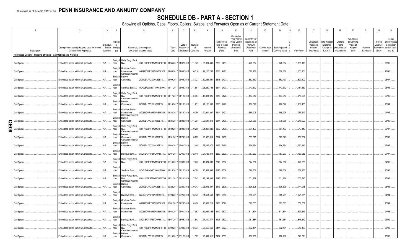# **SCHEDULE DB - PART A - SECTION 1**

Showing all Options, Caps, Floors, Collars, Swaps and Forwards Open as of Current Statement Date

|     |                                                                                  | $\mathcal{P}$                                  | $\mathbf{3}$ | $\overline{4}$                     |                                                              | 5                                          | 6                     |                       | 8            | 9           | 10                                         | 11                                                                      | 12                                                              | 13           | 14               | 15 | 16         | 17                                  | 18                                            | 19                                | 20                                              | 21        | 22                   | 23                                                               |
|-----|----------------------------------------------------------------------------------|------------------------------------------------|--------------|------------------------------------|--------------------------------------------------------------|--------------------------------------------|-----------------------|-----------------------|--------------|-------------|--------------------------------------------|-------------------------------------------------------------------------|-----------------------------------------------------------------|--------------|------------------|----|------------|-------------------------------------|-----------------------------------------------|-----------------------------------|-------------------------------------------------|-----------|----------------------|------------------------------------------------------------------|
|     |                                                                                  | Description of Item(s) Hedged, Used for Income | Schedule     | Type(s)<br>of<br>/ Exhibit Risk(s) |                                                              | Exchange, Counterparty                     | Trade                 | Date of<br>Maturity o | Number<br>of | Notional    | Strike Price,<br>Rate of Index<br>Received | Cumulative<br>Prior Year(s)<br>Initial Cost of<br>Premium<br>(Received) | <b>Current Year</b><br>Initial Cost of<br>Premium<br>(Received) | Current Year | Book/Adjusted    |    |            | Unrealized<br>Valuation<br>Increase | <b>Total Foreign</b><br>Exchange<br>Change in | Current<br>Year's<br>Amortization | Adjustment<br>to Carrying<br>Value of<br>Hedged | Potential | Credit<br>Quality of | Hedge<br>Effectiveness<br>at Inception<br>Reference and at Year- |
|     | Description<br>Purchased Options - Hedging Effective - Call Options and Warrants | Generation or Replicated                       | Identifier   | (a)                                |                                                              | or Central Clearinghouse                   | Date                  | Expiration            | Contracts    | Amount      | (Paid)                                     | Paid                                                                    | Paid                                                            | Income       | Carrying Value e |    | Fair Value | (Decrease)                          | <b>B./A.C.V.</b>                              | / Accretion                       | ltems                                           | Exposure  | Entity               | end (b)                                                          |
|     |                                                                                  |                                                |              |                                    |                                                              |                                            |                       |                       |              |             |                                            |                                                                         |                                                                 |              |                  |    |            |                                     |                                               |                                   |                                                 |           |                      |                                                                  |
|     | Call Spread                                                                      | Embedded option within IUL products.           | $N/A$        | ndex                               | Equity/I   Wells Fargo Bank,<br>N.A.                         | KB1H1DSPRFMYMCUFXT09 01/04/2017 01/02/2018 |                       |                       | 11,079       | 25,014,499  | 2303 / 2461                                |                                                                         | 748,054                                                         |              | 748,054          |    | .1,181,179 |                                     |                                               |                                   |                                                 |           |                      | 96/96.                                                           |
|     | Call Spread                                                                      | Embedded option within IUL products            | N/A          | ndex                               | Equity/I Goldman Sachs<br>International<br>Canadian Imperial | W22LROWP2IHZNBB6K528                       | 01/05/2017 01/04/2018 |                       | .10,616      | 24,106,282  | 2316 / 2475.                               |                                                                         | 670,188                                                         |              | 670,188          |    | .1,103,261 |                                     |                                               |                                   |                                                 |           |                      | 98/98.                                                           |
|     | Call Spread                                                                      | Embedded option within IUL products            | N/A          | Equity/I Bank of<br>ndex           | Commerce                                                     | 2IGI19DL77OX0HC3ZE78                       |                       | 01/09/2017 01/05/2018 | 8,727        | .19,833,591 | 2318 / 2477.                               |                                                                         | 562,433                                                         |              | 562,433          |    | .893,402   |                                     |                                               |                                   |                                                 |           |                      | 96/97.                                                           |
|     | Call Spread.                                                                     | Embedded option within IUL products            | N/A          | Equity/<br>ndex                    | SunTrust Bank                                                | IYDOJBGJWY9T8XKCSX06                       |                       | 01/11/2017 01/08/2018 | 11,561       | 26,230,753  | 2314 / 2473                                |                                                                         | 743,372                                                         |              | 743,372          |    | .1,181,669 |                                     |                                               |                                   |                                                 |           |                      | 96/96.                                                           |
|     | Call Spread.                                                                     | Embedded option within IUL products            | N/A          | ndex                               | Equity/I   Wells Fargo Bank,<br>N.A.<br>Canadian Imperial    | KB1H1DSPRFMYMCUFXT09 01/17/2017 01/12/2018 |                       |                       | 6,957        | .15,814,026 | 2319 / 2478.                               |                                                                         | 447,613                                                         |              | 447,613          |    | 714,098    |                                     |                                               |                                   |                                                 |           |                      | 96/96.                                                           |
|     | Call Spread.                                                                     | Embedded option within IUL products            | $N/A$        | ndex                               | Equity/I Bank of<br>Commerce                                 | 2IGI19DL77OX0HC3ZE78                       |                       | 01/18/2017 01/16/2018 | 11,951       | 27,103,553  | 2313 / 2472.                               |                                                                         | 780,520                                                         |              | 780,520          |    | .1,238,433 |                                     |                                               |                                   |                                                 |           |                      | 93/94.                                                           |
|     | Call Spread.                                                                     | Embedded option within IUL products            | N/A          | Equity/I<br>ndex                   | Goldman Sachs<br>International<br>Canadian Imperial          | W22LROWP2IHZNBB6K528                       |                       | 01/23/2017 01/19/201  | 9,256        | 20,994,367  | 2314 / 2472.                               |                                                                         | 585,905                                                         |              | 585,905          |    | .958,517   |                                     |                                               |                                   |                                                 |           |                      | 94/95.                                                           |
| ဌ   | Call Spread.                                                                     | Embedded option within IUL products.           | N/A          | Equity/I<br>ndex                   | Bank of<br>Commerce                                          | 2IGI19DL77OX0HC3ZE78                       |                       | 01/24/2017 01/22/2018 | 11,764       | 26,647,813  | 2311 / 2469.                               |                                                                         | 779,659                                                         |              | 779,659          |    | .1,218,026 |                                     |                                               |                                   |                                                 |           |                      | 95/96.                                                           |
| ဓ္တ | Call Spread                                                                      | Embedded option within IUL products            | N/A          | ndex                               | Equity/I   Wells Fargo Bank,<br>N.A.<br>Canadian Imperial    | KB1H1DSPRFMYMCUFXT09 01/30/2017 01/24/2018 |                       |                       | 9,289        | 21,287,230  | 2337 / 2498.                               |                                                                         | 564,493                                                         |              | 564,493          |    | .917,149   |                                     |                                               |                                   |                                                 |           |                      | 96/97.                                                           |
|     | Call Spread                                                                      | Embedded option within IUL products            | $N/A$        | Equity/I Bank of<br>ndex           | Commerce<br>Canadian Imperial                                | 2IGI19DL77OX0HC3ZE78                       |                       | 01/31/2017 01/29/2018 | 8,999        | 20,525,819  | 2327 / 2486.                               |                                                                         | 563,675                                                         |              | 563,675          |    | .900,757   |                                     |                                               |                                   |                                                 |           |                      | 95/95.                                                           |
|     | Call Spread.                                                                     | Embedded option within IUL products.           | N/A          | Equity/I   Bank of<br>ndex         | Commerce                                                     | 2IGI19DL77OX0HC3ZE78.                      |                       | 02/03/2017 02/01/2018 | 12,499       | 28,495,470  | 2325 / 2485.                               |                                                                         | .856,994                                                        |              | 856,994          |    | .1,262,842 |                                     |                                               |                                   |                                                 |           |                      | 97/97.                                                           |
|     | Call Spread                                                                      | Embedded option within IUL products.           | N/A          | Equity/<br>ndex                    | Barclays Bank                                                | G5GSEF7VJP5I7OUK5573                       |                       | 02/07/2017 02/05/2018 | 12,115       | 27,783,814  | 2339 / 2500.                               |                                                                         | 787,233                                                         |              | 787,233          |    | .1,183,286 |                                     |                                               |                                   |                                                 |           |                      | 97/97.                                                           |
|     | Call Spread.                                                                     | Embedded option within IUL products            | N/A          | ndex                               | Equity/I   Wells Fargo Bank,<br>N.A.                         | KB1H1DSPRFMYMCUFXT09 02/10/2017 02/08/2018 |                       |                       | 7,773        | 17,874,608  | 2346 / 2507                                |                                                                         | 524,056                                                         |              | 524,056          |    | .746,081   |                                     |                                               |                                   |                                                 |           |                      | 94/95.                                                           |
|     | Call Spread.                                                                     | Embedded option within IUL products            | $N/A$        | Equity/<br>ndex                    |                                                              | SunTrust Bank IYDOJBGJWY9T8XKCSX06         |                       | 02/15/2017 02/12/2018 | 10,099       | 23,522,995  | 2376 / 2539.                               |                                                                         | 699,356                                                         |              | 699,356          |    | .859,986   |                                     |                                               |                                   |                                                 |           |                      | 95/95.                                                           |
|     | Call Spread.                                                                     | Embedded option within IUL products            | N/A          | Equity/I<br>ndex                   | Wells Fargo Bank,<br>N.A.<br>Canadian Imperial               | KB1H1DSPRFMYMCUFXT09 02/21/2017 02/16/201  |                       |                       | 7,747        | .18,197,393 | 2396 / 2560.                               |                                                                         | 531,289                                                         |              | 531,289          |    | .632,743   |                                     |                                               |                                   |                                                 |           |                      | 95/95.                                                           |
|     | Call Spread.                                                                     | Embedded option within IUL products            | $N/A$        | Equity/I<br>ndex                   | Bank of<br>Commerce                                          | 2IGI19DL77OX0HC3ZE78                       | 02/22/2017            | 02/20/2018            | 9,743        | 23,045,897  | 2413 / 2578.                               |                                                                         | 636,608                                                         |              | 636,608          |    | .744,918   |                                     |                                               |                                   |                                                 |           |                      | 96/95.                                                           |
|     | Call Spread                                                                      | Embedded option within IUL products            | $N/A$        | Equity/<br>ndex                    | Barclays Bank.                                               | G5GSEF7VJP5I7OUK5573                       |                       | 02/28/2017 02/26/201  | 13,375       | 31,661,568  | 2415 / 2580.                               |                                                                         | .885,291                                                        |              | .885,291         |    | .1,021,381 |                                     |                                               |                                   |                                                 |           |                      | 94/94.                                                           |
|     | Call Spread.                                                                     | Embedded option within IUL products            | N/A          | ndex                               | Equity/I Goldman Sachs<br>International                      | W22LROWP2IHZNBB6K528                       |                       | 03/01/2017 02/28/2018 | 8,476        | 20,034,213  | 2411 / 2576.                               |                                                                         | 627,563                                                         |              | 627,563          |    | .658,652   |                                     |                                               |                                   |                                                 |           |                      | 95/94.                                                           |
|     | Call Spread.                                                                     | Embedded option within IUL products            | $N/A$        | Equity/I<br>ndex                   | Goldman Sachs<br>International                               | W22LROWP2IHZNBB6K528                       |                       | 03/03/2017 03/01/2018 | 7,957        | 19,031,155  | 2440 / 2607.                               |                                                                         | 511,874                                                         |              | 511,874          |    | .539,343   |                                     |                                               |                                   |                                                 |           |                      | 94/93.                                                           |
|     | Call Spread.                                                                     | Embedded option within IUL products            | $N/A$        | Equity/<br>ndex                    | Barclays Bank                                                | G5GSEF7VJP5I7OUK5573                       |                       | 03/07/2017 03/05/2018 | 11,542       | 27,449,877  | 2426 / 2592.                               |                                                                         | 751,384                                                         |              | 751,384          |    | .848,642   |                                     |                                               |                                   |                                                 |           |                      | 93/92.                                                           |
|     | Call Spread.                                                                     | Embedded option within IUL products            | N/A          | ndex<br>Equity/I Bank of           | Equity/I   Wells Fargo Bank,<br>N.A.<br>Canadian Imperial    | KB1H1DSPRFMYMCUFXT09 03/09/2017 03/08/2018 |                       |                       | .12,034      | 28,450,662  | 2411 / 2577.                               |                                                                         | 832,151                                                         |              | .832,151         |    | .946,133   |                                     |                                               |                                   |                                                 |           |                      | 98/98.                                                           |
|     | Call Spread.                                                                     | Embedded option within IUL products            | $N/A$        | ndex                               | Commerce                                                     | 2IGI19DL77OX0HC3ZE78                       |                       | 03/15/2017 03/12/2018 | .11,327      |             | 26,844,310 2417 / 2583.                    |                                                                         | .780.260                                                        |              | .780.260         |    | .870,691   |                                     |                                               |                                   |                                                 |           |                      | 95/95.                                                           |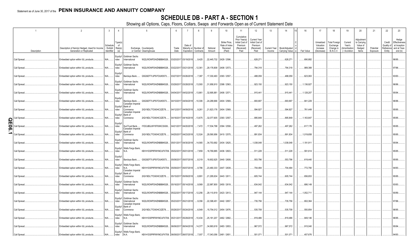# **SCHEDULE DB - PART A - SECTION 1**

Showing all Options, Caps, Floors, Collars, Swaps and Forwards Open as of Current Statement Date

|                  |             |                                                                            |                                  |                                 | 0.10mmg an                                                | optiono, oupo,                                      |               |                                                          |       |                    |                                                      |                                                                                 |                                                                         |        |                                                       |            |                                                   |                                                            |                                                     |                                                          |                       |                                |                                                                             |
|------------------|-------------|----------------------------------------------------------------------------|----------------------------------|---------------------------------|-----------------------------------------------------------|-----------------------------------------------------|---------------|----------------------------------------------------------|-------|--------------------|------------------------------------------------------|---------------------------------------------------------------------------------|-------------------------------------------------------------------------|--------|-------------------------------------------------------|------------|---------------------------------------------------|------------------------------------------------------------|-----------------------------------------------------|----------------------------------------------------------|-----------------------|--------------------------------|-----------------------------------------------------------------------------|
|                  |             | $\overline{2}$                                                             | $\overline{3}$                   | $\overline{4}$                  |                                                           | 5                                                   | -6            |                                                          | 8     | 9                  | 10                                                   | 11                                                                              | 12                                                                      | 13     | 14                                                    | 16         | 17                                                | 18                                                         | 19                                                  | 20                                                       | 21                    | 22                             | 23                                                                          |
|                  | Description | Description of Item(s) Hedged, Used for Income<br>Generation or Replicated | Schedule<br>Exhibit<br>dentifier | Type(s)<br>of<br>Risk(s)<br>(a) |                                                           | Exchange, Counterparty<br>or Central Clearinghouse  | Trade<br>Date | Date of<br>Maturity or Number of<br>Expiration Contracts |       | Notional<br>Amount | Strike Price.<br>Rate of Index<br>Received<br>(Paid) | Cumulative<br>Prior Year(s)<br>Initial Cost of<br>Premium<br>(Received)<br>Paid | <b>Current Year</b><br>Initial Cost of<br>Premium<br>(Received)<br>Paid | Income | Current Year   Book/Adjusted<br><b>Carrying Value</b> | Fair Value | Unrealized<br>Valuation<br>Increase<br>(Decrease) | Total Foreign<br>Exchange<br>Change in<br><b>B./A.C.V.</b> | Current<br>Year's<br>(Amortization<br>) / Accretion | Adjustment<br>to Carrying<br>Value of<br>Hedged<br>Items | Potential<br>Exposure | Credit<br>Quality of<br>Entity | Hedge<br>Effectiveness<br>at Inception<br>Reference and at Year-<br>end (b) |
| Call Spread.     |             | Embedded option within IUL products.                                       | N/A                              | ndex                            | Equity/I Goldman Sachs<br>International                   | W22LROWP2IHZNBB6K528                                |               | 03/20/2017 03/19/2018                                    | 9,425 | .22,445,732        | 2429 / 2596.                                         |                                                                                 | .628,271                                                                |        | .628,271                                              | 690,882    |                                                   |                                                            |                                                     |                                                          |                       |                                | 96/95                                                                       |
| Call Spread.     |             | Embedded option within IUL products.                                       | N/A                              | ndex                            | Equity/I Goldman Sachs<br>International                   | W22LROWP2IHZNBB6K528                                |               | 03/22/2017 03/21/2018 12,361                             |       |                    | 29,178,808 2408 / 2573.                              |                                                                                 | 794,318                                                                 |        | .794,318                                              | 989,388    |                                                   |                                                            |                                                     |                                                          |                       |                                | 97/96.                                                                      |
| Call Spread.     |             | Embedded option within IUL products.                                       | N/A                              | Equity/<br>ndex                 | Barclays Bank.                                            | G5GSEF7VJP5I7OUK5573                                |               | 03/27/2017 03/26/2018                                    | 7,387 |                    | .17,330,493 2393 / 2557.                             |                                                                                 | .488,059                                                                |        | .488,059                                              | 623,063    |                                                   |                                                            |                                                     |                                                          |                       |                                | 93/93.                                                                      |
| Call Spread.     |             | Embedded option within IUL products.                                       | N/A                              | Equity/I<br>ndex                | Goldman Sachs<br>International                            | W22LROWP2IHZNBB6K528                                |               | 03/29/2017 03/28/2018  13,593                            |       |                    | 31,958,910 2398 / 2563.                              |                                                                                 | .923,150                                                                |        | .923,150                                              | 1,136,927  |                                                   |                                                            |                                                     |                                                          |                       |                                | 96/96.                                                                      |
| Call Spread.     |             | Embedded option within IUL products.                                       | N/A                              | Equity/I<br>ndex                | Goldman Sachs<br>International                            | W22LROWP2IHZNBB6K528                                |               | 04/04/2017 04/02/2018  13,861                            |       | .32,695,881        | 2406 / 2571                                          |                                                                                 | 915,441                                                                 |        | 915,441                                               | 1,128,207  |                                                   |                                                            |                                                     |                                                          |                       |                                | 95/94.                                                                      |
| Call Spread.     |             | Embedded option within IUL products.                                       | N/A                              | Equity/<br>ndex                 | Barclays Bank<br>Canadian Imperial                        | G5GSEF7VJP5I7OUK5573                                |               | 04/10/2017 04/04/2018  10,306                            |       | .24,288,666        | 2404 / 2569.                                         |                                                                                 | .693,697                                                                |        | .693,697                                              | 841,229    |                                                   |                                                            |                                                     |                                                          |                       |                                | 96/96                                                                       |
| Call Spread.     |             | Embedded option within IUL products.                                       | N/A                              | Equity/I<br>ndex                | Bank of<br>Commerce<br>Canadian Imperial                  | 2IGI19DL77OX0HC3ZE78                                |               | 04/12/2017 04/09/2018                                    | 9,261 |                    | 21,823,176 2404 / 2569.                              |                                                                                 | .594,927                                                                |        | 594,927                                               | .761,449   |                                                   |                                                            |                                                     |                                                          |                       |                                | 95/95.                                                                      |
| Call Spread<br>O |             | Embedded option within IUL products.                                       | N/A                              | Equity/I<br>ndex                | Bank of<br>Commerce                                       | 2IGI19DL77OX0HC3ZE78                                |               | 04/18/2017 04/16/2018 13,675                             |       |                    | .32,077,605   2393 / 2557.                           |                                                                                 | .895,849                                                                |        | .895,849                                              | 1,163,847  |                                                   |                                                            |                                                     |                                                          |                       |                                | 95/95                                                                       |
| Call Spread.     |             | Embedded option within IUL products.                                       | N/A                              | Equity/I<br>ndex                | SunTrust Bank<br>Canadian Imperial                        | IYDOJBGJWY9T8XKCSX06                                |               | 04/21/2017 04/20/2018                                    | 7,472 |                    | .17,534,798 2394 / 2558.                             |                                                                                 | .497,262                                                                |        | .497,262                                              | .617,178   |                                                   |                                                            |                                                     |                                                          |                       |                                | 95/95.                                                                      |
| Call Spread      |             | Embedded option within IUL products.                                       | N/A                              | Equity/I<br>ndex                | Bank of<br>Commerce                                       | 2IGI19DL77OX0HC3ZE78                                |               | 04/25/2017 04/23/2018 12,524                             |       | 29,590,956         | 2410 / 2575.                                         |                                                                                 | .891,834                                                                |        | .891,834                                              | 1,019,658  |                                                   |                                                            |                                                     |                                                          |                       |                                | 95/95                                                                       |
| Call Spread.     |             | Embedded option within IUL products.                                       | N/A                              | ndex                            | Equity/I Goldman Sachs<br>International                   | W22LROWP2IHZNBB6K528                                |               | 05/01/2017 04/30/2018  14,565                            |       |                    | 34,753,692 2434 / 2625.                              |                                                                                 | 1,038,048                                                               |        | 1,038,048                                             | .1,191,911 |                                                   |                                                            |                                                     |                                                          |                       |                                | 95/94.                                                                      |
| Call Spread.     |             | Embedded option within IUL products.                                       | N/A                              | ndex                            | Equity/I Wells Fargo Bank,<br>N.A.                        | KB1H1DSPRFMYMCUFXT09. 05/02/2017 05/01/2018         |               |                                                          | 7,859 | .18,769,885        | 2436 / 2603.                                         |                                                                                 | 511,228                                                                 |        | 511,228                                               | .591,614   |                                                   |                                                            |                                                     |                                                          |                       |                                | 95/95                                                                       |
| Call Spread.     |             | Embedded option within IUL products.                                       | N/A                              | Equity/I<br>ndex                | Barclays Bank                                             | G5GSEF7VJP5I7OUK5573                                |               | 05/08/2017 05/07/2018 8,319                              |       |                    | .19,902,625 2440 / 2608.                             |                                                                                 | .553,796                                                                |        | .553,796                                              | .619,440   |                                                   |                                                            |                                                     |                                                          |                       |                                | 95/95.                                                                      |
| Call Spread.     |             | Embedded option within IUL products.                                       | N/A                              | ndex                            | Equity/I   Wells Fargo Bank,<br>N.A.<br>Canadian Imperial | KB1H1DSPRFMYMCUFXT09. 05/09/2017 05/07/2018         |               |                                                          | 9,786 | 23,480,333         | 2447 / 2639.                                         |                                                                                 | 704,494                                                                 |        | 704,494                                               | 772,790    |                                                   |                                                            |                                                     |                                                          |                       |                                | 94/93                                                                       |
| Call Spread.     |             | Embedded option within IUL products.                                       | $N/A$                            | ndex                            | Equity/I Bank of<br>Commerce                              | 2IGI19DL77OX0HC3ZE78                                |               | 05/15/2017 05/09/2018 8,891                              |       | .21,295,634        | 2443 / 2611                                          |                                                                                 | .605,744                                                                |        | 605,744                                               | .656,653   |                                                   |                                                            |                                                     |                                                          |                       |                                | 95/95.                                                                      |
| Call Spread.     |             | Embedded option within IUL products.                                       | N/A                              | Equity/I<br>ndex                | Goldman Sachs<br>International                            | W22LROWP2IHZNBB6K528                                |               | 05/16/2017 05/14/2018 9,569                              |       |                    | 22,987,800 2450 / 2619.                              |                                                                                 | 634,042                                                                 |        | 634,042                                               | .686,149   |                                                   |                                                            |                                                     |                                                          |                       |                                | 93/93.                                                                      |
| Call Spread.     |             | Embedded option within IUL products.                                       | $N/A$                            | Equity/I<br>ndex                | Goldman Sachs<br>International                            | W22LROWP2IHZNBB6K528                                |               | 05/22/2017 05/17/2018 12,256                             |       |                    | 29,110,819 2423 / 2613.                              |                                                                                 | .947,144                                                                |        | .947,144                                              | .1,052,711 |                                                   |                                                            |                                                     |                                                          |                       |                                | 90/89.                                                                      |
| Call Spread      |             | Embedded option within IUL products.                                       | N/A                              | Equity/I<br>ndex                | Goldman Sachs<br>International<br>Canadian Imperial       | W22LROWP2IHZNBB6K528                                |               | 05/23/2017 05/21/2018                                    | 9,356 | .22,398,451        | 2442 / 2657                                          |                                                                                 | 735,756                                                                 |        | 735,756                                               | .802,364   |                                                   |                                                            |                                                     |                                                          |                       |                                | 97/96                                                                       |
| Call Spread.     |             | Embedded option within IUL products.                                       | N/A                              | Equity/I<br>ndex                | Bank of<br>Commerce                                       | 2IGI19DL77OX0HC3ZE78                                |               | 05/26/2017 05/24/2018 6,549                              |       |                    | .15,754,012   2454 / 2676                            |                                                                                 | .535,708                                                                |        | .535,708                                              | .550,854   |                                                   |                                                            |                                                     |                                                          |                       |                                | 96/95.                                                                      |
| Call Spread.     |             | Embedded option within IUL products.                                       | N/A                              | ndex                            | Equity/I   Wells Fargo Bank,<br>N.A.                      | KB1H1DSPRFMYMCUFXT09. 05/31/2017 05/29/2018  10,434 |               |                                                          |       | 25,181,207         | 2462 / 2682                                          |                                                                                 | 819,486                                                                 |        | .819,486                                              | .849,146   |                                                   |                                                            |                                                     |                                                          |                       |                                | 96/95                                                                       |
| Call Spread.     |             | Embedded option within IUL products                                        | N/A                              | ndex                            | Equity/I Goldman Sachs<br>International                   | W22LROWP2IHZNBB6K528                                |               | 06/06/2017 06/04/2018  14,377                            |       |                    | 34,993,618 2483 / 2653.                              |                                                                                 | .967,572                                                                |        | .967,572                                              | 915,040    |                                                   |                                                            |                                                     |                                                          |                       |                                | 95/94.                                                                      |
| Call Spread.     |             | Embedded option within IUL products.                                       | N/A                              | ndex                            | Equity/I   Wells Fargo Bank,<br>N.A.                      | KB1H1DSPRFMYMCUFXT09. 06/09/2017 06/07/2018 7,007   |               |                                                          |       |                    | 17,043,056 2481 / 2651.                              |                                                                                 | .501,071                                                                |        | 501,071                                               | 457,676    |                                                   |                                                            |                                                     |                                                          |                       |                                | 94/93                                                                       |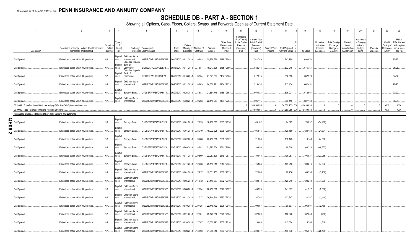# **SCHEDULE DB - PART A - SECTION 1**

Showing all Options, Caps, Floors, Collars, Swaps and Forwards Open as of Current Statement Date

|                 |                                                                               | $\overline{2}$                                                             | $\mathbf{3}$                      | $\overline{4}$                  |                                                                   |                                                    |               |                                 | 8                     | $\mathbf{q}$                | 10                                                   | 11                                                                              | 12                                                                      | 13              | 14                                             | 16          | 17                                                | 18                                                         | 19                                                  | 20                                                       | 21                    | 22                             | 23                                                                          |
|-----------------|-------------------------------------------------------------------------------|----------------------------------------------------------------------------|-----------------------------------|---------------------------------|-------------------------------------------------------------------|----------------------------------------------------|---------------|---------------------------------|-----------------------|-----------------------------|------------------------------------------------------|---------------------------------------------------------------------------------|-------------------------------------------------------------------------|-----------------|------------------------------------------------|-------------|---------------------------------------------------|------------------------------------------------------------|-----------------------------------------------------|----------------------------------------------------------|-----------------------|--------------------------------|-----------------------------------------------------------------------------|
|                 | Description                                                                   | Description of Item(s) Hedged, Used for Income<br>Generation or Replicated | Scheduk<br>/ Exhibit<br>dentifier | Type(s)<br>of<br>Risk(s)<br>(a) |                                                                   | Exchange, Counterparty<br>or Central Clearinghouse | Trade<br>Date | Date of<br>Expiration Contracts | Maturity or Number of | Notional<br>Amount          | Strike Price.<br>Rate of Index<br>Received<br>(Paid) | Cumulative<br>Prior Year(s)<br>Initial Cost of<br>Premium<br>(Received)<br>Paid | <b>Current Year</b><br>Initial Cost of<br>Premium<br>(Received)<br>Paid | Income          | Current Year   Book/Adjusted<br>Carrying Value | Fair Value  | Unrealized<br>Valuation<br>Increase<br>(Decrease) | <b>Total Foreign</b><br>Exchange<br>Change in<br>B./A.C.V. | Current<br>Year's<br>(Amortization<br>) / Accretion | Adjustment<br>to Carrying<br>Value of<br>Hedged<br>ltems | Potential<br>Exposure | Credit<br>Quality of<br>Entity | Hedge<br>Effectiveness<br>at Inception<br>Reference and at Year-<br>end (b) |
|                 | Call Spread.                                                                  | Embedded option within IUL products.                                       | N/A                               | ndex                            | Equity/I Goldman Sachs<br>International<br>Canadian Imperial      | W22LROWP2IHZNBB6K528                               |               | 06/13/2017 06/12/2018 10,683    |                       |                             | .25,959,370 2479 / 2649.                             |                                                                                 | 742,789                                                                 |                 | 742,789                                        | 698,870     |                                                   |                                                            |                                                     |                                                          |                       |                                | 95/95                                                                       |
|                 | Call Spread.                                                                  | Embedded option within IUL products.                                       | N/A                               | Equity/I<br>ndex                | Bank of<br>Commerce<br>Canadian Imperial                          | 2IGI19DL77OX0HC3ZE78                               |               | 06/16/2017 06/14/2018           | 7,887                 |                             | .19,217,306 2485 / 2656.                             |                                                                                 | .532,215                                                                |                 | .532,215                                       | .516,351    |                                                   |                                                            |                                                     |                                                          |                       |                                | 96/95.                                                                      |
|                 | Call Spread.                                                                  | Embedded option within IUL products.                                       | N/A                               | ndex                            | Equity/I Bank of<br>Commerce                                      | 2IGI19DL77OX0HC3ZE78                               |               | 06/20/2017 06/18/2018           | 8,934                 | 21,841,397                  | 2494 / 2665                                          |                                                                                 | .612,515                                                                |                 | .612,515                                       | 562,970     |                                                   |                                                            |                                                     |                                                          |                       |                                | 94/94.                                                                      |
|                 | Call Spread.                                                                  | Embedded option within IUL products.                                       | N/A                               | ndex                            | Equity/I Goldman Sachs<br>International                           | W22LROWP2IHZNBB6K528                               |               | 06/23/2017 06/21/2018 10,203    |                       | .24,850,121                 | 2484 / 2655.                                         |                                                                                 | 715,434                                                                 |                 | 715,434                                        | 662,451     |                                                   |                                                            |                                                     |                                                          |                       |                                | 97/96.                                                                      |
|                 | Call Spread.                                                                  | Embedded option within IUL products.                                       | N/A                               | Equity/I<br>ndex                | Barclays Bank                                                     | G5GSEF7VJP5I7OUK5573                               |               | 06/27/2017 06/25/2018           | 8,883                 | 21,664,749 2488 / 2658.     |                                                      |                                                                                 | .605,021                                                                |                 | .605,021                                       | .572,501    |                                                   |                                                            |                                                     |                                                          |                       |                                | 93/92                                                                       |
|                 | Call Spread.                                                                  | Embedded option within IUL products.                                       | N/A                               | ndex                            | Equity/I Goldman Sachs<br>International                           | W22LROWP2IHZNBB6K528                               |               | 06/29/2017 06/28/2018           | 9.203                 | 22.415.287 2484 / 2704.     |                                                      |                                                                                 | 696.115                                                                 |                 | .696.115                                       | 687.130     |                                                   |                                                            |                                                     |                                                          |                       |                                | 96/95.                                                                      |
|                 | 0019999. Total-Purchased Options-Hedging Effective-Call Options and Warrants. |                                                                            |                                   |                                 |                                                                   |                                                    |               |                                 |                       |                             |                                                      | $\Omega$                                                                        | 34.650.955                                                              | .0 <sub>1</sub> | .34,650,955                                    | .42.439.638 | $\Omega$                                          | $\Omega$                                                   |                                                     | $\bigcap$                                                | $\Omega$              | XXX                            | <b>XXX</b>                                                                  |
|                 | 0079999. Total-Purchased Options-Hedging Effective                            |                                                                            |                                   |                                 |                                                                   |                                                    |               |                                 |                       |                             |                                                      | $\overline{0}$ .                                                                | 34,650,955                                                              | 0               | .34,650,955                                    | 42,439,638  | $\Omega$                                          |                                                            |                                                     |                                                          |                       | <b>XXX</b>                     | <b>XXX</b>                                                                  |
|                 | Purchased Options - Hedging Other - Call Options and Warrants                 |                                                                            |                                   |                                 |                                                                   |                                                    |               |                                 |                       |                             |                                                      |                                                                                 |                                                                         |                 |                                                |             |                                                   |                                                            |                                                     |                                                          |                       |                                |                                                                             |
| <u>င</u> ္<br>0 | Call Spread.                                                                  | Embedded option within IUL products.                                       | N/A                               | Equity/<br>ndex                 |                                                                   | Barclays Bank G5GSEF7VJP5I7OUK5573                 |               | 05/31/2017 05/01/2018           | 7,859                 |                             | .18,769,885 2603 / 2658.                             |                                                                                 | .109,162                                                                |                 | .74,692                                        | 74,692      | (34, 469)                                         |                                                            |                                                     |                                                          |                       |                                |                                                                             |
| თ<br>N          | Call Spread.                                                                  | Embedded option within IUL products.                                       | N/A                               | Equity/<br>ndex                 |                                                                   | Barclays Bank G5GSEF7VJP5I7OUK5573                 |               | 05/31/2017 05/07/2018           | 8,319                 | 19,902,625                  | 2608 / 2659.                                         |                                                                                 | 106,816                                                                 |                 | .128,150                                       | 128,150     | .21,334                                           |                                                            |                                                     |                                                          |                       |                                |                                                                             |
|                 | Call Spread.                                                                  | Embedded option within IUL products.                                       | N/A                               | Equity/<br>ndex                 |                                                                   | Barclays Bank G5GSEF7VJP5I7OUK5573                 |               | 05/31/2017 05/07/2018           | 9,786                 | 23,480,333                  | 2639 / 2672                                          |                                                                                 | .71.536                                                                 |                 | .116,143                                       | 116,143     | 44,608                                            |                                                            |                                                     |                                                          |                       |                                |                                                                             |
|                 | Call Spread.                                                                  | Embedded option within IUL products.                                       | N/A                               | Equity/<br>ndex                 |                                                                   | Barclays Bank G5GSEF7VJP5I7OUK5573                 |               | 05/31/2017 05/09/2018           | 8,891                 | 21,295,634                  | 2611 / 2664                                          |                                                                                 | .116,650                                                                |                 | 68,318                                         | 68,318      | (48, 332)                                         |                                                            |                                                     |                                                          |                       |                                |                                                                             |
|                 | Call Spread.                                                                  | Embedded option within IUL products.                                       | N/A                               | Equity/<br>ndex                 |                                                                   | Barclays Bank G5GSEF7VJP5I7OUK5573                 |               | 05/31/2017 05/14/2018           | 9,569                 |                             | 22,987,800 2619 / 2677.                              |                                                                                 | 130,043                                                                 |                 | 106,987                                        | 106,987     | (23,055)                                          |                                                            |                                                     |                                                          |                       |                                |                                                                             |
|                 | Call Spread.                                                                  | Embedded option within IUL products.                                       | N/A                               | Equity/<br>ndex                 | Barclays Bank.                                                    | G5GSEF7VJP5I7OUK5573                               |               | 05/31/2017 05/17/2018  12,256   |                       |                             | 29,110,819 2613 / 2635.                              |                                                                                 | 74.884                                                                  |                 | .109,216                                       | 109,216     | 34,332                                            |                                                            |                                                     |                                                          |                       |                                |                                                                             |
|                 | Call Spread.                                                                  | Embedded option within IUL products.                                       | N/A                               | ndex                            | Equity/I Goldman Sachs<br>International                           | W22LROWP2IHZNBB6K528                               |               | 05/31/2017 03/01/2018           | ,7,957                |                             | .19,031,155   2607 / 2659.                           |                                                                                 | 72,966                                                                  |                 | .69,236                                        | 69,236      | (3,730)                                           |                                                            |                                                     |                                                          |                       |                                |                                                                             |
|                 | Call Spread.                                                                  | Embedded option within IUL products.                                       | N/A                               | ndex                            | Equity/I Goldman Sachs<br>International                           | W22LROWP2IHZNBB6K528                               |               | 05/31/2017 03/05/2018 11,542    |                       | 27,449,877                  | 2592 / 2649.                                         |                                                                                 | 132,848                                                                 |                 | 128,240                                        | 128,240     | (4,609)                                           |                                                            |                                                     |                                                          |                       |                                |                                                                             |
|                 | Call Spread.                                                                  | Embedded option within IUL products.                                       | N/A                               | ndex                            | Equity/I Goldman Sachs<br>International                           | W22LROWP2IHZNBB6K528                               |               | 05/31/2017 03/08/2018  12,034   |                       |                             | 28,450,662 2577 / 2627.                              |                                                                                 | 143,325                                                                 |                 | .141,317                                       | 141,317     | (2,008)                                           |                                                            |                                                     |                                                          |                       |                                |                                                                             |
|                 | Call Spread.                                                                  | Embedded option within IUL products.                                       | N/A                               | ndex                            | Equity/I Goldman Sachs<br>International                           | W22LROWP2IHZNBB6K528                               |               | 05/31/2017 03/12/2018 11,327    |                       | .26,844,310                 | 2583 / 2635                                          |                                                                                 | .134,791                                                                |                 | .132.347                                       | 132,347     | (2,444)                                           |                                                            |                                                     |                                                          |                       |                                |                                                                             |
|                 | Call Spread.                                                                  | Embedded option within IUL products.                                       | N/A                               | ndex                            | Equity/I   Goldman Sachs<br>International                         | W22LROWP2IHZNBB6K528                               |               | 05/31/2017 03/19/2018           | 9,425                 |                             | 22,445,732 2596 / 2645.                              |                                                                                 | .99,057                                                                 |                 | 96,597                                         | 96,597      | (2,459)                                           |                                                            |                                                     |                                                          |                       |                                |                                                                             |
|                 | Call Spread.                                                                  | Embedded option within IUL products.                                       | N/A                               | ndex                            | Equity/I Goldman Sachs<br>International                           | W22LROWP2IHZNBB6K528                               |               | 05/31/2017 03/21/2018  12,361   |                       | 29,178,882                  | 2573 / 2624                                          |                                                                                 | 162,300                                                                 |                 | 162,040                                        | 162,040     | (260)                                             |                                                            |                                                     |                                                          |                       |                                |                                                                             |
|                 | Call Spread.                                                                  | Embedded option within IUL products.                                       | N/A                               | ndex                            | Equity/I Goldman Sachs<br>International<br>Equity/I Goldman Sachs | W22LROWP2IHZNBB6K528                               |               | 05/31/2017 03/26/2018 7,387     |                       |                             | .17,330,493 2557 / 2610.                             |                                                                                 | .113,686                                                                |                 | .115,304                                       | 115,304     | 1,618                                             |                                                            |                                                     |                                                          |                       |                                |                                                                             |
|                 | Call Spread.                                                                  | Embedded option within IUL products.                                       | N/A.                              | ndex                            | International                                                     | W22LROWP2IHZNBB6K528                               |               | 05/31/2017 03/28/2018 13,593    |                       | $31,958,910$   2563 / 2613. |                                                      |                                                                                 | .223,677                                                                |                 | 195,576                                        | 195,576     | (28, 100)                                         |                                                            |                                                     |                                                          |                       |                                |                                                                             |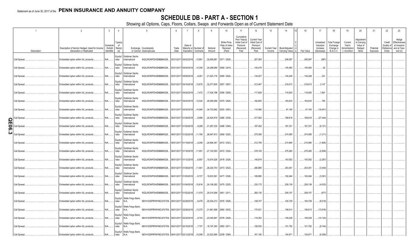# **SCHEDULE DB - PART A - SECTION 1**

Showing all Options, Caps, Floors, Collars, Swaps and Forwards Open as of Current Statement Date

|   |              |                    |                                                                            |                       |                                  | ייש פי ייטייט                           | options, oups, noors,                               |               |                               |                                               |                    |                                                     |                                                                                 |                                                                         |        |                                                |            |                                                   |                                                                   |                                                     |                                                         |                       |                                |                                                                             |
|---|--------------|--------------------|----------------------------------------------------------------------------|-----------------------|----------------------------------|-----------------------------------------|-----------------------------------------------------|---------------|-------------------------------|-----------------------------------------------|--------------------|-----------------------------------------------------|---------------------------------------------------------------------------------|-------------------------------------------------------------------------|--------|------------------------------------------------|------------|---------------------------------------------------|-------------------------------------------------------------------|-----------------------------------------------------|---------------------------------------------------------|-----------------------|--------------------------------|-----------------------------------------------------------------------------|
|   |              |                    | $\overline{2}$                                                             | $\overline{3}$        | $\overline{4}$                   |                                         | 5                                                   | 6             |                               | 8                                             | 9                  | 10                                                  | 11                                                                              | 12                                                                      | 13     | 14                                             | 16         | 17                                                | 18                                                                | 19                                                  | 20                                                      | 21                    | 22                             | 23                                                                          |
|   |              | <b>Description</b> | Description of Item(s) Hedged, Used for Income<br>Generation or Replicated | Schedule<br>dentifier | Type(s)<br>of<br>Exhibit Risk(s) |                                         | Exchange, Counterparty<br>or Central Clearinghouse  | Trade<br>Date | Date of                       | Maturity or Number of<br>Expiration Contracts | Notional<br>Amount | Strike Price<br>Rate of Index<br>Received<br>(Paid) | Cumulative<br>Prior Year(s)<br>Initial Cost of<br>Premium<br>(Received)<br>Paid | <b>Current Year</b><br>Initial Cost of<br>Premium<br>(Received)<br>Paid | Income | Current Year   Book/Adjusted<br>Carrying Value | Fair Value | Unrealized<br>Valuation<br>Increase<br>(Decrease) | <b>Total Foreign</b><br>Exchange<br>Change in<br><b>B./A.C.V.</b> | Current<br>Year's<br>(Amortization<br>) / Accretion | Adjustmen<br>to Carrying<br>Value of<br>Hedged<br>Items | Potential<br>Exposure | Credit<br>Quality of<br>Entity | Hedge<br>Effectiveness<br>at Inception<br>Reference and at Year-<br>end (b) |
|   | Call Spread. |                    | Embedded option within IUL products.                                       | N/A                   | ndex                             | Equity/I Goldman Sachs<br>International | W22LROWP2IHZNBB6K528 05/31/2017 04/02/2018 13,861   |               |                               |                                               | .32,695,881        | 2571 / 2626.                                        |                                                                                 | 207,083                                                                 |        | 206,097                                        | .206,097   | (987)                                             |                                                                   |                                                     |                                                         |                       |                                |                                                                             |
|   | Call Spread. |                    | Embedded option within IUL products.                                       | N/A                   | ndex                             | Equity/I Goldman Sachs<br>International | W22LROWP2IHZNBB6K528                                |               | 05/31/2017 04/04/2018  10,306 |                                               |                    | 24,288,666 2569 / 2619.                             |                                                                                 | 145,418                                                                 |        | .145,480                                       | 145,480    | .62                                               |                                                                   |                                                     |                                                         |                       |                                |                                                                             |
|   | Call Spread. |                    | Embedded option within IUL products.                                       | N/A                   | ndex                             | Equity/I Goldman Sachs<br>International | W22LROWP2IHZNBB6K528                                |               | 05/31/2017 04/09/2018         | 9,261                                         |                    | 21,823,176 2569 / 2620.                             |                                                                                 | .134,007                                                                |        | 134,248                                        | 134,248    | .241                                              |                                                                   |                                                     |                                                         |                       |                                |                                                                             |
|   | Call Spread. |                    | Embedded option within IUL products                                        | N/A                   | ndex                             | Equity/I Goldman Sachs<br>International | W22LROWP2IHZNBB6K528                                |               | 05/31/2017 04/16/2018  13,675 |                                               |                    | 32,077,605 2557 / 2607.                             |                                                                                 | 213,467                                                                 |        | .216,613                                       | .216,613   | .3,147                                            |                                                                   |                                                     |                                                         |                       |                                |                                                                             |
|   | Call Spread. |                    | Embedded option within IUL products.                                       | N/A                   | Equity/I<br>ndex                 | Goldman Sachs<br>International          | W22LROWP2IHZNBB6K528                                |               | 05/31/2017 04/20/2018         | 7,472                                         |                    | .17,534,798 2558 / 2608.                            |                                                                                 | 117,609                                                                 |        | .119,500                                       | .119,500   | 1,891                                             |                                                                   |                                                     |                                                         |                       |                                |                                                                             |
|   | Call Spread. |                    | Embedded option within IUL products.                                       | N/A                   | Equity/I<br>ndex                 | Goldman Sachs<br>International          | W22LROWP2IHZNBB6K528                                |               | 05/31/2017 04/23/2018  12,524 |                                               |                    | 29,590,956 2575 / 2626.                             |                                                                                 | 182,850                                                                 |        | 183,633                                        | 183,633    | .782                                              |                                                                   |                                                     |                                                         |                       |                                |                                                                             |
|   | Call Spread. |                    | Embedded option within IUL products.                                       | N/A                   | Equity/I<br>ndex                 | Goldman Sachs<br>International          | W22LROWP2IHZNBB6K528                                |               | 05/31/2017 04/30/2018  14,565 |                                               |                    | .34,753,692 2625 / 2653.                            |                                                                                 | 110,566                                                                 |        | .91,165                                        | .91,165    | (19,401)                                          |                                                                   |                                                     |                                                         |                       |                                |                                                                             |
| O | Call Spread  |                    | Embedded option within IUL products                                        | N/A                   | Equity/I<br>ndex                 | Goldman Sachs<br>International          | W22LROWP2IHZNBB6K528.                               |               | 06/01/2017 01/29/2018         | 8,999                                         |                    | .20,525,819 2486 / 2536.                            |                                                                                 | 217,062                                                                 |        | 189,618                                        | 189,618    | (27, 444)                                         |                                                                   |                                                     |                                                         |                       |                                |                                                                             |
| π | Call Spread. |                    | Embedded option within IUL products                                        | N/A                   | ndex                             | Equity/I Goldman Sachs<br>International | W22LROWP2IHZNBB6K528                                |               | 06/01/2017 01/24/2018         | 9,289                                         |                    | 21,287,230 2498 / 2549.                             |                                                                                 | .187,452                                                                |        | 181,331                                        | 181,331    | (6, 121)                                          |                                                                   |                                                     |                                                         |                       |                                |                                                                             |
| ω | Call Spread  |                    | Embedded option within IUL products.                                       | N/A                   | ndex                             | Equity/I Goldman Sachs<br>International | W22LROWP2IHZNBB6K528                                |               | 06/01/2017 01/22/2018  11,764 |                                               |                    | 26,647,813 2469 / 2520.                             |                                                                                 | 275,395                                                                 |        | 274,085                                        | .274,085   | (1,311)                                           |                                                                   |                                                     |                                                         |                       |                                |                                                                             |
|   | Call Spread. |                    | Embedded option within IUL products.                                       | N/A                   | ndex                             | Equity/I Goldman Sachs<br>International | W22LROWP2IHZNBB6K528 06/01/2017 01/19/2018          |               |                               | 9,256                                         | 20,994,367         | 2472 / 2523.                                        |                                                                                 | 212,795                                                                 |        | 210,990                                        | 210,990    | (1,806)                                           |                                                                   |                                                     |                                                         |                       |                                |                                                                             |
|   | Call Spread. |                    | Embedded option within IUL products.                                       | N/A                   | ndex                             | Equity/I Goldman Sachs<br>International | W22LROWP2IHZNBB6K528 06/01/2017 01/16/2018  11,951  |               |                               |                                               |                    | 27,103,553 2472 / 2524.                             |                                                                                 | 278,100                                                                 |        | 275,260                                        | .275,260   | (2,839)                                           |                                                                   |                                                     |                                                         |                       |                                |                                                                             |
|   | Call Spread. |                    | Embedded option within IUL products.                                       | N/A                   | ndex                             | Equity/I Goldman Sachs<br>International | W22LROWP2IHZNBB6K528 06/01/2017 01/12/2018          |               |                               | 6,957                                         |                    | .15,814,026 2478 / 2526.                            |                                                                                 | .145,819                                                                |        | 143,552                                        | 143,552    | (2,267)                                           |                                                                   |                                                     |                                                         |                       |                                |                                                                             |
|   | Call Spread. |                    | Embedded option within IUL products.                                       | N/A                   | ndex                             | Equity/I Goldman Sachs<br>International | W22LROWP2IHZNBB6K528                                |               | 06/01/2017 01/08/2018 11,561  |                                               |                    | 26,230,753 2473 / 2523.                             |                                                                                 | 256,885                                                                 |        | 253,451                                        | .253,451   | (3, 434)                                          |                                                                   |                                                     |                                                         |                       |                                |                                                                             |
|   | Call Spread. |                    | Embedded option within IUL products.                                       | N/A                   | ndex                             | Equity/I Goldman Sachs<br>International | W22LROWP2IHZNBB6K528                                |               | 06/01/2017 01/05/2018 8,727   |                                               | .19,833,591        | 2477 / 2526.                                        |                                                                                 | 185,885                                                                 |        | 182,494                                        | 182,494    | (3, 391)                                          |                                                                   |                                                     |                                                         |                       |                                |                                                                             |
|   | Call Spread. |                    | Embedded option within IUL products.                                       | N/A                   | Equity/I<br>ndex                 | Goldman Sachs<br>International          | W22LROWP2IHZNBB6K528                                |               | 06/01/2017 01/04/2018 10,616  |                                               |                    | 24,106,282 2475 / 2525.                             |                                                                                 | 232,172                                                                 |        | .228,139                                       | .228,139   | (4,033)                                           |                                                                   |                                                     |                                                         |                       |                                |                                                                             |
|   | Call Spread. |                    | Embedded option within IUL products.                                       | $N/A$                 | ndex                             | Equity/I Goldman Sachs<br>International | W22LROWP2IHZNBB6K528 06/01/2017 01/02/2018 11,079   |               |                               |                                               |                    | 25,014,499 2461 / 2511.                             |                                                                                 | 260,135                                                                 |        | .259,157                                       | .259,157   | .(977)                                            |                                                                   |                                                     |                                                         |                       |                                |                                                                             |
|   | Call Spread  |                    | Embedded option within IUL products.                                       | $N/A$                 | ndex                             | Equity/I   Wells Fargo Bank,<br>N.A.    | KB1H1DSPRFMYMCUFXT09. 06/01/2017 02/28/2018         |               |                               | 8,476                                         |                    | 20,034,213 2576 / 2626.                             |                                                                                 | .108,747                                                                |        | .100,729                                       | .100,729   | (8,019)                                           |                                                                   |                                                     |                                                         |                       |                                |                                                                             |
|   | Call Spread. |                    | Embedded option within IUL products.                                       | N/A                   | ndex                             | Equity/I   Wells Fargo Bank,<br>N.A.    | KB1H1DSPRFMYMCUFXT09. 06/01/2017 02/26/2018  13,375 |               |                               |                                               |                    | 31,661,568 2580 / 2632.                             |                                                                                 | 170,531                                                                 |        | .156,613                                       | 156,613    | (13,918)                                          |                                                                   |                                                     |                                                         |                       |                                |                                                                             |
|   | Call Spread. |                    | Embedded option within IUL products.                                       | N/A                   | ndex                             | Equity/I   Wells Fargo Bank,<br>N.A.    | KB1H1DSPRFMYMCUFXT09. 06/01/2017 02/20/2018         |               |                               | 9,743                                         | 23,045,897         | 2578 / 2628.                                        |                                                                                 | 119,352                                                                 |        | .109,228                                       | 109,228    | (10, 124)                                         |                                                                   |                                                     |                                                         |                       |                                |                                                                             |
|   | Call Spread. |                    | Embedded option within IUL products                                        | N/A                   | ndex                             | Equity/I Wells Fargo Bank,<br>N.A.      | KB1H1DSPRFMYMCUFXT09. 06/01/2017 02/16/2018         |               |                               | 7,747                                         |                    | .18,197,393 2560 / 2611.                            |                                                                                 | 108,535                                                                 |        | .101,792                                       | 101,792    | (6,744)                                           |                                                                   |                                                     |                                                         |                       |                                |                                                                             |
|   | Call Spread. |                    | Embedded option within IUL products.                                       | N/A                   | ndex                             | Equity/I   Wells Fargo Bank,<br>N.A.    | KB1H1DSPRFMYMCUFXT09. 06/01/2017 02/12/2018  10,099 |               |                               |                                               |                    | 23,522,995 2539 / 2589.                             |                                                                                 | 161,180                                                                 |        | 154,871                                        | 154,871    | (6,309)                                           |                                                                   |                                                     |                                                         |                       |                                |                                                                             |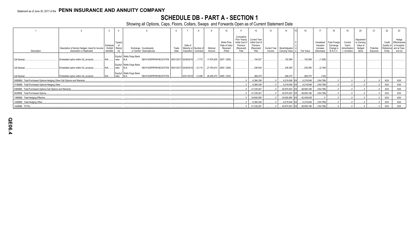# **SCHEDULE DB - PART A - SECTION 1**

Showing all Options, Caps, Floors, Collars, Swaps and Forwards Open as of Current Statement Date

|                                                                           |                                                                            |                       |                                     |                                                                                   |               |                                                          |               |                            |                                                      |                                                                                 | 12                                                               |        |                                                |            |                                                   | 18                                                                |                                                   | 20                                                       |                       | 22                             | 23                                                                          |
|---------------------------------------------------------------------------|----------------------------------------------------------------------------|-----------------------|-------------------------------------|-----------------------------------------------------------------------------------|---------------|----------------------------------------------------------|---------------|----------------------------|------------------------------------------------------|---------------------------------------------------------------------------------|------------------------------------------------------------------|--------|------------------------------------------------|------------|---------------------------------------------------|-------------------------------------------------------------------|---------------------------------------------------|----------------------------------------------------------|-----------------------|--------------------------------|-----------------------------------------------------------------------------|
| Description                                                               | Description of Item(s) Hedged, Used for Income<br>Generation or Replicated | Scheduk<br>Identifier | Type(s)<br>/ Exhibit Risk(s)<br>(a) | Exchange, Counterparty<br>or Central Clearinghouse                                | Trade<br>Date | Date of<br>Maturity or Number of<br>Expiration Contracts |               | Notional<br>Amount         | Strike Price,<br>Rate of Index<br>Received<br>(Paid) | Cumulative<br>Prior Year(s)<br>Initial Cost of<br>Premium<br>(Received)<br>Paid | Current Year<br>Initial Cost of<br>Premium<br>(Received)<br>Paid | Income | Current Year   Book/Adjusted<br>Carrying Value | Fair Value | Unrealized<br>Valuation<br>Increase<br>(Decrease) | <b>Total Foreign</b><br>Exchange<br>Change in<br><b>B./A.C.V.</b> | Current<br>Year's<br>(Amortization<br>/ Accretion | Adjustment<br>to Carrying<br>Value of<br>Hedged<br>Items | Potential<br>Exposure | Credit<br>Quality of<br>Entity | Hedge<br>Effectiveness<br>at Inception<br>Reference and at Year-<br>end (b) |
| Call Spread.                                                              | Embedded option within IUL products                                        | N/A                   | ndex                                | Equity/I Wells Fargo Bank,<br>KB1H1DSPRFMYMCUFXT09. 06/01/2017 02/08/2018         |               |                                                          | $\dots$ 7,773 |                            | $17,874,635$ 2507 / 2559.                            |                                                                                 | 154.527                                                          |        | .152.599                                       | .152,599   | (1,928)                                           |                                                                   |                                                   |                                                          |                       |                                |                                                                             |
| Call Spread                                                               | Embedded option within IUL products                                        | $N/A$                 | ndex                                | Equity/I Wells Fargo Bank,<br>KB1H1DSPRFMYMCUFXT09. 06/01/2017 02/05/2018<br>IN.A |               |                                                          | 12,115        | $27,783,814$   2500 / 2549 |                                                      |                                                                                 | 238.544                                                          |        | 236,365                                        | .236,365   | (2.180)                                           |                                                                   |                                                   |                                                          |                       |                                |                                                                             |
| Call Spread                                                               | Embedded option within IUL products                                        | N/A                   | ndex                                | Equity/I   Wells Fargo Bank,<br>KB1H1DSPRFMYMCUFXT09.<br>N.A                      |               | 02/01/2018                                               | 12,499        | $28,495,470$   2485 / 2535 |                                                      |                                                                                 | 268,479                                                          |        | 268,375                                        | .268,375   | (104)                                             |                                                                   |                                                   |                                                          |                       |                                |                                                                             |
| 0089999. Total-Purchased Options-Hedging Other-Call Options and Warrants. |                                                                            |                       |                                     |                                                                                   |               |                                                          |               |                            |                                                      |                                                                                 | .6,384,336                                                       |        | .6,219,548 XX                                  | .6,219,548 | (164, 789)                                        |                                                                   |                                                   |                                                          |                       | XXX                            | XXX                                                                         |
| 0149999. Total-Purchased Options-Hedging Other                            |                                                                            |                       |                                     |                                                                                   |               |                                                          |               |                            |                                                      |                                                                                 | .6,384,336                                                       |        | .6,219,548 XX                                  | .6,219,548 | (164,789)                                         |                                                                   |                                                   |                                                          |                       | <b>XXX</b>                     | XXX                                                                         |
| 0369999. Total-Purchased Options-Call Options and Warrants.               |                                                                            |                       |                                     |                                                                                   |               |                                                          |               |                            |                                                      |                                                                                 | .41,035,291                                                      |        | .40,870,503 XX                                 | 48,659,186 | (164, 789)                                        |                                                                   |                                                   |                                                          |                       | <b>XXX</b>                     | XXX                                                                         |
| 0429999. Total-Purchased Options                                          |                                                                            |                       |                                     |                                                                                   |               |                                                          |               |                            |                                                      |                                                                                 | .41,035,291                                                      |        | .40,870,503 XX                                 | 48.659.186 | (164,789)                                         |                                                                   |                                                   |                                                          |                       | <b>XXX</b>                     | XXX                                                                         |
| 1399999. Total-Hedging Effective                                          |                                                                            |                       |                                     |                                                                                   |               |                                                          |               |                            |                                                      |                                                                                 | .34,650,955                                                      |        | .34,650,955 XX                                 | 42,439,638 |                                                   |                                                                   |                                                   |                                                          |                       | <b>XXX</b>                     | XXX                                                                         |
| 1409999. Total-Hedging Other                                              |                                                                            |                       |                                     |                                                                                   |               |                                                          |               |                            |                                                      |                                                                                 | .6,384,336                                                       |        | .6,219,548 XX                                  | 6,219,548  | (164, 789)                                        |                                                                   |                                                   |                                                          |                       | <b>XXX</b>                     | XXX                                                                         |
| 1449999. TOTAL.                                                           |                                                                            |                       |                                     |                                                                                   |               |                                                          |               |                            |                                                      |                                                                                 | 41,035,291                                                       |        | .40,870,503 XX                                 | 48,659,186 | (164,789)                                         |                                                                   |                                                   |                                                          |                       | <b>XXX</b>                     | XXX                                                                         |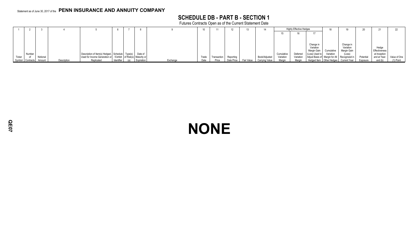# **SCHEDULE DB - PART B - SECTION 1**

Futures Contracts Open as of the Current Statement Date

|        |                  |          |             |                                                                    |            |            |          |       |             |            |            |                |            | <b>Highly Effective Hedges</b> |                                |            |                                           |           |               |              |
|--------|------------------|----------|-------------|--------------------------------------------------------------------|------------|------------|----------|-------|-------------|------------|------------|----------------|------------|--------------------------------|--------------------------------|------------|-------------------------------------------|-----------|---------------|--------------|
|        |                  |          |             |                                                                    |            |            |          |       |             |            |            |                |            |                                |                                |            |                                           |           |               |              |
|        |                  |          |             |                                                                    |            |            |          |       |             |            |            |                |            |                                |                                |            |                                           |           |               |              |
|        |                  |          |             |                                                                    |            |            |          |       |             |            |            |                |            |                                |                                |            |                                           |           |               |              |
|        |                  |          |             |                                                                    |            |            |          |       |             |            |            |                |            |                                | Change in<br>Variation         |            | Change in<br>Variation                    |           | Hedge         |              |
|        |                  |          |             |                                                                    |            |            |          |       |             |            |            |                |            |                                | Margin Gain                    | Cumulative | Margin Gain                               |           | Effectiveness |              |
|        | Number           |          |             | Description of Item(s) Hedged, Schedule Type(s) Date of            |            |            |          |       |             |            |            |                | Cumulative | Deferred                       | (Loss) Used to                 | Variation  | (Loss)                                    |           | at Inception  |              |
| Ticker |                  | Notional |             | Used for Income Generation or / Exhibit   of Risk(s)   Maturity or |            |            |          | Trade | Transaction | Reporting  |            | Book/Adjusted  | Variation  | Variation                      | Adjust Basis of Margin for All |            | Recognized in                             | Potential | and at Year-  | Value of One |
|        | Symbol Contracts | Amount   | Description | Replicated                                                         | Identifier | Expiration | Exchange | Date  | Price       | Date Price | Fair Value | Carrying Value | Margin     | Margin                         |                                |            | Hedged Item   Other Hedges   Current Year | Exposure  | end (b)       | (1) Point    |

# **NONE**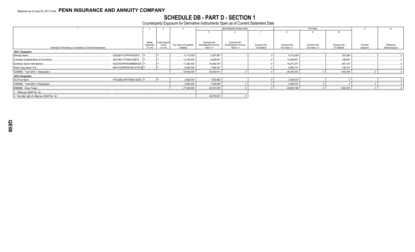# SCHEDULE DB - PART D - SECTION 1<br>Counterparty Exposure for Derivative Instruments Open as of Current Statement Date

|                                                                |                                 |                                            |                                        |                                                         | Book Adjusted Carrying Value                            |                               |                                  | Fair Value                       |                               | 11                    | 12                            |
|----------------------------------------------------------------|---------------------------------|--------------------------------------------|----------------------------------------|---------------------------------------------------------|---------------------------------------------------------|-------------------------------|----------------------------------|----------------------------------|-------------------------------|-----------------------|-------------------------------|
|                                                                |                                 |                                            |                                        |                                                         |                                                         |                               |                                  |                                  | 10 <sup>10</sup>              |                       |                               |
|                                                                |                                 |                                            |                                        |                                                         |                                                         |                               |                                  |                                  |                               |                       |                               |
| Description of Exchange, Counterparty or Central Clearinghouse | Master<br>Agreement<br>(Y or N) | <b>Credit Support</b><br>Annex<br>(Y or N) | Fair Value of Acceptable<br>Collateral | Contracts with<br>Book/Adjusted Carrying<br>Value $> 0$ | Contracts with<br>Book/Adjusted Carrying<br>Value $< 0$ | Exposure Net<br>of Collateral | Contracts with<br>Fair Value > 0 | Contracts with<br>Fair Value < 0 | Exposure Net<br>of Collateral | Potential<br>Exposure | Off-Balance<br>Sheet Exposure |
| <b>NAIC 1 Designation</b>                                      |                                 |                                            |                                        |                                                         |                                                         |                               |                                  |                                  |                               |                       |                               |
| Barclays Bank                                                  | G5GSEF7VJP5I7OUK5573.           |                                            | .6,110,000                             | .5,367,987                                              |                                                         |                               | .6,313,048                       |                                  | 203,048                       |                       |                               |
| Canadian Imperial Bank of Commerce                             | 2IGI19DL77OX0HC3ZE78            |                                            | 12,180,000                             | .9,628,941                                              |                                                         |                               | 12,360,851                       |                                  | .180,851                      |                       |                               |
| Goldman Sachs International                                    | W22LROWP2IHZNBB6K528.           |                                            | 17,280,000                             | .16,469,078                                             |                                                         |                               | .18,237,273                      |                                  | .957,273                      |                       |                               |
| Wells Fargo Bank, N.A                                          | KB1H1DSPRFMYMCUFXT09 Y          |                                            | .8,980,000                             | 7,464,507                                               |                                                         |                               | .9,089,181                       |                                  | .109,181                      |                       |                               |
| 0299999. Total NAIC 1 Designation.                             |                                 |                                            | 44,550,000                             | 38,930,513                                              |                                                         |                               | 46,000,353                       |                                  | .1,450,353                    |                       |                               |
| <b>NAIC 2 Designation</b>                                      |                                 |                                            |                                        |                                                         |                                                         |                               |                                  |                                  |                               |                       |                               |
| SunTrust Bank                                                  | IYDOJBGJWY9T8XKCSX06.           |                                            | .2,690,000                             | .1,939,990                                              |                                                         |                               | 2,658,833                        |                                  |                               |                       |                               |
| 0399999. Total NAIC 2 Designation.                             |                                 |                                            | .2,690,000                             | .1,939,990                                              |                                                         |                               | 2,658,833                        |                                  |                               |                       |                               |
| 0999999. Gross Totals                                          |                                 |                                            | 47,240,000                             | .40,870,503                                             |                                                         |                               | 48,659,186                       |                                  | .1,450,353                    |                       |                               |
| 1. Offset per SSAP No. 64.                                     |                                 |                                            |                                        |                                                         |                                                         |                               |                                  |                                  |                               |                       |                               |
| 2. Net after right of offset per SSAP No. 64                   |                                 |                                            |                                        | .40,870,503                                             |                                                         |                               |                                  |                                  |                               |                       |                               |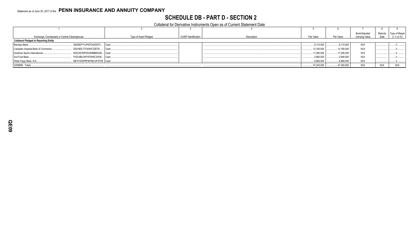# **SCHEDULE DB - PART D - SECTION 2**

Collateral for Derivative Instruments Open as of Current Statement Date

| Exchange, Counterparty or Central Clearinghouse |                            | Type of Asset Pledged | <b>CUSIP</b> Identification | Description | Fair Value  | Par Value  | Book/Adjusted<br>Carrving Value | Maturity<br>Date | <b>Type of Margir</b><br>(I, V or IV) |
|-------------------------------------------------|----------------------------|-----------------------|-----------------------------|-------------|-------------|------------|---------------------------------|------------------|---------------------------------------|
| <b>Collateral Pledged to Reporting Entity</b>   |                            |                       |                             |             |             |            |                                 |                  |                                       |
| Barclays Bank                                   | G5GSEF7VJP5I7OUK5573 Cash  |                       |                             |             | 6,110,000   | 6,110,000  | <b>XXX</b>                      |                  |                                       |
| Canadian Imperial Bank of Commerce              | 2IGI19DL77OX0HC3ZE78       | Cash.                 |                             |             | .12,180,000 | 12,180,000 | <b>XXX</b>                      |                  |                                       |
| Goldman Sachs International                     | W22LROWP2IHZNBB6K528 Cash  |                       |                             |             | 17,280,000  | 17,280,000 | <b>XXX</b>                      |                  |                                       |
| SunTrust Bank                                   | IYDOJBGJWY9T8XKCSX06 Cash  |                       |                             |             | 2,690,000   | .2,690,000 | <b>XXX</b>                      |                  |                                       |
| Wells Fargo Bank, N.A                           | KB1H1DSPRFMYMCUFXT09. Cash |                       |                             |             | .8,980,000  | .8,980,000 | XXX                             |                  |                                       |
| 0299999. Totals                                 |                            |                       |                             |             | .47,240,000 | 47,240,000 | XXX                             | XXX              | <b>XXX</b>                            |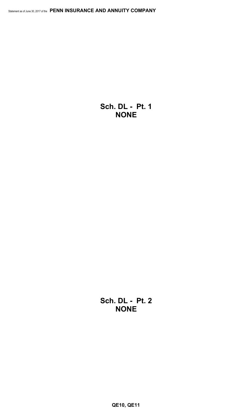**Sch. DL - Pt. 1 NONE**

**Sch. DL - Pt. 2 NONE**

**QE10, QE11**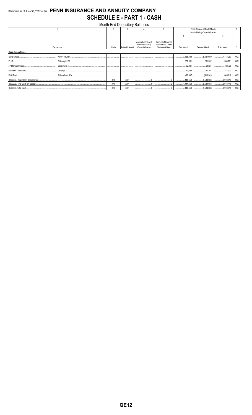# Statement as of June 30, 2017 of the PENN INSURANCE AND ANNUITY COMPANY **SCHEDULE E - PART 1 - CASH**

|                          |               |                  | Month End Depository Balances                                          |                                                                   |                                   |                              |                    |            |
|--------------------------|---------------|------------------|------------------------------------------------------------------------|-------------------------------------------------------------------|-----------------------------------|------------------------------|--------------------|------------|
|                          | $\mathcal{D}$ | २                |                                                                        |                                                                   |                                   | Book Balance at End of Each  |                    | Q          |
|                          |               |                  |                                                                        |                                                                   |                                   | Month During Current Quarter |                    |            |
|                          |               |                  |                                                                        |                                                                   | 6                                 |                              |                    |            |
| Depository               | Code          | Rate of Interest | Amount of Interest<br><b>Received During</b><br><b>Current Quarter</b> | Amount of Interest<br>Accrued at Current<br><b>Statement Date</b> | First Month                       | Second Month                 | <b>Third Month</b> |            |
| <b>Open Depositories</b> |               |                  |                                                                        |                                                                   |                                   |                              |                    |            |
| State Street             |               |                  |                                                                        |                                                                   | 3,636,499                         | 5,631,659                    | 17,718,293         | XXX        |
|                          |               |                  |                                                                        |                                                                   | 802,631                           | 201,352                      | 350,791            | XXX        |
|                          |               |                  |                                                                        |                                                                   | .62.981                           | 63.824                       | .62,736            | <b>XXX</b> |
|                          |               |                  |                                                                        |                                                                   | 41,485                            | 47,791                       | 41,377<br>         | <b>XXX</b> |
|                          |               |                  |                                                                        |                                                                   |                                   |                              | 805,219            | XXX        |
|                          | <b>XXX</b>    | XXX              |                                                                        |                                                                   | 1.14444659                        | 5,534,083                    | 8,978,416          | XXX        |
|                          | <b>XXX</b>    | <b>XXX</b>       |                                                                        |                                                                   | 4,444,659                         | 5,534,083                    | 3,978,416          | XXX        |
|                          | XXX           | XXX              |                                                                        | 0                                                                 | 4,444,659   5,534,083   8,978,416 |                              |                    | XXX        |